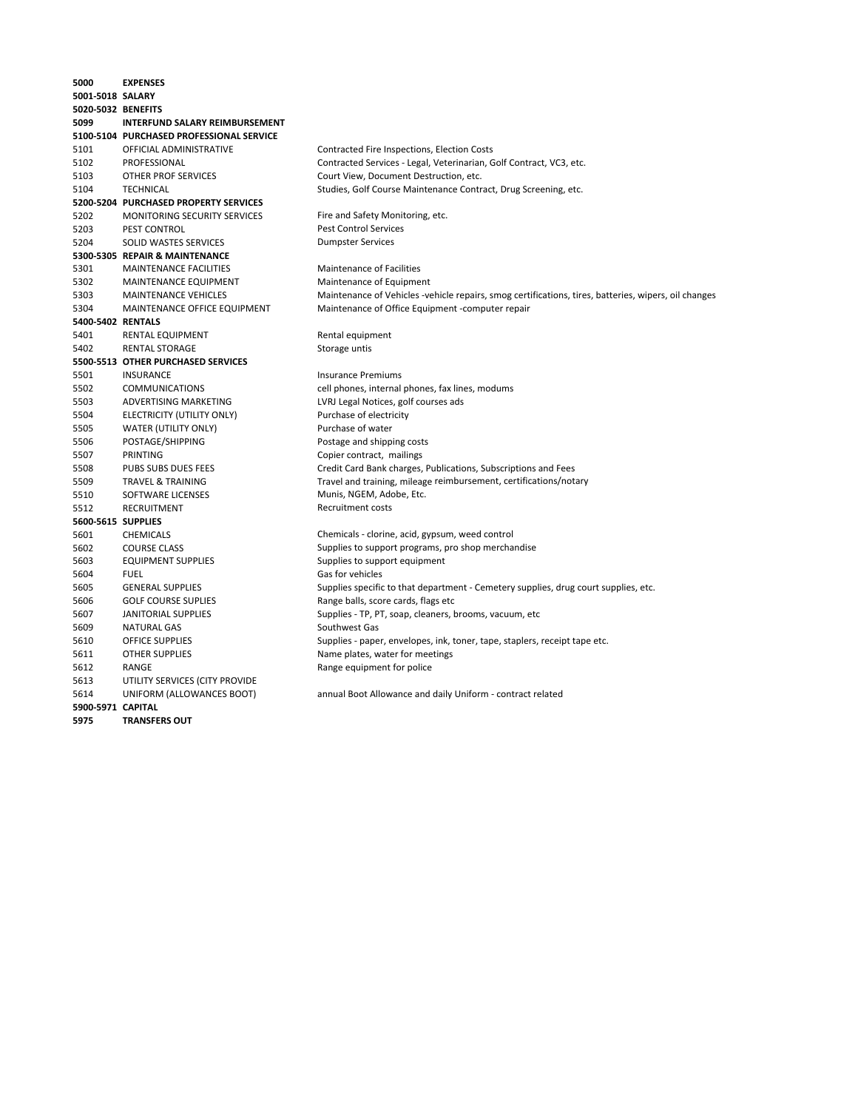| 5000               | <b>EXPENSES</b>                          |                                                                                                      |
|--------------------|------------------------------------------|------------------------------------------------------------------------------------------------------|
| 5001-5018 SALARY   |                                          |                                                                                                      |
| 5020-5032 BENEFITS |                                          |                                                                                                      |
| 5099               | <b>INTERFUND SALARY REIMBURSEMENT</b>    |                                                                                                      |
|                    | 5100-5104 PURCHASED PROFESSIONAL SERVICE |                                                                                                      |
| 5101               | OFFICIAL ADMINISTRATIVE                  | Contracted Fire Inspections, Election Costs                                                          |
| 5102               | PROFESSIONAL                             | Contracted Services - Legal, Veterinarian, Golf Contract, VC3, etc.                                  |
| 5103               | OTHER PROF SERVICES                      | Court View, Document Destruction, etc.                                                               |
| 5104               | <b>TECHNICAL</b>                         | Studies, Golf Course Maintenance Contract, Drug Screening, etc.                                      |
|                    | 5200-5204 PURCHASED PROPERTY SERVICES    |                                                                                                      |
| 5202               | <b>MONITORING SECURITY SERVICES</b>      | Fire and Safety Monitoring, etc.                                                                     |
| 5203               | PEST CONTROL                             | <b>Pest Control Services</b>                                                                         |
| 5204               | SOLID WASTES SERVICES                    | <b>Dumpster Services</b>                                                                             |
|                    | 5300-5305 REPAIR & MAINTENANCE           |                                                                                                      |
| 5301               | <b>MAINTENANCE FACILITIES</b>            | <b>Maintenance of Facilities</b>                                                                     |
| 5302               | MAINTENANCE EQUIPMENT                    | Maintenance of Equipment                                                                             |
| 5303               | MAINTENANCE VEHICLES                     | Maintenance of Vehicles -vehicle repairs, smog certifications, tires, batteries, wipers, oil changes |
| 5304               | MAINTENANCE OFFICE EQUIPMENT             | Maintenance of Office Equipment -computer repair                                                     |
| 5400-5402 RENTALS  |                                          |                                                                                                      |
| 5401               | RENTAL EQUIPMENT                         | Rental equipment                                                                                     |
| 5402               | <b>RENTAL STORAGE</b>                    | Storage untis                                                                                        |
|                    | 5500-5513 OTHER PURCHASED SERVICES       |                                                                                                      |
| 5501               | <b>INSURANCE</b>                         | <b>Insurance Premiums</b>                                                                            |
| 5502               | <b>COMMUNICATIONS</b>                    | cell phones, internal phones, fax lines, modums                                                      |
| 5503               | ADVERTISING MARKETING                    | LVRJ Legal Notices, golf courses ads                                                                 |
| 5504               | ELECTRICITY (UTILITY ONLY)               | Purchase of electricity                                                                              |
| 5505               | WATER (UTILITY ONLY)                     | Purchase of water                                                                                    |
| 5506               | POSTAGE/SHIPPING                         | Postage and shipping costs                                                                           |
| 5507               | PRINTING                                 | Copier contract, mailings                                                                            |
| 5508               | PUBS SUBS DUES FEES                      | Credit Card Bank charges, Publications, Subscriptions and Fees                                       |
| 5509               | <b>TRAVEL &amp; TRAINING</b>             | Travel and training, mileage reimbursement, certifications/notary                                    |
| 5510               | SOFTWARE LICENSES                        | Munis, NGEM, Adobe, Etc.                                                                             |
| 5512               | RECRUITMENT                              | <b>Recruitment costs</b>                                                                             |
| 5600-5615 SUPPLIES |                                          |                                                                                                      |
| 5601               | <b>CHEMICALS</b>                         | Chemicals - clorine, acid, gypsum, weed control                                                      |
| 5602               | <b>COURSE CLASS</b>                      | Supplies to support programs, pro shop merchandise                                                   |
| 5603               | <b>EQUIPMENT SUPPLIES</b>                | Supplies to support equipment                                                                        |
| 5604               | <b>FUEL</b>                              | Gas for vehicles                                                                                     |
| 5605               | <b>GENERAL SUPPLIES</b>                  | Supplies specific to that department - Cemetery supplies, drug court supplies, etc.                  |
| 5606               | <b>GOLF COURSE SUPLIES</b>               | Range balls, score cards, flags etc                                                                  |
| 5607               | JANITORIAL SUPPLIES                      | Supplies - TP, PT, soap, cleaners, brooms, vacuum, etc                                               |
| 5609               | NATURAL GAS                              | Southwest Gas                                                                                        |
| 5610               | <b>OFFICE SUPPLIES</b>                   | Supplies - paper, envelopes, ink, toner, tape, staplers, receipt tape etc.                           |
| 5611               | <b>OTHER SUPPLIES</b>                    | Name plates, water for meetings                                                                      |
| 5612               | RANGE                                    | Range equipment for police                                                                           |
| 5613               | UTILITY SERVICES (CITY PROVIDE           |                                                                                                      |
| 5614               | UNIFORM (ALLOWANCES BOOT)                | annual Boot Allowance and daily Uniform - contract related                                           |
| 5900-5971 CAPITAL  |                                          |                                                                                                      |
| 5975               | <b>TRANSFERS OUT</b>                     |                                                                                                      |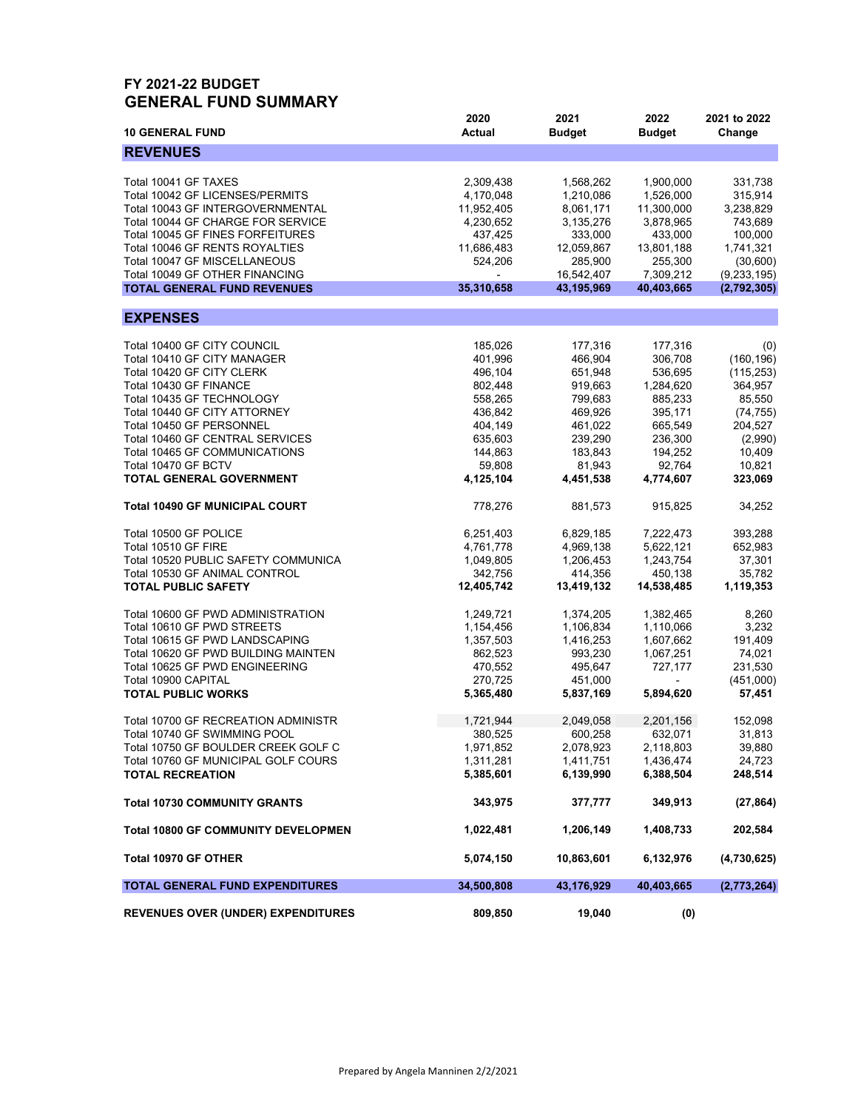#### **FY 2021-22 BUDGET GENERAL FUND SUMMARY**

| <b>10 GENERAL FUND</b>                     | 2020<br><b>Actual</b> | 2021<br><b>Budget</b> | 2022<br><b>Budget</b> | 2021 to 2022<br>Change |
|--------------------------------------------|-----------------------|-----------------------|-----------------------|------------------------|
| <b>REVENUES</b>                            |                       |                       |                       |                        |
|                                            |                       |                       |                       |                        |
| Total 10041 GF TAXES                       | 2,309,438             | 1,568,262             | 1,900,000             | 331,738                |
| Total 10042 GF LICENSES/PERMITS            | 4,170,048             | 1,210,086             | 1,526,000             | 315,914                |
| Total 10043 GF INTERGOVERNMENTAL           | 11,952,405            | 8,061,171             | 11,300,000            | 3,238,829              |
| Total 10044 GF CHARGE FOR SERVICE          | 4,230,652             | 3,135,276             | 3,878,965             | 743,689                |
| Total 10045 GF FINES FORFEITURES           | 437,425               | 333,000               | 433,000               | 100,000                |
| Total 10046 GF RENTS ROYALTIES             | 11,686,483            | 12,059,867            | 13,801,188            | 1,741,321              |
|                                            |                       |                       |                       |                        |
| Total 10047 GF MISCELLANEOUS               | 524,206               | 285,900               | 255,300               | (30,600)               |
| Total 10049 GF OTHER FINANCING             |                       | 16,542,407            | 7,309,212             | (9, 233, 195)          |
| <b>TOTAL GENERAL FUND REVENUES</b>         | 35,310,658            | 43,195,969            | 40,403,665            | (2,792,305)            |
| <b>EXPENSES</b>                            |                       |                       |                       |                        |
|                                            |                       |                       |                       |                        |
| Total 10400 GF CITY COUNCIL                | 185,026               | 177,316               | 177,316               | (0)                    |
| Total 10410 GF CITY MANAGER                | 401,996               | 466,904               | 306,708               | (160, 196)             |
| Total 10420 GF CITY CLERK                  | 496,104               | 651,948               | 536,695               | (115, 253)             |
| Total 10430 GF FINANCE                     | 802,448               | 919,663               | 1,284,620             | 364,957                |
| Total 10435 GF TECHNOLOGY                  | 558,265               | 799,683               | 885,233               | 85,550                 |
|                                            |                       |                       |                       |                        |
| Total 10440 GF CITY ATTORNEY               | 436,842               | 469,926               | 395,171               | (74, 755)              |
| Total 10450 GF PERSONNEL                   | 404,149               | 461,022               | 665,549               | 204,527                |
| Total 10460 GF CENTRAL SERVICES            | 635,603               | 239,290               | 236,300               | (2,990)                |
| Total 10465 GF COMMUNICATIONS              | 144,863               | 183,843               | 194,252               | 10,409                 |
| Total 10470 GF BCTV                        | 59,808                | 81,943                | 92,764                | 10,821                 |
| TOTAL GENERAL GOVERNMENT                   | 4,125,104             | 4,451,538             | 4,774,607             | 323,069                |
| <b>Total 10490 GF MUNICIPAL COURT</b>      | 778,276               | 881,573               | 915,825               | 34,252                 |
| Total 10500 GF POLICE                      |                       | 6,829,185             | 7,222,473             | 393,288                |
|                                            | 6,251,403             |                       |                       |                        |
| Total 10510 GF FIRE                        | 4,761,778             | 4,969,138             | 5,622,121             | 652,983                |
| Total 10520 PUBLIC SAFETY COMMUNICA        | 1,049,805             | 1,206,453             | 1,243,754             | 37,301                 |
| Total 10530 GF ANIMAL CONTROL              | 342,756               | 414,356               | 450,138               | 35,782                 |
| <b>TOTAL PUBLIC SAFETY</b>                 | 12,405,742            | 13,419,132            | 14,538,485            | 1,119,353              |
| Total 10600 GF PWD ADMINISTRATION          | 1,249,721             | 1,374,205             | 1,382,465             | 8,260                  |
| Total 10610 GF PWD STREETS                 | 1,154,456             | 1,106,834             | 1,110,066             | 3,232                  |
|                                            |                       |                       |                       |                        |
| Total 10615 GF PWD LANDSCAPING             | 1,357,503             | 1,416,253             | 1,607,662             | 191,409                |
| Total 10620 GF PWD BUILDING MAINTEN        | 862,523               | 993,230               | 1,067,251             | 74,021                 |
| Total 10625 GF PWD ENGINEERING             | 470,552               | 495,647               | 727,177               | 231,530                |
| Total 10900 CAPITAL                        | 270,725               | 451,000               |                       | (451,000)              |
| <b>TOTAL PUBLIC WORKS</b>                  | 5,365,480             | 5,837,169             | 5,894,620             | 57,451                 |
| Total 10700 GF RECREATION ADMINISTR        | 1,721,944             | 2,049,058             | 2,201,156             | 152,098                |
| Total 10740 GF SWIMMING POOL               | 380,525               | 600,258               | 632,071               | 31,813                 |
|                                            |                       |                       |                       |                        |
| Total 10750 GF BOULDER CREEK GOLF C        | 1,971,852             | 2,078,923             | 2,118,803             | 39,880                 |
| Total 10760 GF MUNICIPAL GOLF COURS        | 1,311,281             | 1,411,751             | 1,436,474             | 24,723                 |
| <b>TOTAL RECREATION</b>                    | 5,385,601             | 6,139,990             | 6,388,504             | 248,514                |
| <b>Total 10730 COMMUNITY GRANTS</b>        | 343,975               | 377,777               | 349,913               | (27, 864)              |
| <b>Total 10800 GF COMMUNITY DEVELOPMEN</b> | 1,022,481             | 1,206,149             | 1,408,733             | 202,584                |
| Total 10970 GF OTHER                       | 5,074,150             | 10,863,601            | 6,132,976             | (4,730,625)            |
| <b>TOTAL GENERAL FUND EXPENDITURES</b>     | 34,500,808            | 43,176,929            | 40,403,665            | (2,773,264)            |
| <b>REVENUES OVER (UNDER) EXPENDITURES</b>  | 809,850               | 19,040                | (0)                   |                        |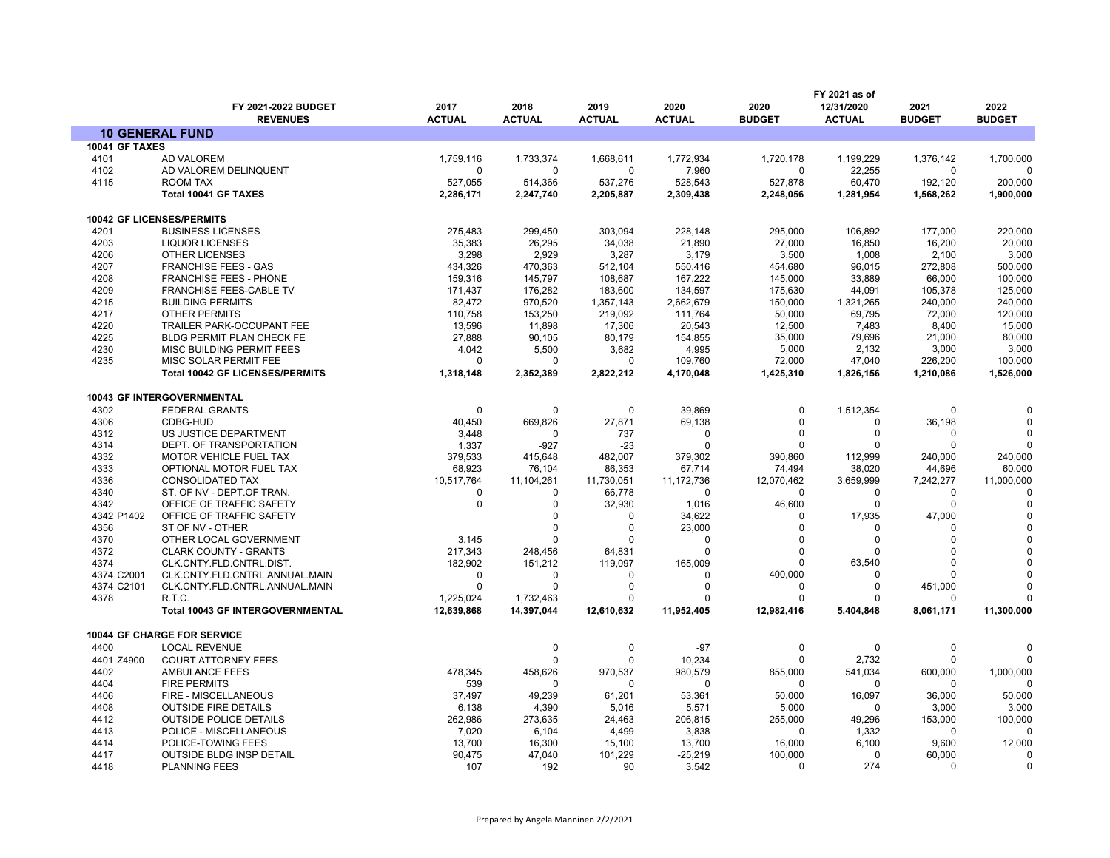|                       | FY 2021-2022 BUDGET                                        | 2017                    | 2018                    | 2019            | 2020                      | 2020                   | FY 2021 as of<br>12/31/2020 | 2021                | 2022          |
|-----------------------|------------------------------------------------------------|-------------------------|-------------------------|-----------------|---------------------------|------------------------|-----------------------------|---------------------|---------------|
|                       | <b>REVENUES</b>                                            | <b>ACTUAL</b>           | <b>ACTUAL</b>           | <b>ACTUAL</b>   | <b>ACTUAL</b>             | <b>BUDGET</b>          | <b>ACTUAL</b>               | <b>BUDGET</b>       | <b>BUDGET</b> |
|                       | <b>10 GENERAL FUND</b>                                     |                         |                         |                 |                           |                        |                             |                     |               |
| <b>10041 GF TAXES</b> |                                                            |                         |                         |                 |                           |                        |                             |                     |               |
| 4101                  | AD VALOREM                                                 | 1,759,116               | 1,733,374               | 1,668,611       | 1,772,934                 | 1,720,178              | 1,199,229                   | 1,376,142           | 1,700,000     |
| 4102                  | AD VALOREM DELINQUENT                                      | $\Omega$                | $\Omega$                | $\mathbf 0$     | 7,960                     | $\Omega$               | 22,255                      | 0                   | $\Omega$      |
| 4115                  | <b>ROOM TAX</b>                                            | 527,055                 | 514,366                 | 537,276         | 528,543                   | 527,878                | 60,470                      | 192,120             | 200,000       |
|                       | Total 10041 GF TAXES                                       | 2,286,171               | 2,247,740               | 2,205,887       | 2,309,438                 | 2,248,056              | 1,281,954                   | 1,568,262           | 1,900,000     |
|                       | 10042 GF LICENSES/PERMITS                                  |                         |                         |                 |                           |                        |                             |                     |               |
| 4201                  | <b>BUSINESS LICENSES</b>                                   | 275,483                 | 299,450                 | 303,094         | 228,148                   | 295,000                | 106,892                     | 177,000             | 220,000       |
| 4203                  | <b>LIQUOR LICENSES</b>                                     | 35,383                  | 26,295                  | 34,038          | 21,890                    | 27,000                 | 16,850                      | 16,200              | 20,000        |
| 4206                  | <b>OTHER LICENSES</b>                                      | 3,298                   | 2,929                   | 3,287           | 3,179                     | 3,500                  | 1,008                       | 2,100               | 3,000         |
| 4207                  | <b>FRANCHISE FEES - GAS</b>                                | 434,326                 | 470,363                 | 512,104         | 550,416                   | 454,680                | 96,015                      | 272,808             | 500,000       |
| 4208                  | <b>FRANCHISE FEES - PHONE</b>                              | 159,316                 | 145,797                 | 108.687         | 167,222                   | 145,000                | 33.889                      | 66,000              | 100,000       |
| 4209                  | FRANCHISE FEES-CABLE TV                                    | 171,437                 | 176,282                 | 183,600         | 134,597                   | 175,630                | 44,091                      | 105,378             | 125,000       |
| 4215                  | <b>BUILDING PERMITS</b>                                    | 82,472                  | 970,520                 | 1,357,143       | 2,662,679                 | 150,000                | 1,321,265                   | 240,000             | 240,000       |
| 4217                  | <b>OTHER PERMITS</b>                                       | 110,758                 | 153,250                 | 219,092         | 111,764                   | 50,000                 | 69,795                      | 72,000              | 120,000       |
| 4220                  | TRAILER PARK-OCCUPANT FEE                                  | 13,596                  | 11,898                  | 17,306          | 20,543                    | 12,500                 | 7,483                       | 8,400               | 15,000        |
| 4225                  | BLDG PERMIT PLAN CHECK FE                                  | 27,888                  | 90,105                  | 80.179          | 154.855                   | 35.000                 | 79.696                      | 21,000              | 80,000        |
| 4230                  | MISC BUILDING PERMIT FEES                                  | 4,042                   | 5,500                   | 3,682           | 4,995                     | 5,000                  | 2,132                       | 3,000               | 3,000         |
| 4235                  | MISC SOLAR PERMIT FEE                                      | ŋ                       | $\Omega$                | $\Omega$        | 109,760                   | 72,000                 | 47,040                      | 226,200             | 100,000       |
|                       | <b>Total 10042 GF LICENSES/PERMITS</b>                     | 1,318,148               | 2,352,389               | 2,822,212       | 4,170,048                 | 1,425,310              | 1,826,156                   | 1,210,086           | 1,526,000     |
|                       | 10043 GF INTERGOVERNMENTAL                                 |                         |                         |                 |                           |                        |                             |                     |               |
| 4302                  | <b>FEDERAL GRANTS</b>                                      | $\Omega$                | 0                       | 0               | 39,869                    | 0                      | 1,512,354                   | 0                   |               |
| 4306                  | CDBG-HUD                                                   | 40,450                  | 669,826                 | 27,871          | 69,138                    | $\Omega$               | $\Omega$                    | 36,198              |               |
| 4312                  | US JUSTICE DEPARTMENT                                      | 3,448                   | $\Omega$                | 737             | 0                         | $\Omega$               | $\Omega$                    | 0                   |               |
| 4314                  | DEPT. OF TRANSPORTATION                                    | 1,337                   | $-927$                  | $-23$           | 0                         | ŋ                      | $\Omega$                    | <sup>0</sup>        |               |
| 4332                  | MOTOR VEHICLE FUEL TAX                                     | 379,533                 | 415,648                 | 482,007         | 379,302                   | 390,860                | 112,999                     | 240,000             | 240,000       |
| 4333                  | OPTIONAL MOTOR FUEL TAX                                    | 68,923                  | 76,104                  | 86,353          | 67,714                    | 74,494                 | 38,020                      | 44,696              | 60,000        |
| 4336                  | <b>CONSOLIDATED TAX</b>                                    | 10,517,764              | 11,104,261              | 11,730,051      | 11,172,736                | 12,070,462             | 3,659,999                   | 7,242,277           | 11,000,000    |
| 4340                  | ST. OF NV - DEPT.OF TRAN.                                  | $\Omega$                | $\Omega$                | 66,778          | $\Omega$                  | $\Omega$               | $\Omega$                    | 0                   |               |
| 4342                  | OFFICE OF TRAFFIC SAFETY                                   | 0                       | 0                       | 32,930          | 1,016                     | 46,600                 | $\Omega$                    | 0                   |               |
| 4342 P1402            | OFFICE OF TRAFFIC SAFETY                                   |                         | $\Omega$                | $\mathbf 0$     | 34,622                    | $\Omega$               | 17,935                      | 47,000              |               |
| 4356                  | ST OF NV - OTHER                                           |                         | $\Omega$                | $\mathbf 0$     | 23,000                    | $\Omega$               | $\Omega$                    | 0                   |               |
| 4370                  | OTHER LOCAL GOVERNMENT                                     | 3,145                   |                         | $\Omega$        | 0                         | $\Omega$               | $\Omega$                    | 0                   |               |
| 4372                  | <b>CLARK COUNTY - GRANTS</b>                               | 217,343                 | 248,456                 | 64,831          | $\Omega$                  | $\Omega$               | $\Omega$                    | 0                   |               |
| 4374                  | CLK.CNTY.FLD.CNTRL.DIST.                                   | 182,902                 | 151,212                 | 119,097         | 165,009                   | $\Omega$               | 63,540                      | 0                   |               |
| 4374 C2001            | CLK.CNTY.FLD.CNTRL.ANNUAL.MAIN                             | 0                       | $\Omega$                | -0              | 0                         | 400,000                | $\Omega$                    | 0                   |               |
| 4374 C2101            | CLK.CNTY.FLD.CNTRL.ANNUAL.MAIN                             | $\mathbf{0}$            | $\Omega$                | $\mathbf 0$     | $\mathbf 0$               | $\Omega$               | 0                           | 451,000             |               |
| 4378                  | R.T.C.<br><b>Total 10043 GF INTERGOVERNMENTAL</b>          | 1,225,024<br>12,639,868 | 1,732,463<br>14,397,044 | 0<br>12,610,632 | $\mathbf 0$<br>11,952,405 | $\Omega$<br>12,982,416 | $\Omega$<br>5,404,848       | 0<br>8,061,171      | 11,300,000    |
|                       |                                                            |                         |                         |                 |                           |                        |                             |                     |               |
| 4400                  | <b>10044 GF CHARGE FOR SERVICE</b><br><b>LOCAL REVENUE</b> |                         | 0                       | 0               | $-97$                     | 0                      | $\mathbf 0$                 | 0                   |               |
| 4401 Z4900            | <b>COURT ATTORNEY FEES</b>                                 |                         | $\Omega$                | $\Omega$        | 10,234                    | $\Omega$               | 2,732                       | $\Omega$            |               |
|                       | AMBULANCE FEES                                             |                         |                         |                 |                           | 855,000                | 541,034                     | 600,000             | 1,000,000     |
| 4402<br>4404          | <b>FIRE PERMITS</b>                                        | 478,345<br>539          | 458,626<br>$\Omega$     | 970,537<br>-0   | 980,579<br>$\Omega$       | O                      | $\Omega$                    | 0                   |               |
| 4406                  |                                                            |                         |                         |                 |                           | 50,000                 | 16,097                      | 36,000              | 50,000        |
|                       | FIRE - MISCELLANEOUS                                       | 37,497                  | 49,239                  | 61,201          | 53,361                    |                        | $\Omega$                    |                     |               |
| 4408<br>4412          | <b>OUTSIDE FIRE DETAILS</b>                                | 6,138                   | 4,390                   | 5,016           | 5,571                     | 5,000                  |                             | 3,000               | 3,000         |
|                       | <b>OUTSIDE POLICE DETAILS</b>                              | 262,986                 | 273,635                 | 24,463          | 206,815                   | 255,000<br>$\Omega$    | 49,296<br>1,332             | 153,000<br>$\Omega$ | 100,000       |
| 4413<br>4414          | POLICE - MISCELLANEOUS                                     | 7,020<br>13,700         | 6,104<br>16,300         | 4,499<br>15,100 | 3,838                     | 16,000                 | 6,100                       | 9,600               |               |
|                       | POLICE-TOWING FEES                                         |                         |                         |                 | 13,700                    | 100,000                | 0                           | 60,000              | 12,000<br>0   |
| 4417<br>4418          | <b>OUTSIDE BLDG INSP DETAIL</b><br><b>PLANNING FEES</b>    | 90,475<br>107           | 47,040<br>192           | 101,229<br>90   | $-25,219$<br>3.542        | $\Omega$               | 274                         | $\Omega$            | $\Omega$      |
|                       |                                                            |                         |                         |                 |                           |                        |                             |                     |               |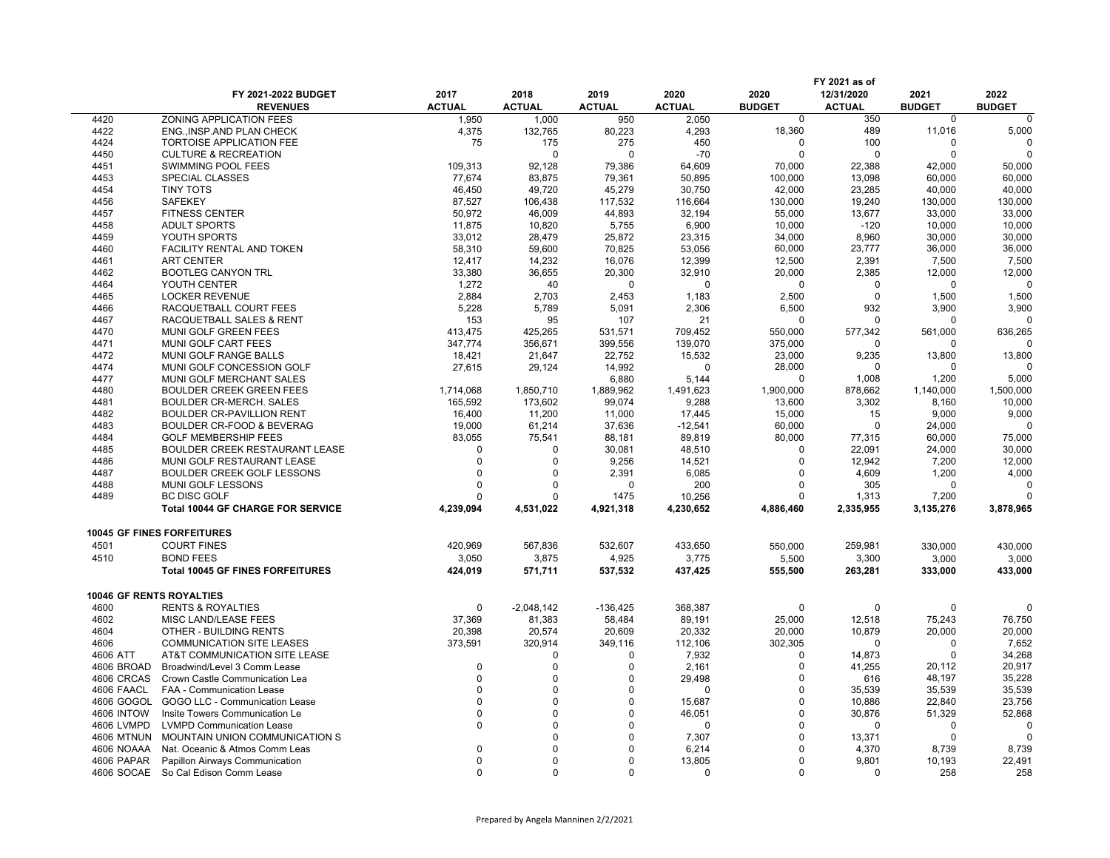|                   |                                          |               |               |               |               |               | FY 2021 as of      |                    |               |
|-------------------|------------------------------------------|---------------|---------------|---------------|---------------|---------------|--------------------|--------------------|---------------|
|                   | FY 2021-2022 BUDGET                      | 2017          | 2018          | 2019          | 2020          | 2020          | 12/31/2020         | 2021               | 2022          |
|                   | <b>REVENUES</b>                          | <b>ACTUAL</b> | <b>ACTUAL</b> | <b>ACTUAL</b> | <b>ACTUAL</b> | <b>BUDGET</b> | <b>ACTUAL</b>      | <b>BUDGET</b>      | <b>BUDGET</b> |
| 4420              | ZONING APPLICATION FEES                  | 1,950         | 1,000         | 950           | 2,050         | $\Omega$      | 350                | $\mathbf 0$        | $\Omega$      |
| 4422              | ENG., INSP.AND PLAN CHECK                | 4,375         | 132,765       | 80,223        | 4,293         | 18,360        | 489                | 11,016             | 5,000         |
| 4424              | <b>TORTOISE APPLICATION FEE</b>          | 75            | 175           | 275           | 450           | 0             | 100                | 0                  | $\Omega$      |
| 4450              | <b>CULTURE &amp; RECREATION</b>          |               | $\Omega$      | $\Omega$      | $-70$         | $\Omega$      | $\Omega$           | $\mathbf 0$        |               |
| 4451              | SWIMMING POOL FEES                       | 109,313       | 92,128        | 79,386        | 64,609        | 70,000        | 22,388             | 42,000             | 50,000        |
| 4453              | SPECIAL CLASSES                          | 77,674        | 83,875        | 79,361        | 50,895        | 100,000       | 13,098             | 60,000             | 60,000        |
|                   |                                          | 46,450        |               |               |               |               |                    |                    |               |
| 4454              | <b>TINY TOTS</b>                         |               | 49,720        | 45,279        | 30,750        | 42,000        | 23,285             | 40,000             | 40,000        |
| 4456              | <b>SAFEKEY</b>                           | 87.527        | 106.438       | 117,532       | 116,664       | 130,000       | 19,240             | 130,000            | 130,000       |
| 4457              | <b>FITNESS CENTER</b>                    | 50,972        | 46,009        | 44,893        | 32,194        | 55,000        | 13,677             | 33,000             | 33,000        |
| 4458              | <b>ADULT SPORTS</b>                      | 11,875        | 10,820        | 5,755         | 6,900         | 10,000        | $-120$             | 10,000             | 10,000        |
| 4459              | YOUTH SPORTS                             | 33,012        | 28,479        | 25,872        | 23,315        | 34,000        | 8,960              | 30,000             | 30,000        |
| 4460              | FACILITY RENTAL AND TOKEN                | 58,310        | 59,600        | 70,825        | 53,056        | 60,000        | 23,777             | 36,000             | 36,000        |
| 4461              | <b>ART CENTER</b>                        | 12,417        | 14,232        | 16,076        | 12,399        | 12,500        | 2,391              | 7,500              | 7,500         |
| 4462              | <b>BOOTLEG CANYON TRL</b>                | 33,380        | 36,655        | 20,300        | 32,910        | 20,000        | 2,385              | 12,000             | 12,000        |
| 4464              | YOUTH CENTER                             | 1,272         | 40            | 0             | 0             | $\Omega$      | $\Omega$           | $\Omega$           |               |
| 4465              | <b>LOCKER REVENUE</b>                    | 2,884         | 2,703         | 2,453         | 1,183         | 2,500         | $\Omega$           | 1,500              | 1,500         |
| 4466              | RACQUETBALL COURT FEES                   | 5,228         | 5,789         | 5,091         | 2,306         | 6,500         | 932                | 3,900              | 3,900         |
| 4467              | RACQUETBALL SALES & RENT                 | 153           | 95            | 107           | 21            | $\Omega$      | $\Omega$           | 0                  |               |
| 4470              | MUNI GOLF GREEN FEES                     | 413,475       | 425,265       | 531,571       | 709,452       | 550,000       | 577,342            | 561,000            | 636,265       |
| 4471              | MUNI GOLF CART FEES                      | 347,774       | 356,671       | 399,556       |               | 375,000       | $\Omega$           | U                  |               |
|                   |                                          |               |               |               | 139,070       |               |                    |                    |               |
| 4472              | MUNI GOLF RANGE BALLS                    | 18,421        | 21,647        | 22,752        | 15,532        | 23,000        | 9,235              | 13,800             | 13,800        |
| 4474              | MUNI GOLF CONCESSION GOLF                | 27,615        | 29,124        | 14,992        | $\Omega$      | 28,000        | $\Omega$           | 0                  |               |
| 4477              | <b>MUNI GOLF MERCHANT SALES</b>          |               |               | 6.880         | 5,144         | $\Omega$      | 1,008              | 1,200              | 5,000         |
| 4480              | <b>BOULDER CREEK GREEN FEES</b>          | 1,714,068     | 1,850,710     | 1,889,962     | 1,491,623     | 1,900,000     | 878,662            | 1,140,000          | 1,500,000     |
| 4481              | <b>BOULDER CR-MERCH, SALES</b>           | 165.592       | 173.602       | 99.074        | 9,288         | 13,600        | 3,302              | 8,160              | 10,000        |
| 4482              | BOULDER CR-PAVILLION RENT                | 16,400        | 11,200        | 11,000        | 17,445        | 15,000        | 15                 | 9,000              | 9,000         |
| 4483              | <b>BOULDER CR-FOOD &amp; BEVERAG</b>     | 19,000        | 61,214        | 37,636        | $-12,541$     | 60,000        | $\Omega$           | 24,000             |               |
| 4484              | <b>GOLF MEMBERSHIP FEES</b>              | 83,055        | 75,541        | 88,181        | 89,819        | 80,000        | 77,315             | 60,000             | 75,000        |
| 4485              | BOULDER CREEK RESTAURANT LEASE           | $\Omega$      | $\Omega$      | 30,081        | 48,510        | $\Omega$      | 22.091             | 24,000             | 30,000        |
| 4486              | MUNI GOLF RESTAURANT LEASE               | $\Omega$      | $\Omega$      | 9,256         | 14,521        | $\Omega$      | 12,942             | 7,200              | 12,000        |
| 4487              | BOULDER CREEK GOLF LESSONS               | $\Omega$      | $\Omega$      | 2,391         | 6,085         | $\Omega$      | 4,609              | 1,200              | 4,000         |
| 4488              | MUNI GOLF LESSONS                        | $\Omega$      | $\Omega$      | $\Omega$      | 200           | $\Omega$      | 305                | 0                  |               |
| 4489              | <b>BC DISC GOLF</b>                      | $\Omega$      | 0             | 1475          | 10,256        | $\Omega$      |                    |                    |               |
|                   | <b>Total 10044 GF CHARGE FOR SERVICE</b> | 4,239,094     | 4,531,022     | 4,921,318     | 4,230,652     | 4,886,460     | 1,313<br>2,335,955 | 7,200<br>3,135,276 | 3,878,965     |
|                   |                                          |               |               |               |               |               |                    |                    |               |
|                   | <b>10045 GF FINES FORFEITURES</b>        |               |               |               |               |               |                    |                    |               |
| 4501              | <b>COURT FINES</b>                       | 420,969       | 567,836       | 532,607       | 433,650       | 550,000       | 259,981            | 330,000            | 430,000       |
| 4510              | <b>BOND FEES</b>                         | 3,050         | 3,875         | 4,925         | 3,775         | 5,500         | 3,300              | 3,000              | 3,000         |
|                   | <b>Total 10045 GF FINES FORFEITURES</b>  | 424,019       | 571,711       | 537,532       | 437,425       | 555,500       | 263,281            | 333,000            | 433,000       |
|                   |                                          |               |               |               |               |               |                    |                    |               |
|                   | <b>10046 GF RENTS ROYALTIES</b>          |               |               |               |               |               |                    |                    |               |
| 4600              | <b>RENTS &amp; ROYALTIES</b>             | 0             | $-2,048,142$  | $-136,425$    | 368,387       | 0             | $\Omega$           | 0                  | $\Omega$      |
| 4602              | MISC LAND/LEASE FEES                     | 37,369        | 81,383        | 58,484        | 89,191        | 25,000        | 12,518             | 75,243             | 76,750        |
| 4604              | OTHER - BUILDING RENTS                   | 20,398        | 20,574        | 20,609        | 20,332        | 20,000        | 10,879             | 20,000             | 20,000        |
| 4606              | <b>COMMUNICATION SITE LEASES</b>         | 373,591       | 320,914       | 349,116       | 112,106       | 302,305       | $\Omega$           | 0                  | 7,652         |
| 4606 ATT          | AT&T COMMUNICATION SITE LEASE            |               | $\mathbf 0$   | $\Omega$      | 7,932         | $\Omega$      | 14,873             | 0                  | 34,268        |
| 4606 BROAD        | Broadwind/Level 3 Comm Lease             | $\Omega$      | $\mathbf 0$   | $\Omega$      | 2,161         | $\Omega$      | 41,255             | 20,112             | 20,917        |
| 4606 CRCAS        | Crown Castle Communication Lea           | $\Omega$      | $\mathbf 0$   | $\Omega$      | 29,498        | $\Omega$      | 616                | 48,197             | 35,228        |
| 4606 FAACL        | <b>FAA - Communication Lease</b>         | $\Omega$      | $\Omega$      | $\Omega$      | $\Omega$      | $\Omega$      | 35,539             | 35,539             | 35,539        |
|                   |                                          | $\Omega$      | $\mathbf 0$   | $\Omega$      |               | $\Omega$      |                    |                    |               |
| 4606 GOGOL        | GOGO LLC - Communication Lease           |               |               |               | 15,687        |               | 10,886             | 22,840             | 23,756        |
| <b>4606 INTOW</b> | Insite Towers Communication Le           | $\Omega$      | $\mathbf 0$   | $\Omega$      | 46,051        | $\Omega$      | 30,876             | 51,329             | 52,868        |
| 4606 LVMPD        | <b>LVMPD Communication Lease</b>         | $\Omega$      | $\mathbf 0$   | $\Omega$      | $\Omega$      | $\Omega$      | $\Omega$           | $\Omega$           |               |
| <b>4606 MTNUN</b> | MOUNTAIN UNION COMMUNICATION S           |               | $\Omega$      | $\Omega$      | 7,307         | $\Omega$      | 13,371             | $\mathbf 0$        |               |
| 4606 NOAAA        | Nat. Oceanic & Atmos Comm Leas           | $\Omega$      | $\Omega$      | $\Omega$      | 6,214         | $\Omega$      | 4,370              | 8,739              | 8,739         |
| 4606 PAPAR        | Papillon Airways Communication           | $\Omega$      | $\Omega$      | $\Omega$      | 13,805        | $\Omega$      | 9.801              | 10,193             | 22.491        |
| 4606 SOCAE        | So Cal Edison Comm Lease                 | $\Omega$      | $\Omega$      | $\Omega$      | $\Omega$      | $\Omega$      | $\Omega$           | 258                | 258           |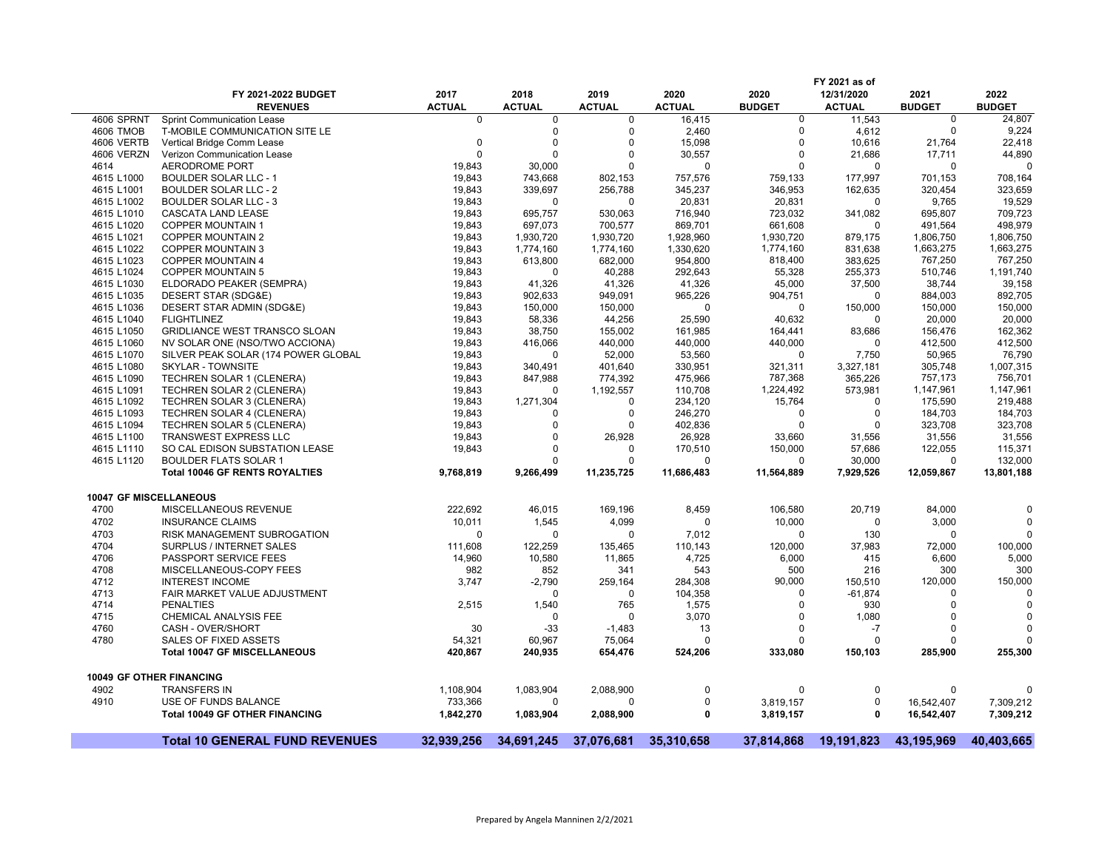|                        |                                       |               |               |               |               |               | FY 2021 as of |               |               |
|------------------------|---------------------------------------|---------------|---------------|---------------|---------------|---------------|---------------|---------------|---------------|
|                        | FY 2021-2022 BUDGET                   | 2017          | 2018          | 2019          | 2020          | 2020          | 12/31/2020    | 2021          | 2022          |
|                        | <b>REVENUES</b>                       | <b>ACTUAL</b> | <b>ACTUAL</b> | <b>ACTUAL</b> | <b>ACTUAL</b> | <b>BUDGET</b> | <b>ACTUAL</b> | <b>BUDGET</b> | <b>BUDGET</b> |
| 4606 SPRNT             | <b>Sprint Communication Lease</b>     | $\Omega$      | $\Omega$      | $\mathbf 0$   | 16,415        | $\mathbf 0$   | 11,543        | $\mathbf 0$   | 24,807        |
| 4606 TMOB              | T-MOBILE COMMUNICATION SITE LE        |               | $\mathbf 0$   | 0             | 2,460         | $\mathbf 0$   | 4,612         | $\mathbf 0$   | 9,224         |
| <b>4606 VERTB</b>      | Vertical Bridge Comm Lease            | $\mathbf 0$   | $\mathbf 0$   | 0             | 15,098        | $\Omega$      | 10,616        | 21,764        | 22,418        |
| 4606 VERZN             | Verizon Communication Lease           | $\Omega$      | $\Omega$      | 0             | 30,557        | $\Omega$      | 21,686        | 17,711        | 44,890        |
| 4614                   | AERODROME PORT                        | 19,843        | 30,000        | $\Omega$      | $\Omega$      | $\Omega$      | $\Omega$      | $\Omega$      | $\sqrt{ }$    |
| 4615 L1000             | <b>BOULDER SOLAR LLC - 1</b>          | 19,843        | 743,668       | 802,153       | 757,576       | 759.133       | 177,997       | 701,153       | 708,164       |
| 4615 L1001             | <b>BOULDER SOLAR LLC - 2</b>          | 19,843        | 339,697       | 256,788       | 345,237       | 346,953       | 162,635       | 320,454       | 323,659       |
| 4615 L1002             | <b>BOULDER SOLAR LLC - 3</b>          | 19,843        | 0             | $\Omega$      | 20,831        | 20,831        | 0             | 9,765         | 19,529        |
| 4615 L1010             | CASCATA LAND LEASE                    | 19,843        | 695,757       | 530,063       | 716,940       | 723,032       | 341,082       | 695,807       | 709,723       |
| 4615 L1020             | <b>COPPER MOUNTAIN 1</b>              | 19,843        | 697,073       | 700,577       | 869,701       | 661,608       | $\Omega$      | 491,564       | 498,979       |
| 4615 L1021             | <b>COPPER MOUNTAIN 2</b>              | 19,843        | 1,930,720     | 1,930,720     | 1,928,960     | 1,930,720     | 879,175       | 1,806,750     | 1,806,750     |
| 4615 L1022             | <b>COPPER MOUNTAIN 3</b>              | 19,843        | 1,774,160     | 1,774,160     | 1,330,620     | 1,774,160     | 831,638       | 1,663,275     | 1,663,275     |
| 4615 L1023             | <b>COPPER MOUNTAIN 4</b>              | 19,843        | 613,800       | 682,000       | 954,800       | 818,400       | 383,625       | 767,250       | 767,250       |
| 4615 L1024             | <b>COPPER MOUNTAIN 5</b>              | 19,843        | $\Omega$      | 40,288        | 292,643       | 55,328        | 255,373       | 510,746       | 1,191,740     |
| 4615 L1030             | ELDORADO PEAKER (SEMPRA)              | 19,843        | 41,326        | 41,326        | 41,326        | 45,000        | 37,500        | 38,744        | 39,158        |
| 4615 L1035             | DESERT STAR (SDG&E)                   | 19,843        | 902,633       | 949,091       | 965,226       | 904,751       | $\Omega$      | 884,003       | 892,705       |
| 4615 L1036             | DESERT STAR ADMIN (SDG&E)             | 19,843        | 150,000       | 150,000       | n             | $\Omega$      | 150,000       | 150,000       | 150,000       |
| 4615 L1040             | <b>FLIGHTLINEZ</b>                    | 19,843        | 58,336        | 44,256        | 25,590        | 40,632        | 0             | 20,000        | 20,000        |
| 4615 L1050             | <b>GRIDLIANCE WEST TRANSCO SLOAN</b>  | 19,843        | 38,750        | 155,002       | 161,985       | 164,441       | 83,686        | 156,476       | 162,362       |
| 4615 L1060             | NV SOLAR ONE (NSO/TWO ACCIONA)        | 19,843        | 416,066       | 440,000       | 440,000       | 440,000       | $\Omega$      | 412,500       | 412,500       |
| 4615 L1070             | SILVER PEAK SOLAR (174 POWER GLOBAL   | 19,843        | $\Omega$      | 52,000        | 53,560        | $\Omega$      | 7,750         | 50,965        | 76,790        |
| 4615 L1080             | <b>SKYLAR - TOWNSITE</b>              | 19,843        | 340,491       | 401,640       | 330,951       | 321,311       | 3,327,181     | 305,748       | 1,007,315     |
| 4615 L1090             | TECHREN SOLAR 1 (CLENERA)             | 19,843        | 847,988       | 774,392       | 475,966       | 787,368       | 365,226       | 757,173       | 756,701       |
| 4615 L1091             | TECHREN SOLAR 2 (CLENERA)             | 19,843        | $\Omega$      | 1,192,557     | 110,708       | 1,224,492     | 573,981       | 1,147,961     | 1,147,961     |
| 4615 L1092             | TECHREN SOLAR 3 (CLENERA)             | 19,843        | 1,271,304     | 0             | 234,120       | 15,764        | 0             | 175,590       | 219,488       |
| 4615 L1093             | TECHREN SOLAR 4 (CLENERA)             | 19,843        | $\Omega$      | 0             | 246,270       | $\Omega$      | $\mathbf 0$   | 184,703       | 184,703       |
| 4615 L1094             | TECHREN SOLAR 5 (CLENERA)             | 19,843        | $\Omega$      | 0             | 402,836       | $\Omega$      | $\mathbf 0$   | 323,708       | 323,708       |
| 4615 L1100             | <b>TRANSWEST EXPRESS LLC</b>          | 19,843        | $\mathbf 0$   | 26,928        | 26,928        | 33,660        | 31,556        | 31,556        | 31,556        |
| 4615 L1110             | SO CAL EDISON SUBSTATION LEASE        | 19,843        | $\Omega$      | $\Omega$      | 170,510       | 150,000       | 57,686        | 122,055       | 115,371       |
| 4615 L1120             | <b>BOULDER FLATS SOLAR 1</b>          |               | $\Omega$      | 0             | $\Omega$      | $\Omega$      | 30,000        | 0             | 132,000       |
|                        | <b>Total 10046 GF RENTS ROYALTIES</b> | 9,768,819     | 9,266,499     | 11,235,725    | 11,686,483    | 11,564,889    | 7,929,526     | 12,059,867    | 13,801,188    |
|                        |                                       |               |               |               |               |               |               |               |               |
| 10047 GF MISCELLANEOUS |                                       |               |               |               |               |               |               |               |               |
|                        |                                       |               |               |               |               |               |               |               |               |
| 4700                   | MISCELLANEOUS REVENUE                 | 222,692       | 46,015        | 169,196       | 8,459         | 106,580       | 20,719        | 84,000        | C             |
| 4702                   | <b>INSURANCE CLAIMS</b>               | 10,011        | 1,545         | 4,099         | $\Omega$      | 10,000        | 0             | 3,000         | $\Omega$      |
| 4703                   | RISK MANAGEMENT SUBROGATION           | $\Omega$      | $\Omega$      | 0             | 7,012         | $\Omega$      | 130           | $\Omega$      | $\sqrt{ }$    |
| 4704                   | SURPLUS / INTERNET SALES              | 111,608       | 122,259       | 135,465       | 110,143       | 120,000       | 37,983        | 72,000        | 100,000       |
| 4706                   | PASSPORT SERVICE FEES                 | 14,960        | 10,580        | 11,865        | 4,725         | 6,000         | 415           | 6,600         | 5,000         |
| 4708                   | MISCELLANEOUS-COPY FEES               | 982           | 852           | 341           | 543           | 500           | 216           | 300           | 300           |
| 4712                   | <b>INTEREST INCOME</b>                | 3,747         | $-2,790$      | 259,164       | 284,308       | 90,000        | 150,510       | 120,000       | 150,000       |
| 4713                   | FAIR MARKET VALUE ADJUSTMENT          |               | 0             | 0             | 104,358       | $\Omega$      | $-61,874$     | $\Omega$      | $\mathsf{C}$  |
| 4714                   | <b>PENALTIES</b>                      | 2,515         | 1,540         | 765           | 1,575         | $\Omega$      | 930           | $\Omega$      | $\mathsf{C}$  |
| 4715                   | CHEMICAL ANALYSIS FEE                 |               | $\Omega$      | $\Omega$      | 3,070         | $\Omega$      | 1,080         | $\Omega$      | C             |
| 4760                   | CASH - OVER/SHORT                     | 30            | $-33$         | $-1,483$      | 13            | $\Omega$      | -7            | $\Omega$      | $\Omega$      |
| 4780                   | SALES OF FIXED ASSETS                 | 54,321        | 60,967        | 75,064        | $\Omega$      | $\Omega$      | 0             | $\Omega$      | $\mathsf{C}$  |
|                        | <b>Total 10047 GF MISCELLANEOUS</b>   | 420,867       | 240,935       | 654,476       | 524,206       | 333,080       | 150,103       | 285,900       | 255,300       |
|                        | <b>10049 GF OTHER FINANCING</b>       |               |               |               |               |               |               |               |               |
|                        |                                       |               |               |               | $\Omega$      |               | $\Omega$      |               |               |
| 4902                   | <b>TRANSFERS IN</b>                   | 1,108,904     | 1,083,904     | 2,088,900     |               | 0             |               | 0             | C             |
| 4910                   | USE OF FUNDS BALANCE                  | 733,366       | $\Omega$      | $\Omega$      | $\Omega$      | 3,819,157     | 0             | 16,542,407    | 7,309,212     |
|                        | <b>Total 10049 GF OTHER FINANCING</b> | 1,842,270     | 1,083,904     | 2,088,900     | 0             | 3,819,157     | 0             | 16,542,407    | 7,309,212     |
|                        | <b>Total 10 GENERAL FUND REVENUES</b> | 32.939.256    | 34.691.245    | 37.076.681    | 35.310.658    | 37.814.868    | 19.191.823    | 43.195.969    | 40.403.665    |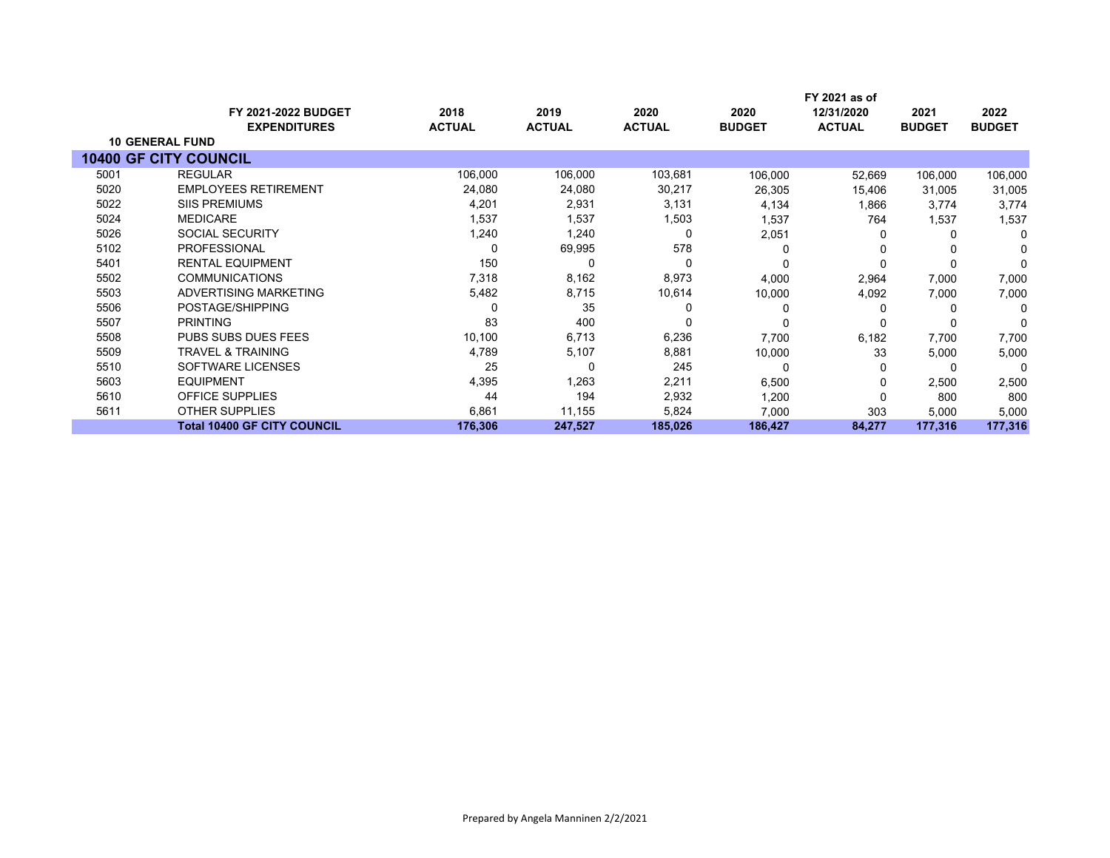|      |                                    |               |               |               |               | FY 2021 as of |               |               |
|------|------------------------------------|---------------|---------------|---------------|---------------|---------------|---------------|---------------|
|      | <b>FY 2021-2022 BUDGET</b>         | 2018          | 2019          | 2020          | 2020          | 12/31/2020    | 2021          | 2022          |
|      | <b>EXPENDITURES</b>                | <b>ACTUAL</b> | <b>ACTUAL</b> | <b>ACTUAL</b> | <b>BUDGET</b> | <b>ACTUAL</b> | <b>BUDGET</b> | <b>BUDGET</b> |
|      | <b>10 GENERAL FUND</b>             |               |               |               |               |               |               |               |
|      | <b>10400 GF CITY COUNCIL</b>       |               |               |               |               |               |               |               |
| 5001 | <b>REGULAR</b>                     | 106,000       | 106,000       | 103,681       | 106,000       | 52,669        | 106,000       | 106,000       |
| 5020 | <b>EMPLOYEES RETIREMENT</b>        | 24,080        | 24,080        | 30,217        | 26,305        | 15,406        | 31,005        | 31,005        |
| 5022 | <b>SIIS PREMIUMS</b>               | 4,201         | 2,931         | 3,131         | 4,134         | 1,866         | 3.774         | 3,774         |
| 5024 | <b>MEDICARE</b>                    | 1,537         | 1,537         | 1,503         | 1,537         | 764           | 1,537         | 1,537         |
| 5026 | <b>SOCIAL SECURITY</b>             | 1,240         | 1,240         | 0             | 2,051         | 0             | $\Omega$      | $\Omega$      |
| 5102 | <b>PROFESSIONAL</b>                |               | 69,995        | 578           |               | <sup>0</sup>  |               | O             |
| 5401 | <b>RENTAL EQUIPMENT</b>            | 150           | 0             | 0             |               |               |               | $\Omega$      |
| 5502 | <b>COMMUNICATIONS</b>              | 7,318         | 8,162         | 8,973         | 4,000         | 2,964         | 7,000         | 7,000         |
| 5503 | ADVERTISING MARKETING              | 5,482         | 8,715         | 10,614        | 10,000        | 4,092         | 7,000         | 7,000         |
| 5506 | POSTAGE/SHIPPING                   |               | 35            |               |               | O             |               | 0             |
| 5507 | <b>PRINTING</b>                    | 83            | 400           | 0             |               |               |               | $\Omega$      |
| 5508 | PUBS SUBS DUES FEES                | 10,100        | 6,713         | 6,236         | 7,700         | 6,182         | 7,700         | 7,700         |
| 5509 | <b>TRAVEL &amp; TRAINING</b>       | 4,789         | 5,107         | 8,881         | 10,000        | 33            | 5,000         | 5,000         |
| 5510 | SOFTWARE LICENSES                  | 25            | 0             | 245           |               | 0             | -C            | $\Omega$      |
| 5603 | <b>EQUIPMENT</b>                   | 4,395         | 1,263         | 2,211         | 6,500         | 0             | 2,500         | 2,500         |
| 5610 | OFFICE SUPPLIES                    | 44            | 194           | 2,932         | 1,200         | 0             | 800           | 800           |
| 5611 | <b>OTHER SUPPLIES</b>              | 6,861         | 11,155        | 5,824         | 7,000         | 303           | 5,000         | 5,000         |
|      | <b>Total 10400 GF CITY COUNCIL</b> | 176,306       | 247,527       | 185,026       | 186,427       | 84,277        | 177,316       | 177,316       |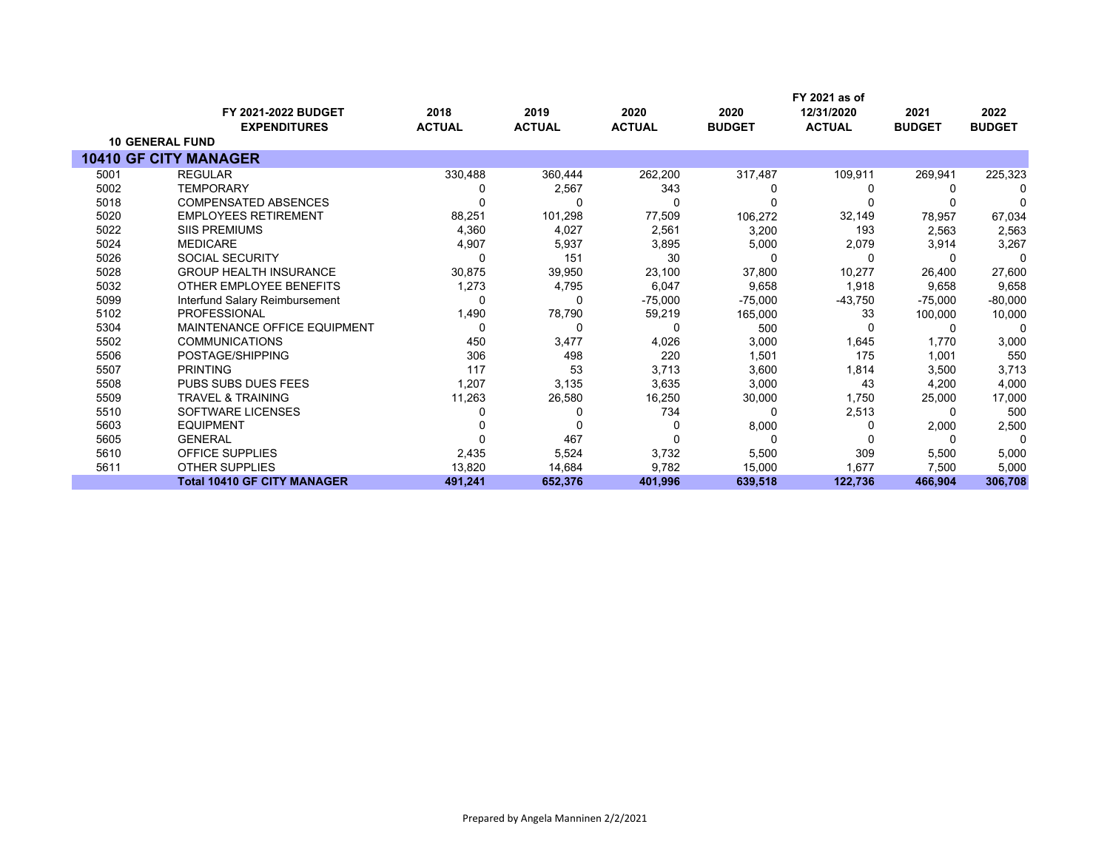|      |                                     |               |               |               |               | FY 2021 as of |               |               |
|------|-------------------------------------|---------------|---------------|---------------|---------------|---------------|---------------|---------------|
|      | FY 2021-2022 BUDGET                 | 2018          | 2019          | 2020          | 2020          | 12/31/2020    | 2021          | 2022          |
|      | <b>EXPENDITURES</b>                 | <b>ACTUAL</b> | <b>ACTUAL</b> | <b>ACTUAL</b> | <b>BUDGET</b> | <b>ACTUAL</b> | <b>BUDGET</b> | <b>BUDGET</b> |
|      | <b>10 GENERAL FUND</b>              |               |               |               |               |               |               |               |
|      | <b>10410 GF CITY MANAGER</b>        |               |               |               |               |               |               |               |
| 5001 | <b>REGULAR</b>                      | 330,488       | 360,444       | 262,200       | 317,487       | 109,911       | 269,941       | 225,323       |
| 5002 | <b>TEMPORARY</b>                    |               | 2,567         | 343           |               |               |               |               |
| 5018 | <b>COMPENSATED ABSENCES</b>         |               |               |               |               |               |               |               |
| 5020 | <b>EMPLOYEES RETIREMENT</b>         | 88,251        | 101,298       | 77,509        | 106,272       | 32,149        | 78,957        | 67,034        |
| 5022 | <b>SIIS PREMIUMS</b>                | 4,360         | 4,027         | 2,561         | 3,200         | 193           | 2,563         | 2,563         |
| 5024 | <b>MEDICARE</b>                     | 4,907         | 5,937         | 3,895         | 5,000         | 2,079         | 3,914         | 3,267         |
| 5026 | <b>SOCIAL SECURITY</b>              |               | 151           | 30            |               | 0             |               | $\Omega$      |
| 5028 | <b>GROUP HEALTH INSURANCE</b>       | 30,875        | 39,950        | 23,100        | 37,800        | 10,277        | 26,400        | 27,600        |
| 5032 | OTHER EMPLOYEE BENEFITS             | 1,273         | 4,795         | 6,047         | 9,658         | 1,918         | 9,658         | 9,658         |
| 5099 | Interfund Salary Reimbursement      | n             |               | $-75,000$     | $-75,000$     | $-43,750$     | $-75,000$     | $-80,000$     |
| 5102 | <b>PROFESSIONAL</b>                 | 1,490         | 78,790        | 59,219        | 165,000       | 33            | 100,000       | 10,000        |
| 5304 | <b>MAINTENANCE OFFICE EQUIPMENT</b> | 0             |               | U             | 500           |               |               |               |
| 5502 | <b>COMMUNICATIONS</b>               | 450           | 3,477         | 4,026         | 3,000         | 1,645         | 1,770         | 3,000         |
| 5506 | POSTAGE/SHIPPING                    | 306           | 498           | 220           | 1,501         | 175           | 1,001         | 550           |
| 5507 | <b>PRINTING</b>                     | 117           | 53            | 3,713         | 3,600         | 1,814         | 3,500         | 3,713         |
| 5508 | PUBS SUBS DUES FEES                 | 1,207         | 3,135         | 3,635         | 3,000         | 43            | 4,200         | 4,000         |
| 5509 | <b>TRAVEL &amp; TRAINING</b>        | 11,263        | 26,580        | 16,250        | 30,000        | 1,750         | 25,000        | 17,000        |
| 5510 | <b>SOFTWARE LICENSES</b>            |               |               | 734           |               | 2,513         |               | 500           |
| 5603 | <b>EQUIPMENT</b>                    |               |               |               | 8,000         | 0             | 2,000         | 2,500         |
| 5605 | <b>GENERAL</b>                      |               | 467           |               |               |               | $\Omega$      | $\Omega$      |
| 5610 | <b>OFFICE SUPPLIES</b>              | 2,435         | 5,524         | 3,732         | 5,500         | 309           | 5,500         | 5,000         |
| 5611 | <b>OTHER SUPPLIES</b>               | 13,820        | 14,684        | 9,782         | 15,000        | 1,677         | 7,500         | 5,000         |
|      | <b>Total 10410 GF CITY MANAGER</b>  | 491,241       | 652,376       | 401,996       | 639,518       | 122.736       | 466,904       | 306,708       |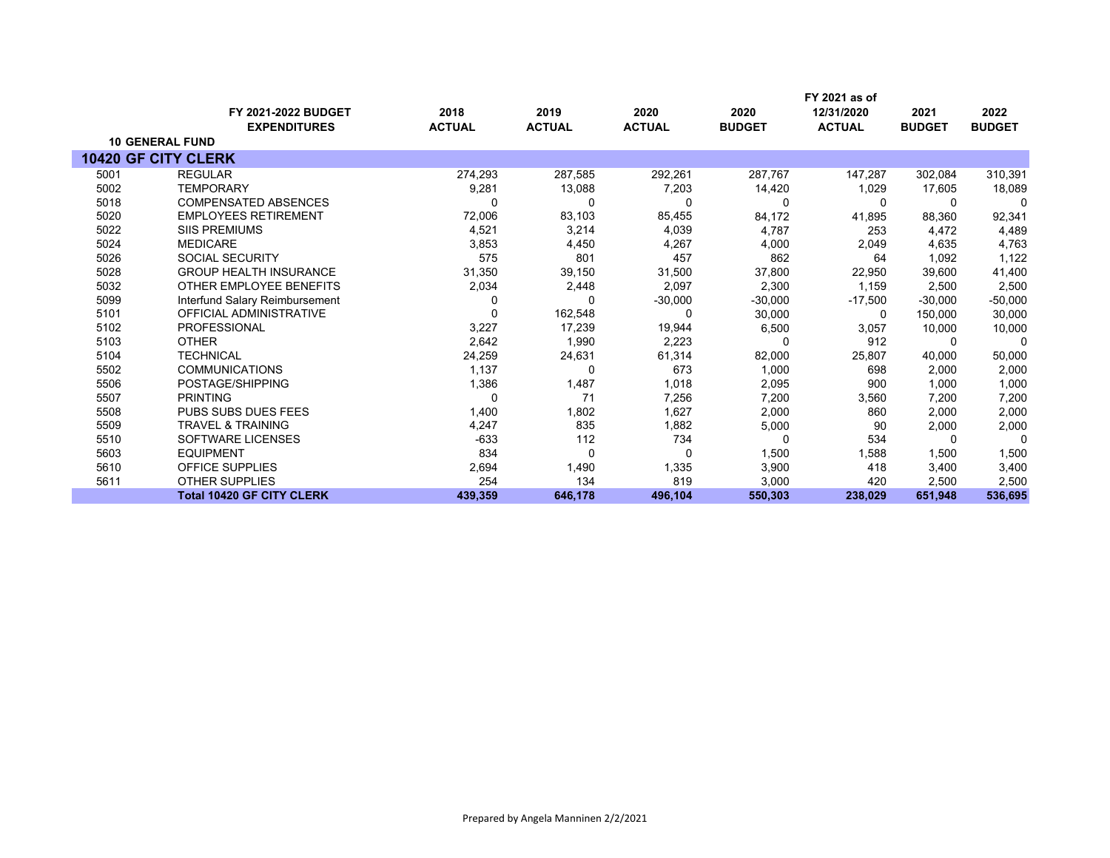|      |                                                   |                       |                       |                       |                       | FY 2021 as of               |                       |                       |
|------|---------------------------------------------------|-----------------------|-----------------------|-----------------------|-----------------------|-----------------------------|-----------------------|-----------------------|
|      | <b>FY 2021-2022 BUDGET</b><br><b>EXPENDITURES</b> | 2018<br><b>ACTUAL</b> | 2019<br><b>ACTUAL</b> | 2020<br><b>ACTUAL</b> | 2020<br><b>BUDGET</b> | 12/31/2020<br><b>ACTUAL</b> | 2021<br><b>BUDGET</b> | 2022<br><b>BUDGET</b> |
|      | <b>10 GENERAL FUND</b>                            |                       |                       |                       |                       |                             |                       |                       |
|      | <b>10420 GF CITY CLERK</b>                        |                       |                       |                       |                       |                             |                       |                       |
| 5001 | <b>REGULAR</b>                                    | 274,293               | 287,585               | 292,261               | 287,767               | 147,287                     | 302,084               | 310,391               |
| 5002 | <b>TEMPORARY</b>                                  | 9,281                 | 13,088                | 7,203                 | 14,420                | 1,029                       | 17,605                | 18,089                |
| 5018 | <b>COMPENSATED ABSENCES</b>                       | 0                     | 0                     | 0                     | $\Omega$              | $\Omega$                    | 0                     | 0                     |
| 5020 | <b>EMPLOYEES RETIREMENT</b>                       | 72,006                | 83,103                | 85,455                | 84,172                | 41,895                      | 88,360                | 92,341                |
| 5022 | <b>SIIS PREMIUMS</b>                              | 4,521                 | 3,214                 | 4,039                 | 4,787                 | 253                         | 4,472                 | 4,489                 |
| 5024 | <b>MEDICARE</b>                                   | 3,853                 | 4,450                 | 4,267                 | 4,000                 | 2,049                       | 4,635                 | 4,763                 |
| 5026 | <b>SOCIAL SECURITY</b>                            | 575                   | 801                   | 457                   | 862                   | 64                          | 1,092                 | 1,122                 |
| 5028 | <b>GROUP HEALTH INSURANCE</b>                     | 31,350                | 39,150                | 31,500                | 37,800                | 22,950                      | 39.600                | 41,400                |
| 5032 | OTHER EMPLOYEE BENEFITS                           | 2,034                 | 2,448                 | 2,097                 | 2,300                 | 1.159                       | 2,500                 | 2,500                 |
| 5099 | Interfund Salary Reimbursement                    | 0                     | 0                     | $-30,000$             | $-30,000$             | $-17,500$                   | $-30.000$             | $-50,000$             |
| 5101 | <b>OFFICIAL ADMINISTRATIVE</b>                    | 0                     | 162,548               | 0                     | 30,000                | $\Omega$                    | 150,000               | 30,000                |
| 5102 | <b>PROFESSIONAL</b>                               | 3,227                 | 17,239                | 19,944                | 6,500                 | 3,057                       | 10,000                | 10,000                |
| 5103 | <b>OTHER</b>                                      | 2,642                 | 1,990                 | 2,223                 |                       | 912                         | 0                     | 0                     |
| 5104 | <b>TECHNICAL</b>                                  | 24,259                | 24,631                | 61,314                | 82,000                | 25,807                      | 40,000                | 50,000                |
| 5502 | <b>COMMUNICATIONS</b>                             | 1,137                 | $\Omega$              | 673                   | 1,000                 | 698                         | 2,000                 | 2,000                 |
| 5506 | POSTAGE/SHIPPING                                  | 1,386                 | 1,487                 | 1,018                 | 2,095                 | 900                         | 1,000                 | 1,000                 |
| 5507 | <b>PRINTING</b>                                   | 0                     | 71                    | 7,256                 | 7,200                 | 3,560                       | 7,200                 | 7,200                 |
| 5508 | <b>PUBS SUBS DUES FEES</b>                        | 1,400                 | 1,802                 | 1,627                 | 2,000                 | 860                         | 2,000                 | 2,000                 |
| 5509 | <b>TRAVEL &amp; TRAINING</b>                      | 4,247                 | 835                   | 1,882                 | 5,000                 | 90                          | 2,000                 | 2,000                 |
| 5510 | <b>SOFTWARE LICENSES</b>                          | $-633$                | 112                   | 734                   | n                     | 534                         | $\Omega$              | $\Omega$              |
| 5603 | <b>EQUIPMENT</b>                                  | 834                   | 0                     | 0                     | 1,500                 | 1,588                       | 1,500                 | 1,500                 |
| 5610 | <b>OFFICE SUPPLIES</b>                            | 2,694                 | 1,490                 | 1,335                 | 3,900                 | 418                         | 3,400                 | 3,400                 |
| 5611 | <b>OTHER SUPPLIES</b>                             | 254                   | 134                   | 819                   | 3,000                 | 420                         | 2,500                 | 2,500                 |
|      | <b>Total 10420 GF CITY CLERK</b>                  | 439,359               | 646,178               | 496,104               | 550,303               | 238,029                     | 651,948               | 536,695               |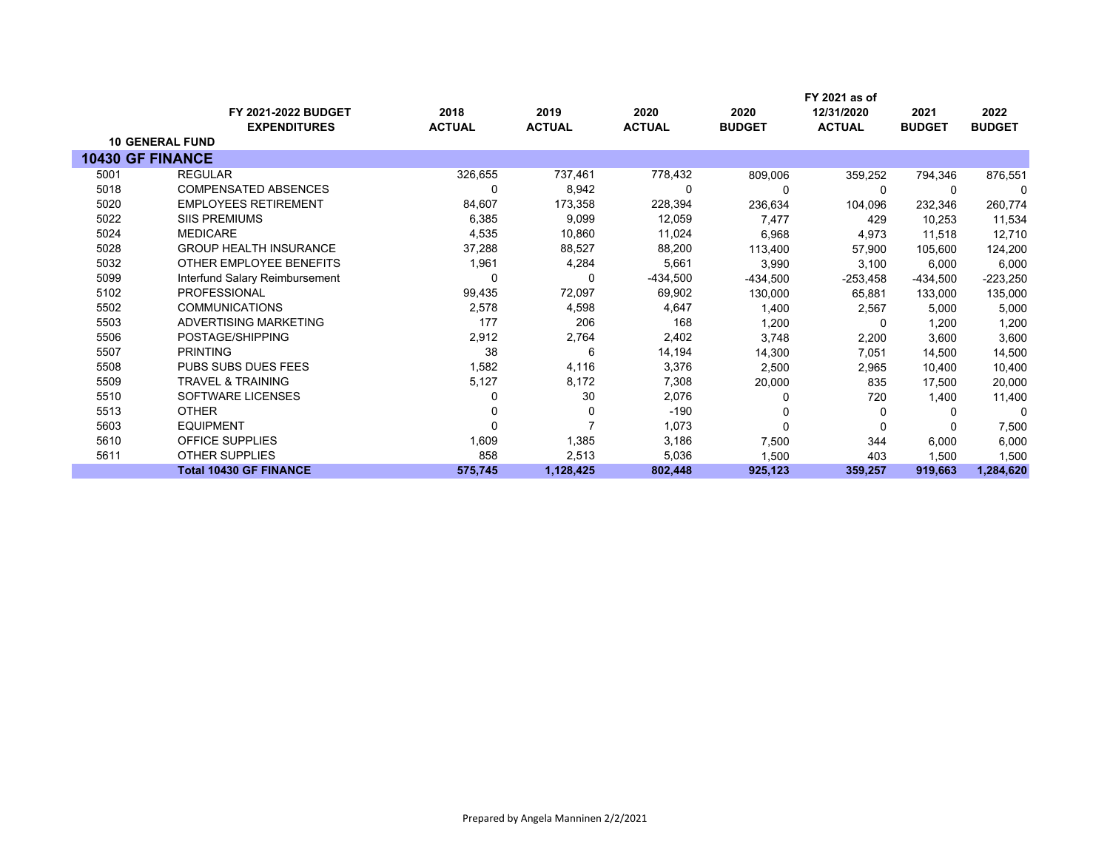|      | <b>FY 2021-2022 BUDGET</b>     | 2018          | 2019          | 2020          | 2020          | FY 2021 as of<br>12/31/2020 | 2021          | 2022          |
|------|--------------------------------|---------------|---------------|---------------|---------------|-----------------------------|---------------|---------------|
|      | <b>EXPENDITURES</b>            | <b>ACTUAL</b> | <b>ACTUAL</b> | <b>ACTUAL</b> | <b>BUDGET</b> | <b>ACTUAL</b>               | <b>BUDGET</b> | <b>BUDGET</b> |
|      | <b>10 GENERAL FUND</b>         |               |               |               |               |                             |               |               |
|      | <b>10430 GF FINANCE</b>        |               |               |               |               |                             |               |               |
| 5001 | <b>REGULAR</b>                 | 326,655       | 737,461       | 778,432       | 809,006       | 359,252                     | 794,346       | 876,551       |
| 5018 | <b>COMPENSATED ABSENCES</b>    | 0             | 8,942         | 0             |               | $\Omega$                    |               |               |
| 5020 | <b>EMPLOYEES RETIREMENT</b>    | 84,607        | 173,358       | 228,394       | 236,634       | 104,096                     | 232,346       | 260,774       |
| 5022 | <b>SIIS PREMIUMS</b>           | 6,385         | 9,099         | 12,059        | 7,477         | 429                         | 10,253        | 11,534        |
| 5024 | <b>MEDICARE</b>                | 4,535         | 10,860        | 11,024        | 6,968         | 4,973                       | 11,518        | 12,710        |
| 5028 | <b>GROUP HEALTH INSURANCE</b>  | 37,288        | 88,527        | 88,200        | 113,400       | 57,900                      | 105,600       | 124,200       |
| 5032 | OTHER EMPLOYEE BENEFITS        | 1,961         | 4,284         | 5,661         | 3,990         | 3,100                       | 6,000         | 6,000         |
| 5099 | Interfund Salary Reimbursement | 0             | 0             | -434,500      | $-434,500$    | $-253,458$                  | -434,500      | $-223,250$    |
| 5102 | <b>PROFESSIONAL</b>            | 99,435        | 72,097        | 69,902        | 130,000       | 65,881                      | 133,000       | 135,000       |
| 5502 | <b>COMMUNICATIONS</b>          | 2,578         | 4,598         | 4,647         | 1,400         | 2,567                       | 5,000         | 5,000         |
| 5503 | ADVERTISING MARKETING          | 177           | 206           | 168           | 1,200         | 0                           | 1,200         | 1,200         |
| 5506 | POSTAGE/SHIPPING               | 2,912         | 2,764         | 2,402         | 3,748         | 2,200                       | 3,600         | 3,600         |
| 5507 | <b>PRINTING</b>                | 38            | 6             | 14,194        | 14,300        | 7,051                       | 14,500        | 14,500        |
| 5508 | <b>PUBS SUBS DUES FEES</b>     | 1,582         | 4,116         | 3,376         | 2,500         | 2,965                       | 10,400        | 10,400        |
| 5509 | <b>TRAVEL &amp; TRAINING</b>   | 5,127         | 8,172         | 7,308         | 20,000        | 835                         | 17,500        | 20,000        |
| 5510 | SOFTWARE LICENSES              |               | 30            | 2,076         |               | 720                         | 1,400         | 11,400        |
| 5513 | <b>OTHER</b>                   |               | 0             | $-190$        |               | 0                           | $\Omega$      | $\mathbf{0}$  |
| 5603 | <b>EQUIPMENT</b>               |               |               | 1,073         | $\Omega$      | 0                           |               | 7,500         |
| 5610 | <b>OFFICE SUPPLIES</b>         | 1,609         | 1,385         | 3,186         | 7,500         | 344                         | 6,000         | 6,000         |
| 5611 | <b>OTHER SUPPLIES</b>          | 858           | 2,513         | 5,036         | 1,500         | 403                         | 1,500         | 1,500         |
|      | <b>Total 10430 GF FINANCE</b>  | 575,745       | 1,128,425     | 802,448       | 925,123       | 359,257                     | 919,663       | 1,284,620     |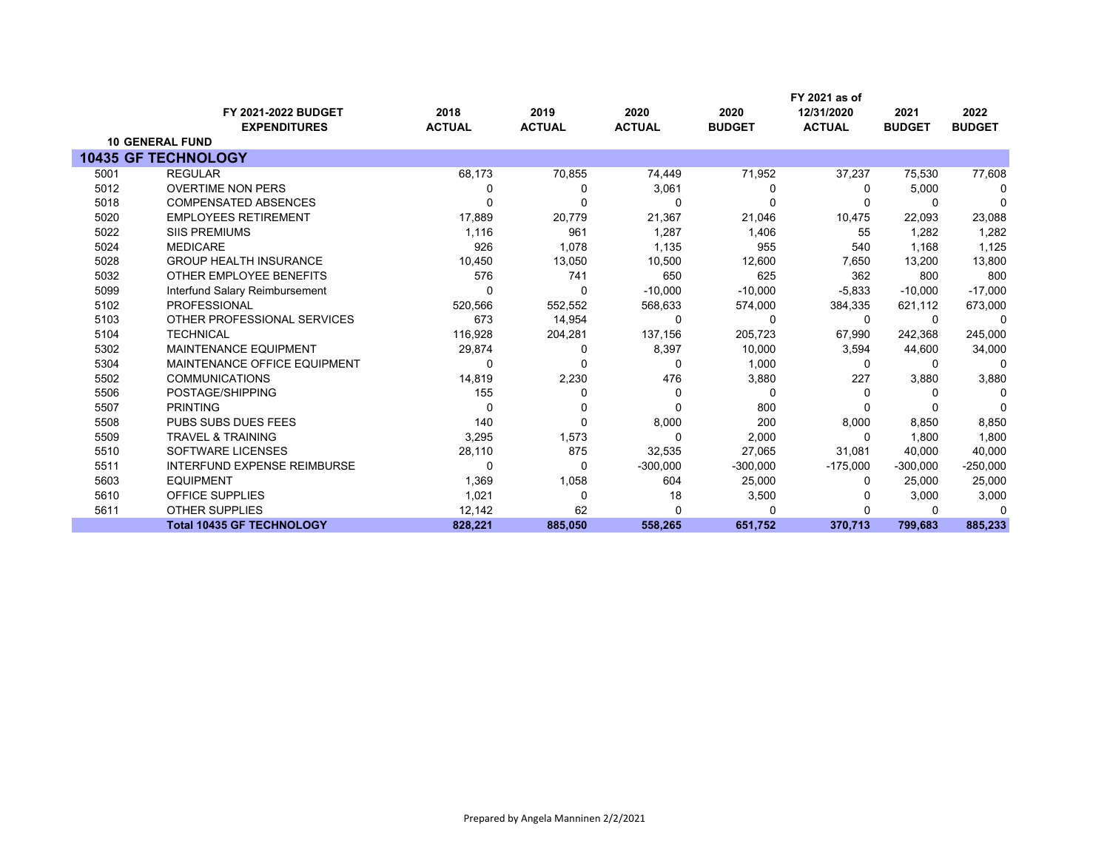|      |                                    |               |               |               |               | FY 2021 as of |               |               |
|------|------------------------------------|---------------|---------------|---------------|---------------|---------------|---------------|---------------|
|      | FY 2021-2022 BUDGET                | 2018          | 2019          | 2020          | 2020          | 12/31/2020    | 2021          | 2022          |
|      | <b>EXPENDITURES</b>                | <b>ACTUAL</b> | <b>ACTUAL</b> | <b>ACTUAL</b> | <b>BUDGET</b> | <b>ACTUAL</b> | <b>BUDGET</b> | <b>BUDGET</b> |
|      | <b>10 GENERAL FUND</b>             |               |               |               |               |               |               |               |
|      | <b>10435 GF TECHNOLOGY</b>         |               |               |               |               |               |               |               |
| 5001 | <b>REGULAR</b>                     | 68,173        | 70,855        | 74,449        | 71,952        | 37,237        | 75,530        | 77,608        |
| 5012 | <b>OVERTIME NON PERS</b>           | 0             | 0             | 3,061         | 0             | 0             | 5,000         | 0             |
| 5018 | <b>COMPENSATED ABSENCES</b>        | $\Omega$      | ŋ             | 0             | $\Omega$      | 0             | $\Omega$      | $\Omega$      |
| 5020 | <b>EMPLOYEES RETIREMENT</b>        | 17,889        | 20,779        | 21,367        | 21,046        | 10,475        | 22,093        | 23,088        |
| 5022 | <b>SIIS PREMIUMS</b>               | 1,116         | 961           | 1,287         | 1,406         | 55            | 1.282         | 1,282         |
| 5024 | <b>MEDICARE</b>                    | 926           | 1,078         | 1,135         | 955           | 540           | 1,168         | 1,125         |
| 5028 | <b>GROUP HEALTH INSURANCE</b>      | 10,450        | 13,050        | 10,500        | 12,600        | 7,650         | 13,200        | 13,800        |
| 5032 | OTHER EMPLOYEE BENEFITS            | 576           | 741           | 650           | 625           | 362           | 800           | 800           |
| 5099 | Interfund Salary Reimbursement     | 0             | 0             | $-10,000$     | $-10,000$     | $-5,833$      | $-10,000$     | $-17,000$     |
| 5102 | <b>PROFESSIONAL</b>                | 520,566       | 552,552       | 568,633       | 574,000       | 384,335       | 621,112       | 673,000       |
| 5103 | OTHER PROFESSIONAL SERVICES        | 673           | 14,954        | 0             | $\Omega$      | 0             | $\Omega$      | $\Omega$      |
| 5104 | <b>TECHNICAL</b>                   | 116,928       | 204,281       | 137,156       | 205,723       | 67,990        | 242,368       | 245,000       |
| 5302 | <b>MAINTENANCE EQUIPMENT</b>       | 29,874        | 0             | 8,397         | 10,000        | 3,594         | 44,600        | 34,000        |
| 5304 | MAINTENANCE OFFICE EQUIPMENT       | 0             | 0             | 0             | 1,000         | 0             | $\Omega$      | $\Omega$      |
| 5502 | <b>COMMUNICATIONS</b>              | 14,819        | 2,230         | 476           | 3,880         | 227           | 3,880         | 3,880         |
| 5506 | POSTAGE/SHIPPING                   | 155           | 0             | 0             | 0             | O             | $\Omega$      | $\Omega$      |
| 5507 | <b>PRINTING</b>                    | $\Omega$      | $\Omega$      | 0             | 800           |               |               | $\Omega$      |
| 5508 | PUBS SUBS DUES FEES                | 140           | $\Omega$      | 8,000         | 200           | 8,000         | 8,850         | 8,850         |
| 5509 | <b>TRAVEL &amp; TRAINING</b>       | 3,295         | 1,573         | $\Omega$      | 2,000         | $\Omega$      | 1.800         | 1,800         |
| 5510 | <b>SOFTWARE LICENSES</b>           | 28,110        | 875           | 32,535        | 27,065        | 31,081        | 40,000        | 40,000        |
| 5511 | <b>INTERFUND EXPENSE REIMBURSE</b> | 0             | 0             | $-300,000$    | $-300,000$    | $-175,000$    | $-300,000$    | $-250,000$    |
| 5603 | <b>EQUIPMENT</b>                   | 1,369         | 1,058         | 604           | 25,000        | 0             | 25,000        | 25,000        |
| 5610 | <b>OFFICE SUPPLIES</b>             | 1,021         | $\Omega$      | 18            | 3,500         |               | 3,000         | 3,000         |
| 5611 | <b>OTHER SUPPLIES</b>              | 12,142        | 62            | $\Omega$      |               |               | 0             | n             |
|      | <b>Total 10435 GF TECHNOLOGY</b>   | 828,221       | 885,050       | 558,265       | 651,752       | 370,713       | 799,683       | 885,233       |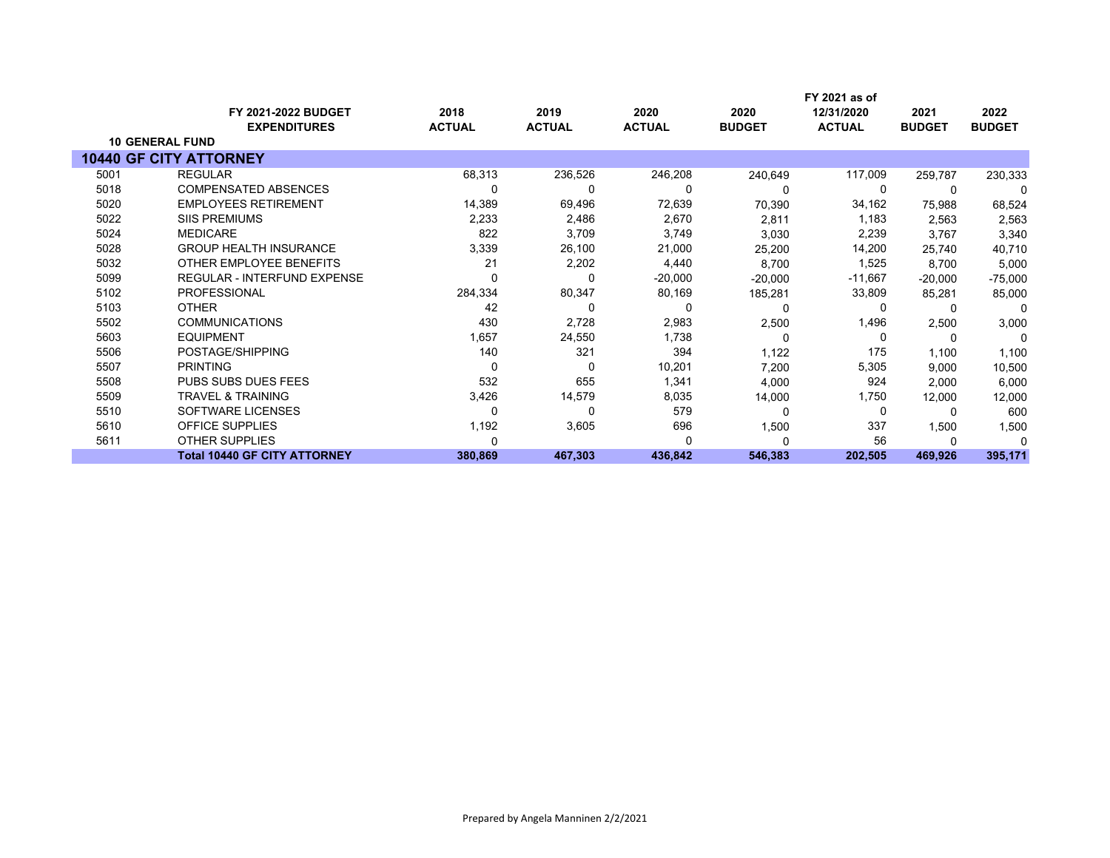|      | <b>FY 2021-2022 BUDGET</b><br><b>EXPENDITURES</b> | 2018<br><b>ACTUAL</b> | 2019<br><b>ACTUAL</b> | 2020<br><b>ACTUAL</b> | 2020<br><b>BUDGET</b> | FY 2021 as of<br>12/31/2020<br><b>ACTUAL</b> | 2021<br><b>BUDGET</b> | 2022<br><b>BUDGET</b> |
|------|---------------------------------------------------|-----------------------|-----------------------|-----------------------|-----------------------|----------------------------------------------|-----------------------|-----------------------|
|      | <b>10 GENERAL FUND</b>                            |                       |                       |                       |                       |                                              |                       |                       |
|      | <b>10440 GF CITY ATTORNEY</b>                     |                       |                       |                       |                       |                                              |                       |                       |
| 5001 | <b>REGULAR</b>                                    | 68,313                | 236,526               | 246,208               | 240,649               | 117,009                                      | 259,787               | 230,333               |
| 5018 | <b>COMPENSATED ABSENCES</b>                       |                       | 0                     | 0                     |                       | 0                                            |                       | $\mathbf{0}$          |
| 5020 | <b>EMPLOYEES RETIREMENT</b>                       | 14,389                | 69,496                | 72,639                | 70,390                | 34,162                                       | 75,988                | 68,524                |
| 5022 | <b>SIIS PREMIUMS</b>                              | 2,233                 | 2,486                 | 2,670                 | 2,811                 | 1,183                                        | 2,563                 | 2,563                 |
| 5024 | <b>MEDICARE</b>                                   | 822                   | 3,709                 | 3,749                 | 3,030                 | 2,239                                        | 3,767                 | 3,340                 |
| 5028 | <b>GROUP HEALTH INSURANCE</b>                     | 3,339                 | 26,100                | 21,000                | 25,200                | 14,200                                       | 25.740                | 40,710                |
| 5032 | OTHER EMPLOYEE BENEFITS                           | 21                    | 2,202                 | 4,440                 | 8,700                 | 1,525                                        | 8,700                 | 5,000                 |
| 5099 | REGULAR - INTERFUND EXPENSE                       |                       | 0                     | $-20,000$             | $-20,000$             | $-11,667$                                    | $-20,000$             | $-75,000$             |
| 5102 | <b>PROFESSIONAL</b>                               | 284,334               | 80,347                | 80,169                | 185,281               | 33,809                                       | 85,281                | 85,000                |
| 5103 | <b>OTHER</b>                                      | 42                    | 0                     | 0                     | 0                     | 0                                            |                       | $\mathbf{0}$          |
| 5502 | <b>COMMUNICATIONS</b>                             | 430                   | 2,728                 | 2,983                 | 2,500                 | 1,496                                        | 2,500                 | 3,000                 |
| 5603 | <b>EQUIPMENT</b>                                  | 1,657                 | 24,550                | 1,738                 | 0                     | 0                                            | $\Omega$              | $\Omega$              |
| 5506 | POSTAGE/SHIPPING                                  | 140                   | 321                   | 394                   | 1,122                 | 175                                          | 1,100                 | 1,100                 |
| 5507 | <b>PRINTING</b>                                   | 0                     | 0                     | 10,201                | 7,200                 | 5,305                                        | 9,000                 | 10,500                |
| 5508 | <b>PUBS SUBS DUES FEES</b>                        | 532                   | 655                   | 1,341                 | 4,000                 | 924                                          | 2,000                 | 6,000                 |
| 5509 | <b>TRAVEL &amp; TRAINING</b>                      | 3,426                 | 14,579                | 8,035                 | 14,000                | 1,750                                        | 12,000                | 12,000                |
| 5510 | SOFTWARE LICENSES                                 |                       | 0                     | 579                   | $\Omega$              | 0                                            |                       | 600                   |
| 5610 | <b>OFFICE SUPPLIES</b>                            | 1,192                 | 3,605                 | 696                   | 1,500                 | 337                                          | 1,500                 | 1,500                 |
| 5611 | <b>OTHER SUPPLIES</b>                             |                       |                       | ŋ                     |                       | 56                                           |                       |                       |
|      | <b>Total 10440 GF CITY ATTORNEY</b>               | 380,869               | 467,303               | 436,842               | 546,383               | 202,505                                      | 469,926               | 395,171               |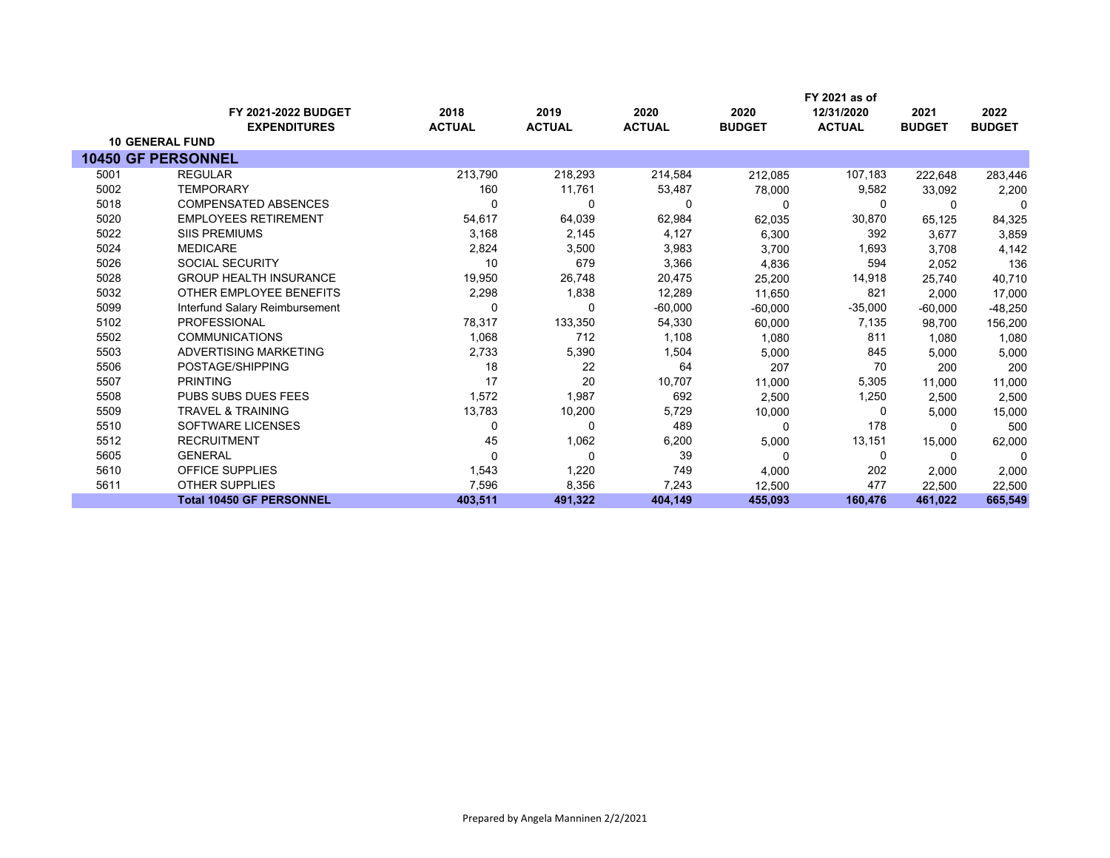|      |                                            | 2018          | 2019          | 2020          |                       | FY 2021 as of<br>12/31/2020 |                       |                       |
|------|--------------------------------------------|---------------|---------------|---------------|-----------------------|-----------------------------|-----------------------|-----------------------|
|      | FY 2021-2022 BUDGET<br><b>EXPENDITURES</b> | <b>ACTUAL</b> | <b>ACTUAL</b> | <b>ACTUAL</b> | 2020<br><b>BUDGET</b> | <b>ACTUAL</b>               | 2021<br><b>BUDGET</b> | 2022<br><b>BUDGET</b> |
|      | <b>10 GENERAL FUND</b>                     |               |               |               |                       |                             |                       |                       |
|      | <b>10450 GF PERSONNEL</b>                  |               |               |               |                       |                             |                       |                       |
| 5001 | <b>REGULAR</b>                             | 213,790       | 218,293       | 214,584       | 212,085               | 107,183                     | 222,648               | 283,446               |
| 5002 | <b>TEMPORARY</b>                           | 160           | 11,761        | 53,487        | 78,000                | 9,582                       | 33,092                | 2,200                 |
| 5018 | <b>COMPENSATED ABSENCES</b>                | $\Omega$      | 0             | 0             |                       | 0                           | $\Omega$              | $\Omega$              |
| 5020 | <b>EMPLOYEES RETIREMENT</b>                | 54,617        | 64,039        | 62,984        | 62,035                | 30,870                      | 65,125                | 84,325                |
| 5022 | <b>SIIS PREMIUMS</b>                       | 3,168         | 2,145         | 4,127         | 6,300                 | 392                         | 3,677                 | 3,859                 |
| 5024 | <b>MEDICARE</b>                            | 2,824         | 3,500         | 3,983         | 3,700                 | 1,693                       | 3.708                 | 4,142                 |
| 5026 | <b>SOCIAL SECURITY</b>                     | 10            | 679           | 3,366         | 4,836                 | 594                         | 2,052                 | 136                   |
| 5028 | <b>GROUP HEALTH INSURANCE</b>              | 19,950        | 26,748        | 20,475        | 25,200                | 14,918                      | 25,740                | 40,710                |
| 5032 | OTHER EMPLOYEE BENEFITS                    | 2,298         | 1,838         | 12,289        | 11,650                | 821                         | 2,000                 | 17,000                |
| 5099 | Interfund Salary Reimbursement             |               | 0             | $-60,000$     | $-60,000$             | $-35,000$                   | $-60,000$             | -48,250               |
| 5102 | <b>PROFESSIONAL</b>                        | 78,317        | 133,350       | 54,330        | 60,000                | 7,135                       | 98,700                | 156,200               |
| 5502 | <b>COMMUNICATIONS</b>                      | 1,068         | 712           | 1,108         | 1,080                 | 811                         | 1,080                 | 1,080                 |
| 5503 | ADVERTISING MARKETING                      | 2,733         | 5,390         | 1,504         | 5,000                 | 845                         | 5,000                 | 5,000                 |
| 5506 | POSTAGE/SHIPPING                           | 18            | 22            | 64            | 207                   | 70                          | 200                   | 200                   |
| 5507 | <b>PRINTING</b>                            | 17            | 20            | 10,707        | 11,000                | 5,305                       | 11.000                | 11,000                |
| 5508 | <b>PUBS SUBS DUES FEES</b>                 | 1,572         | 1,987         | 692           | 2,500                 | 1,250                       | 2,500                 | 2,500                 |
| 5509 | <b>TRAVEL &amp; TRAINING</b>               | 13,783        | 10,200        | 5,729         | 10,000                | 0                           | 5.000                 | 15,000                |
| 5510 | SOFTWARE LICENSES                          | $\Omega$      | 0             | 489           | n                     | 178                         | n                     | 500                   |
| 5512 | <b>RECRUITMENT</b>                         | 45            | 1,062         | 6,200         | 5,000                 | 13,151                      | 15,000                | 62,000                |
| 5605 | <b>GENERAL</b>                             | 0             | 0             | 39            | 0                     | 0                           | 0                     | 0                     |
| 5610 | <b>OFFICE SUPPLIES</b>                     | 1,543         | 1,220         | 749           | 4,000                 | 202                         | 2,000                 | 2,000                 |
| 5611 | <b>OTHER SUPPLIES</b>                      | 7,596         | 8,356         | 7,243         | 12,500                | 477                         | 22,500                | 22,500                |
|      | <b>Total 10450 GF PERSONNEL</b>            | 403,511       | 491,322       | 404,149       | 455,093               | 160,476                     | 461,022               | 665,549               |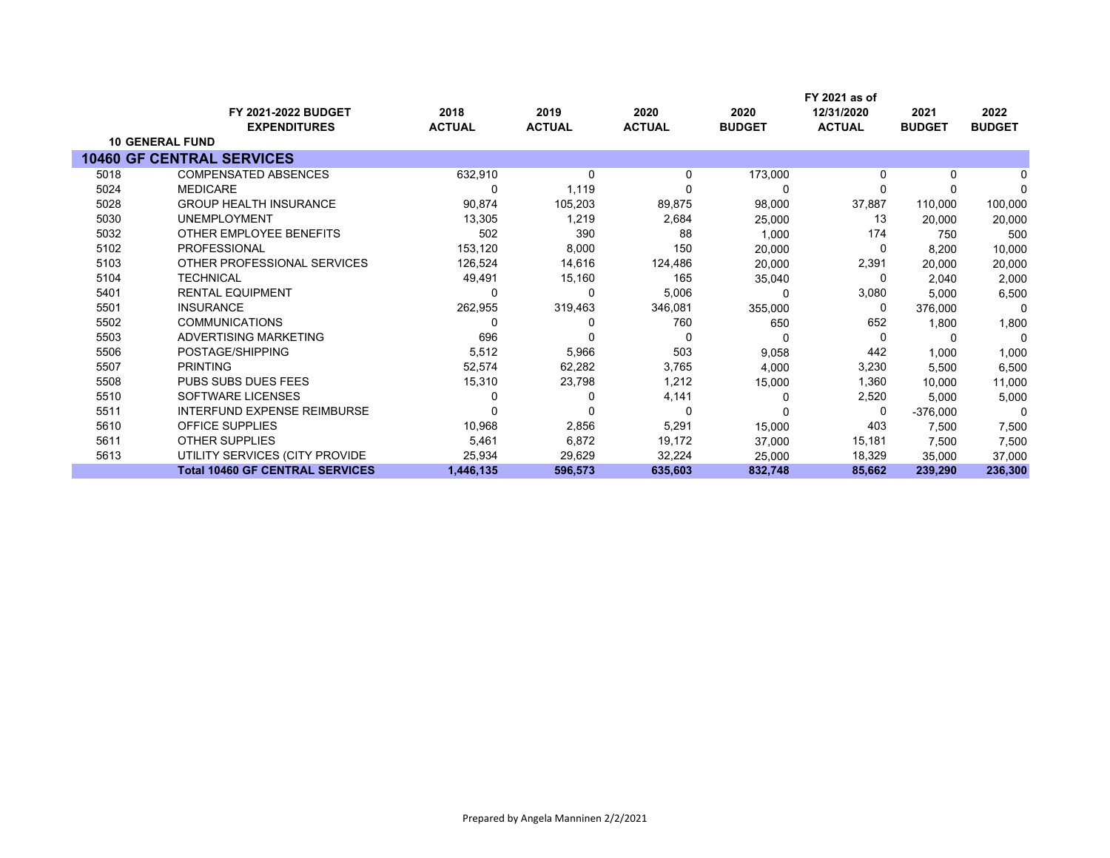|      |                                        |               |               |               |               | FY 2021 as of |               |               |
|------|----------------------------------------|---------------|---------------|---------------|---------------|---------------|---------------|---------------|
|      | <b>FY 2021-2022 BUDGET</b>             | 2018          | 2019          | 2020          | 2020          | 12/31/2020    | 2021          | 2022          |
|      | <b>EXPENDITURES</b>                    | <b>ACTUAL</b> | <b>ACTUAL</b> | <b>ACTUAL</b> | <b>BUDGET</b> | <b>ACTUAL</b> | <b>BUDGET</b> | <b>BUDGET</b> |
|      | <b>10 GENERAL FUND</b>                 |               |               |               |               |               |               |               |
|      | <b>10460 GF CENTRAL SERVICES</b>       |               |               |               |               |               |               |               |
| 5018 | <b>COMPENSATED ABSENCES</b>            | 632,910       | 0             | 0             | 173,000       | $\Omega$      | 0             |               |
| 5024 | <b>MEDICARE</b>                        |               | 1,119         |               | 0             | $\Omega$      |               | $\Omega$      |
| 5028 | <b>GROUP HEALTH INSURANCE</b>          | 90,874        | 105,203       | 89,875        | 98,000        | 37,887        | 110,000       | 100,000       |
| 5030 | <b>UNEMPLOYMENT</b>                    | 13,305        | 1,219         | 2,684         | 25,000        | 13            | 20,000        | 20,000        |
| 5032 | OTHER EMPLOYEE BENEFITS                | 502           | 390           | 88            | 1,000         | 174           | 750           | 500           |
| 5102 | <b>PROFESSIONAL</b>                    | 153,120       | 8,000         | 150           | 20,000        | 0             | 8,200         | 10,000        |
| 5103 | OTHER PROFESSIONAL SERVICES            | 126,524       | 14,616        | 124,486       | 20,000        | 2,391         | 20,000        | 20,000        |
| 5104 | <b>TECHNICAL</b>                       | 49,491        | 15,160        | 165           | 35,040        | 0             | 2.040         | 2,000         |
| 5401 | <b>RENTAL EQUIPMENT</b>                |               | 0             | 5,006         |               | 3,080         | 5,000         | 6,500         |
| 5501 | <b>INSURANCE</b>                       | 262,955       | 319,463       | 346,081       | 355,000       | 0             | 376,000       | 0             |
| 5502 | <b>COMMUNICATIONS</b>                  |               |               | 760           | 650           | 652           | 1,800         | 1,800         |
| 5503 | ADVERTISING MARKETING                  | 696           | 0             | 0             | 0             | $\Omega$      | 0             | 0             |
| 5506 | POSTAGE/SHIPPING                       | 5,512         | 5,966         | 503           | 9,058         | 442           | 1,000         | 1,000         |
| 5507 | <b>PRINTING</b>                        | 52,574        | 62,282        | 3,765         | 4,000         | 3,230         | 5,500         | 6,500         |
| 5508 | <b>PUBS SUBS DUES FEES</b>             | 15,310        | 23,798        | 1,212         | 15,000        | 1,360         | 10,000        | 11,000        |
| 5510 | SOFTWARE LICENSES                      |               |               | 4,141         |               | 2,520         | 5,000         | 5,000         |
| 5511 | <b>INTERFUND EXPENSE REIMBURSE</b>     |               | 0             | 0             |               | 0             | $-376,000$    | 0             |
| 5610 | <b>OFFICE SUPPLIES</b>                 | 10,968        | 2,856         | 5,291         | 15,000        | 403           | 7,500         | 7,500         |
| 5611 | <b>OTHER SUPPLIES</b>                  | 5,461         | 6,872         | 19,172        | 37,000        | 15,181        | 7,500         | 7,500         |
| 5613 | UTILITY SERVICES (CITY PROVIDE         | 25,934        | 29,629        | 32,224        | 25,000        | 18,329        | 35,000        | 37,000        |
|      | <b>Total 10460 GF CENTRAL SERVICES</b> | 1,446,135     | 596,573       | 635,603       | 832,748       | 85,662        | 239,290       | 236,300       |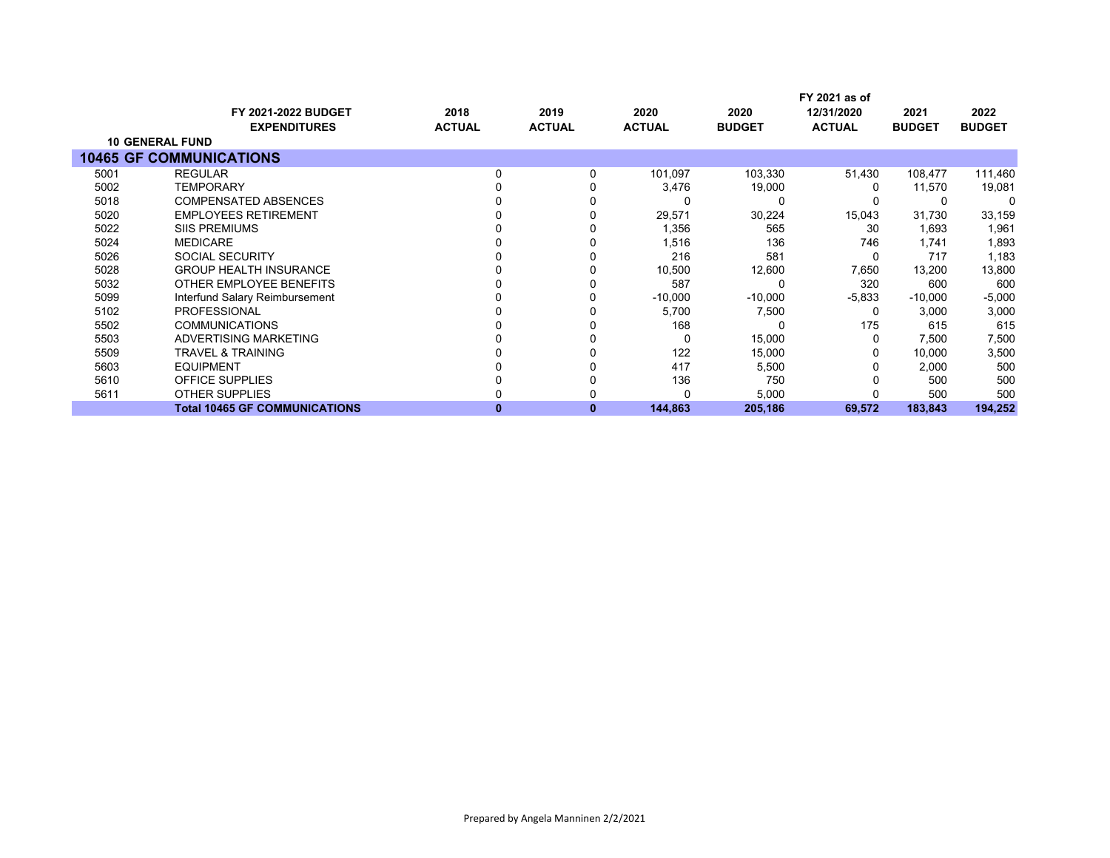|      |                                      |               |               |               |               | FY 2021 as of |               |               |
|------|--------------------------------------|---------------|---------------|---------------|---------------|---------------|---------------|---------------|
|      | <b>FY 2021-2022 BUDGET</b>           | 2018          | 2019          | 2020          | 2020          | 12/31/2020    | 2021          | 2022          |
|      | <b>EXPENDITURES</b>                  | <b>ACTUAL</b> | <b>ACTUAL</b> | <b>ACTUAL</b> | <b>BUDGET</b> | <b>ACTUAL</b> | <b>BUDGET</b> | <b>BUDGET</b> |
|      | <b>10 GENERAL FUND</b>               |               |               |               |               |               |               |               |
|      | <b>10465 GF COMMUNICATIONS</b>       |               |               |               |               |               |               |               |
| 5001 | <b>REGULAR</b>                       | 0             |               | 101,097       | 103,330       | 51,430        | 108,477       | 111,460       |
| 5002 | <b>TEMPORARY</b>                     |               |               | 3,476         | 19,000        |               | 11,570        | 19,081        |
| 5018 | <b>COMPENSATED ABSENCES</b>          |               |               | 0             |               |               |               |               |
| 5020 | <b>EMPLOYEES RETIREMENT</b>          |               |               | 29,571        | 30,224        | 15,043        | 31,730        | 33,159        |
| 5022 | <b>SIIS PREMIUMS</b>                 |               |               | 1,356         | 565           | 30            | 1,693         | 1,961         |
| 5024 | <b>MEDICARE</b>                      |               |               | 1,516         | 136           | 746           | 1,741         | 1,893         |
| 5026 | <b>SOCIAL SECURITY</b>               |               |               | 216           | 581           |               | 717           | 1,183         |
| 5028 | <b>GROUP HEALTH INSURANCE</b>        |               |               | 10,500        | 12,600        | 7,650         | 13,200        | 13,800        |
| 5032 | OTHER EMPLOYEE BENEFITS              |               |               | 587           |               | 320           | 600           | 600           |
| 5099 | Interfund Salary Reimbursement       |               |               | $-10,000$     | $-10,000$     | $-5,833$      | $-10,000$     | $-5,000$      |
| 5102 | <b>PROFESSIONAL</b>                  |               |               | 5,700         | 7,500         | 0             | 3,000         | 3,000         |
| 5502 | <b>COMMUNICATIONS</b>                |               |               | 168           |               | 175           | 615           | 615           |
| 5503 | ADVERTISING MARKETING                |               |               | 0             | 15,000        |               | 7,500         | 7,500         |
| 5509 | <b>TRAVEL &amp; TRAINING</b>         |               |               | 122           | 15,000        |               | 10,000        | 3,500         |
| 5603 | <b>EQUIPMENT</b>                     |               |               | 417           | 5,500         |               | 2,000         | 500           |
| 5610 | <b>OFFICE SUPPLIES</b>               |               |               | 136           | 750           |               | 500           | 500           |
| 5611 | <b>OTHER SUPPLIES</b>                |               |               | 0             | 5,000         |               | 500           | 500           |
|      | <b>Total 10465 GF COMMUNICATIONS</b> | o             | 0             | 144,863       | 205,186       | 69,572        | 183,843       | 194,252       |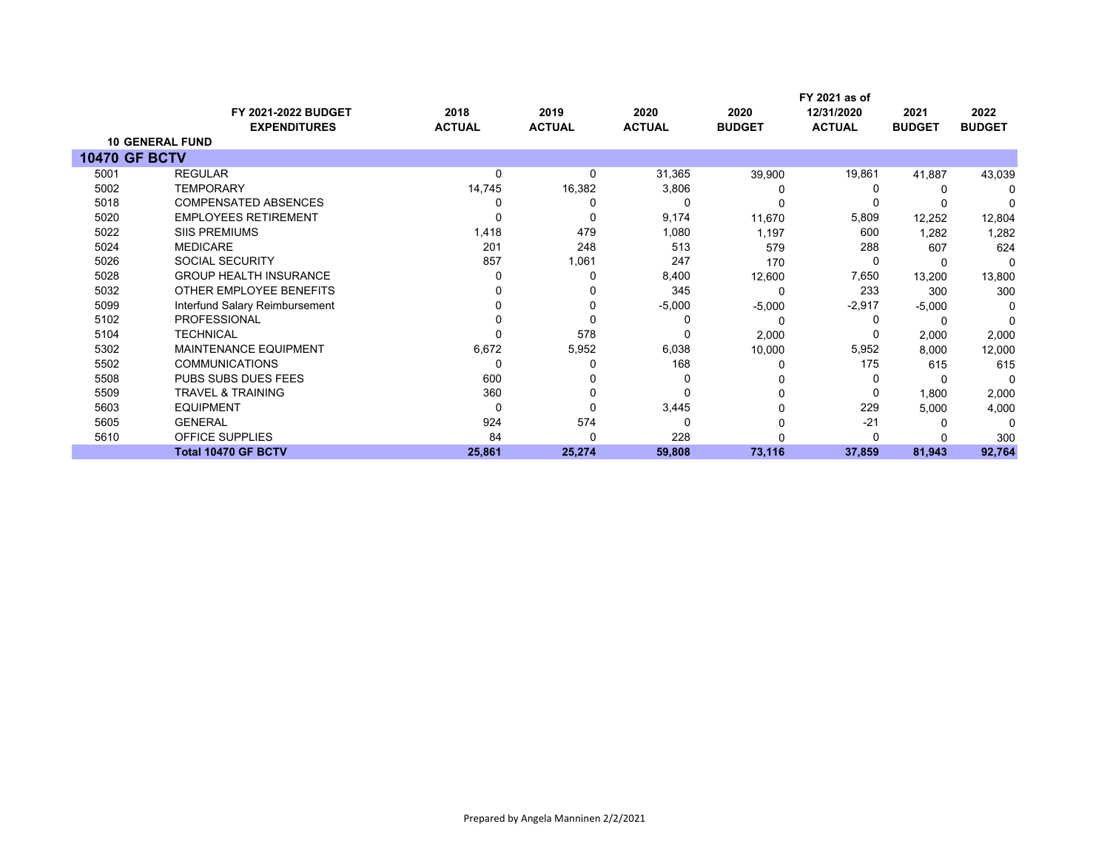|                      | <b>FY 2021-2022 BUDGET</b>     | 2018          | 2019          | 2020          | 2020          | FY 2021 as of<br>12/31/2020 | 2021          | 2022          |
|----------------------|--------------------------------|---------------|---------------|---------------|---------------|-----------------------------|---------------|---------------|
|                      | <b>EXPENDITURES</b>            | <b>ACTUAL</b> | <b>ACTUAL</b> | <b>ACTUAL</b> | <b>BUDGET</b> | <b>ACTUAL</b>               | <b>BUDGET</b> | <b>BUDGET</b> |
|                      | <b>10 GENERAL FUND</b>         |               |               |               |               |                             |               |               |
| <b>10470 GF BCTV</b> |                                |               |               |               |               |                             |               |               |
| 5001                 | <b>REGULAR</b>                 | 0             | 0             | 31,365        | 39,900        | 19,861                      | 41,887        | 43,039        |
| 5002                 | <b>TEMPORARY</b>               | 14,745        | 16,382        | 3,806         |               |                             |               |               |
| 5018                 | <b>COMPENSATED ABSENCES</b>    |               |               | 0             |               |                             |               |               |
| 5020                 | <b>EMPLOYEES RETIREMENT</b>    |               |               | 9,174         | 11,670        | 5,809                       | 12,252        | 12,804        |
| 5022                 | <b>SIIS PREMIUMS</b>           | 1,418         | 479           | 1,080         | 1,197         | 600                         | 1,282         | 1,282         |
| 5024                 | <b>MEDICARE</b>                | 201           | 248           | 513           | 579           | 288                         | 607           | 624           |
| 5026                 | <b>SOCIAL SECURITY</b>         | 857           | 1,061         | 247           | 170           |                             |               |               |
| 5028                 | <b>GROUP HEALTH INSURANCE</b>  |               | 0             | 8,400         | 12,600        | 7,650                       | 13,200        | 13,800        |
| 5032                 | OTHER EMPLOYEE BENEFITS        |               |               | 345           |               | 233                         | 300           | 300           |
| 5099                 | Interfund Salary Reimbursement |               |               | $-5,000$      | $-5,000$      | $-2,917$                    | $-5,000$      |               |
| 5102                 | <b>PROFESSIONAL</b>            |               |               | 0             |               |                             |               |               |
| 5104                 | <b>TECHNICAL</b>               |               | 578           | 0             | 2,000         |                             | 2,000         | 2,000         |
| 5302                 | <b>MAINTENANCE EQUIPMENT</b>   | 6,672         | 5,952         | 6,038         | 10,000        | 5,952                       | 8,000         | 12,000        |
| 5502                 | <b>COMMUNICATIONS</b>          | $\Omega$      |               | 168           |               | 175                         | 615           | 615           |
| 5508                 | PUBS SUBS DUES FEES            | 600           |               | Ω             |               |                             |               |               |
| 5509                 | <b>TRAVEL &amp; TRAINING</b>   | 360           |               | 0             |               |                             | 1,800         | 2,000         |
| 5603                 | <b>EQUIPMENT</b>               | $\Omega$      |               | 3,445         |               | 229                         | 5,000         | 4,000         |
| 5605                 | <b>GENERAL</b>                 | 924           | 574           | 0             |               | $-21$                       |               | ∩             |
| 5610                 | OFFICE SUPPLIES                | 84            | O             | 228           |               |                             |               | 300           |
|                      | <b>Total 10470 GF BCTV</b>     | 25,861        | 25,274        | 59,808        | 73,116        | 37,859                      | 81,943        | 92,764        |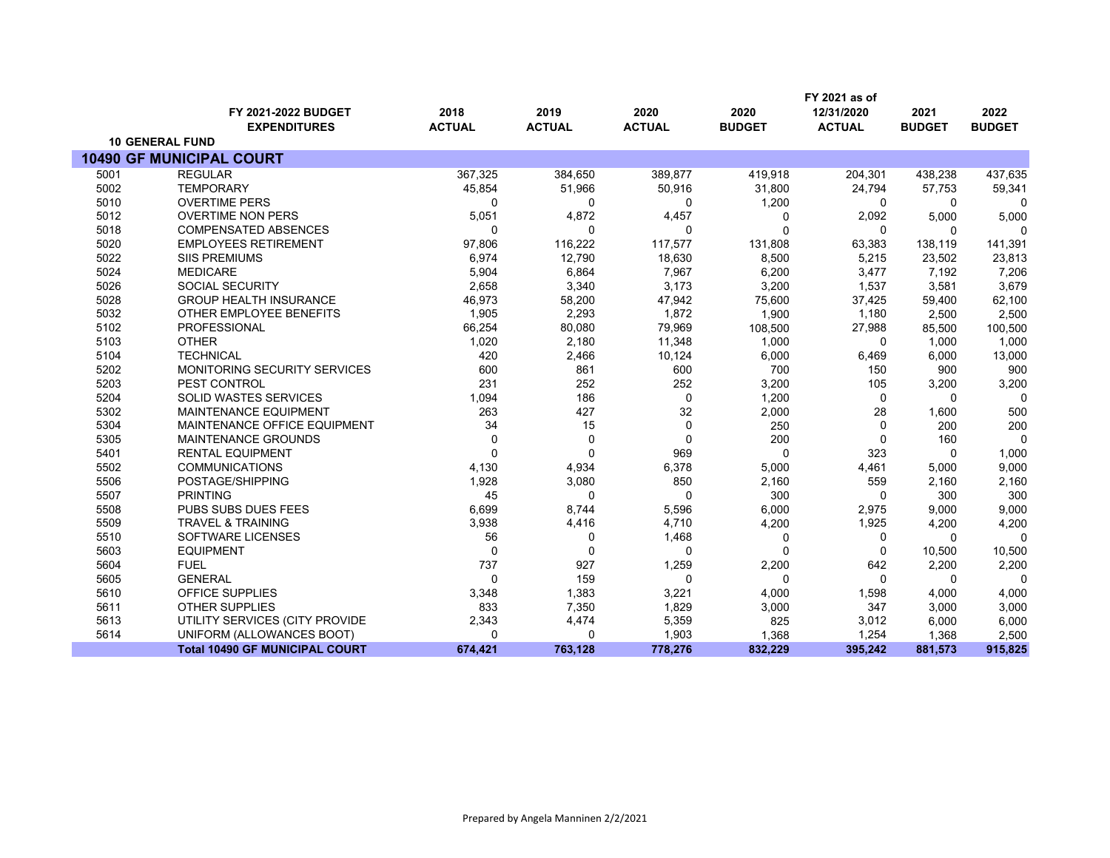|      |                                       |                |               |               |               | FY 2021 as of |               |               |
|------|---------------------------------------|----------------|---------------|---------------|---------------|---------------|---------------|---------------|
|      | FY 2021-2022 BUDGET                   | 2018           | 2019          | 2020          | 2020          | 12/31/2020    | 2021          | 2022          |
|      | <b>EXPENDITURES</b>                   | <b>ACTUAL</b>  | <b>ACTUAL</b> | <b>ACTUAL</b> | <b>BUDGET</b> | <b>ACTUAL</b> | <b>BUDGET</b> | <b>BUDGET</b> |
|      | <b>10 GENERAL FUND</b>                |                |               |               |               |               |               |               |
|      | <b>10490 GF MUNICIPAL COURT</b>       |                |               |               |               |               |               |               |
| 5001 | <b>REGULAR</b>                        | 367,325        | 384,650       | 389,877       | 419,918       | 204,301       | 438,238       | 437,635       |
| 5002 | <b>TEMPORARY</b>                      | 45,854         | 51,966        | 50,916        | 31,800        | 24,794        | 57,753        | 59,341        |
| 5010 | <b>OVERTIME PERS</b>                  | 0              | 0             | 0             | 1,200         | 0             | 0             | $\Omega$      |
| 5012 | <b>OVERTIME NON PERS</b>              | 5,051          | 4,872         | 4,457         | 0             | 2,092         | 5,000         | 5,000         |
| 5018 | <b>COMPENSATED ABSENCES</b>           | 0              | $\Omega$      | 0             | $\Omega$      | 0             | $\Omega$      | n             |
| 5020 | <b>EMPLOYEES RETIREMENT</b>           | 97,806         | 116,222       | 117,577       | 131,808       | 63,383        | 138,119       | 141,391       |
| 5022 | <b>SIIS PREMIUMS</b>                  | 6,974          | 12,790        | 18,630        | 8,500         | 5,215         | 23,502        | 23,813        |
| 5024 | <b>MEDICARE</b>                       | 5,904          | 6,864         | 7,967         | 6,200         | 3,477         | 7,192         | 7,206         |
| 5026 | <b>SOCIAL SECURITY</b>                | 2,658          | 3,340         | 3,173         | 3,200         | 1,537         | 3.581         | 3,679         |
| 5028 | <b>GROUP HEALTH INSURANCE</b>         | 46,973         | 58,200        | 47,942        | 75,600        | 37,425        | 59,400        | 62,100        |
| 5032 | OTHER EMPLOYEE BENEFITS               | 1,905          | 2,293         | 1,872         | 1,900         | 1,180         | 2.500         | 2,500         |
| 5102 | <b>PROFESSIONAL</b>                   | 66,254         | 80,080        | 79,969        | 108,500       | 27,988        | 85,500        | 100,500       |
| 5103 | <b>OTHER</b>                          | 1,020          | 2,180         | 11,348        | 1,000         | $\mathbf 0$   | 1.000         | 1,000         |
| 5104 | <b>TECHNICAL</b>                      | 420            | 2,466         | 10,124        | 6,000         | 6,469         | 6,000         | 13,000        |
| 5202 | <b>MONITORING SECURITY SERVICES</b>   | 600            | 861           | 600           | 700           | 150           | 900           | 900           |
| 5203 | PEST CONTROL                          | 231            | 252           | 252           | 3,200         | 105           | 3,200         | 3,200         |
| 5204 | <b>SOLID WASTES SERVICES</b>          | 1,094          | 186           | 0             | 1,200         | $\mathbf 0$   | $\Omega$      | $\Omega$      |
| 5302 | <b>MAINTENANCE EQUIPMENT</b>          | 263            | 427           | 32            | 2,000         | 28            | 1,600         | 500           |
| 5304 | MAINTENANCE OFFICE EQUIPMENT          | 34             | 15            | $\mathbf 0$   | 250           | $\mathbf 0$   | 200           | 200           |
| 5305 | <b>MAINTENANCE GROUNDS</b>            | $\mathbf 0$    | 0             | $\mathbf 0$   | 200           | $\mathbf 0$   | 160           | $\Omega$      |
| 5401 | <b>RENTAL EQUIPMENT</b>               | 0              | $\mathbf 0$   | 969           | $\Omega$      | 323           | 0             | 1,000         |
| 5502 | <b>COMMUNICATIONS</b>                 | 4,130          | 4,934         | 6,378         | 5,000         | 4,461         | 5,000         | 9,000         |
| 5506 | POSTAGE/SHIPPING                      | 1,928          | 3,080         | 850           | 2,160         | 559           | 2,160         | 2,160         |
| 5507 | <b>PRINTING</b>                       | 45             | $\mathbf{0}$  | $\mathbf{0}$  | 300           | $\mathbf 0$   | 300           | 300           |
| 5508 | PUBS SUBS DUES FEES                   | 6,699          | 8,744         | 5,596         | 6,000         | 2,975         | 9.000         | 9,000         |
| 5509 | <b>TRAVEL &amp; TRAINING</b>          | 3,938          | 4,416         | 4,710         | 4,200         | 1,925         | 4,200         | 4,200         |
| 5510 | SOFTWARE LICENSES                     | 56             | 0             | 1,468         | 0             | 0             | $\mathbf 0$   | $\Omega$      |
| 5603 | <b>EQUIPMENT</b>                      | $\mathbf 0$    | $\mathbf 0$   | $\mathbf 0$   | $\Omega$      | $\mathbf 0$   | 10,500        | 10,500        |
| 5604 | <b>FUEL</b>                           | 737            | 927           | 1,259         | 2,200         | 642           | 2,200         | 2,200         |
| 5605 | <b>GENERAL</b>                        | $\overline{0}$ | 159           | $\Omega$      | $\Omega$      | $\Omega$      | $\Omega$      | $\Omega$      |
| 5610 | <b>OFFICE SUPPLIES</b>                | 3,348          | 1,383         | 3,221         | 4,000         | 1,598         | 4,000         | 4,000         |
| 5611 | <b>OTHER SUPPLIES</b>                 | 833            | 7,350         | 1,829         | 3,000         | 347           | 3,000         | 3,000         |
| 5613 | UTILITY SERVICES (CITY PROVIDE        | 2,343          | 4,474         | 5,359         | 825           | 3,012         | 6,000         | 6,000         |
| 5614 | UNIFORM (ALLOWANCES BOOT)             | 0              | $\mathbf 0$   | 1,903         | 1,368         | 1,254         | 1,368         | 2,500         |
|      | <b>Total 10490 GF MUNICIPAL COURT</b> | 674,421        | 763,128       | 778,276       | 832,229       | 395,242       | 881,573       | 915,825       |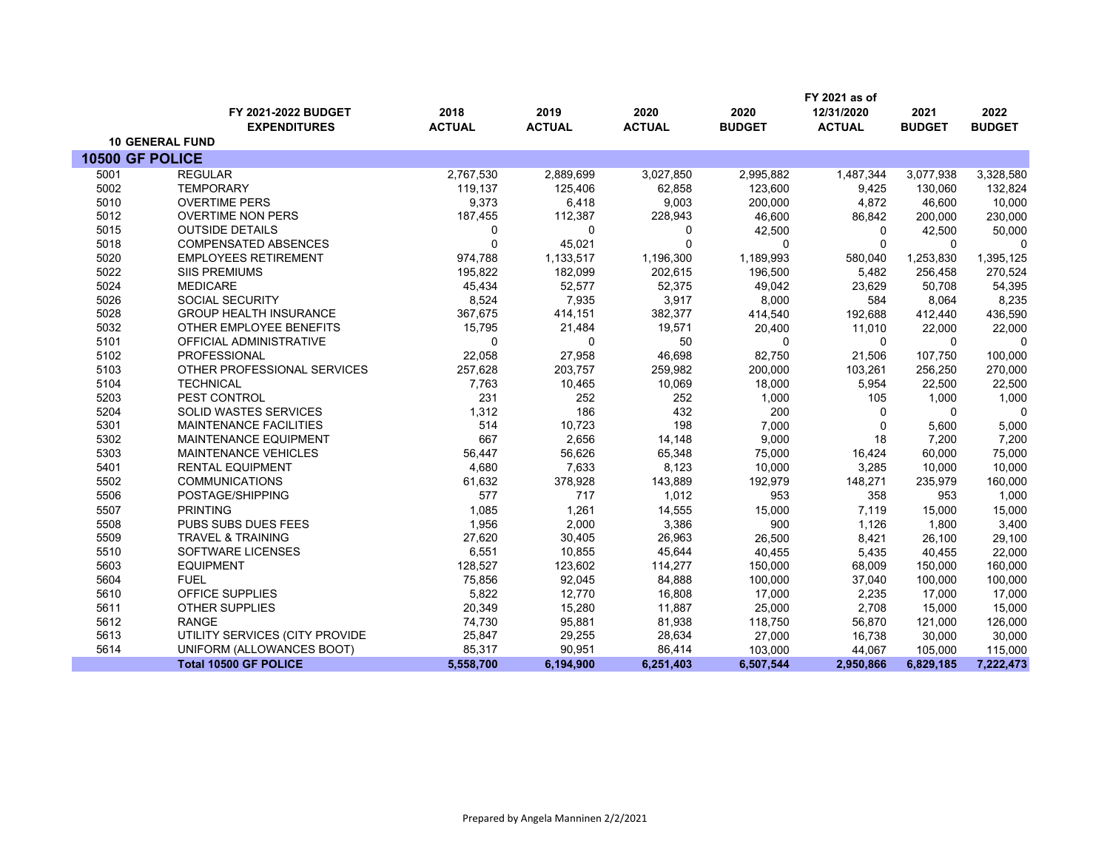|                 |                                |               |               |               |               | FY 2021 as of |               |               |
|-----------------|--------------------------------|---------------|---------------|---------------|---------------|---------------|---------------|---------------|
|                 | FY 2021-2022 BUDGET            | 2018          | 2019          | 2020          | 2020          | 12/31/2020    | 2021          | 2022          |
|                 | <b>EXPENDITURES</b>            | <b>ACTUAL</b> | <b>ACTUAL</b> | <b>ACTUAL</b> | <b>BUDGET</b> | <b>ACTUAL</b> | <b>BUDGET</b> | <b>BUDGET</b> |
|                 | <b>10 GENERAL FUND</b>         |               |               |               |               |               |               |               |
| 10500 GF POLICE |                                |               |               |               |               |               |               |               |
| 5001            | <b>REGULAR</b>                 | 2,767,530     | 2,889,699     | 3,027,850     | 2,995,882     | 1,487,344     | 3,077,938     | 3,328,580     |
| 5002            | <b>TEMPORARY</b>               | 119,137       | 125,406       | 62,858        | 123,600       | 9,425         | 130,060       | 132,824       |
| 5010            | <b>OVERTIME PERS</b>           | 9,373         | 6,418         | 9,003         | 200,000       | 4,872         | 46,600        | 10,000        |
| 5012            | <b>OVERTIME NON PERS</b>       | 187,455       | 112,387       | 228,943       | 46,600        | 86,842        | 200,000       | 230,000       |
| 5015            | <b>OUTSIDE DETAILS</b>         | 0             | 0             | $\mathbf 0$   | 42,500        | 0             | 42,500        | 50,000        |
| 5018            | <b>COMPENSATED ABSENCES</b>    | 0             | 45,021        | $\mathbf 0$   | $\Omega$      | $\Omega$      | $\Omega$      | $\mathbf 0$   |
| 5020            | <b>EMPLOYEES RETIREMENT</b>    | 974,788       | 1,133,517     | 1,196,300     | 1,189,993     | 580,040       | 1,253,830     | 1,395,125     |
| 5022            | <b>SIIS PREMIUMS</b>           | 195,822       | 182,099       | 202,615       | 196,500       | 5,482         | 256,458       | 270,524       |
| 5024            | <b>MEDICARE</b>                | 45,434        | 52,577        | 52,375        | 49,042        | 23,629        | 50,708        | 54,395        |
| 5026            | SOCIAL SECURITY                | 8,524         | 7,935         | 3,917         | 8,000         | 584           | 8,064         | 8,235         |
| 5028            | <b>GROUP HEALTH INSURANCE</b>  | 367,675       | 414,151       | 382,377       | 414,540       | 192,688       | 412,440       | 436,590       |
| 5032            | OTHER EMPLOYEE BENEFITS        | 15,795        | 21,484        | 19,571        | 20,400        | 11,010        | 22,000        | 22,000        |
| 5101            | OFFICIAL ADMINISTRATIVE        | 0             | 0             | 50            | $\Omega$      | 0             | $\Omega$      | $\Omega$      |
| 5102            | <b>PROFESSIONAL</b>            | 22,058        | 27,958        | 46,698        | 82,750        | 21,506        | 107,750       | 100,000       |
| 5103            | OTHER PROFESSIONAL SERVICES    | 257,628       | 203,757       | 259,982       | 200,000       | 103,261       | 256,250       | 270,000       |
| 5104            | <b>TECHNICAL</b>               | 7,763         | 10,465        | 10,069        | 18,000        | 5,954         | 22,500        | 22,500        |
| 5203            | PEST CONTROL                   | 231           | 252           | 252           | 1,000         | 105           | 1,000         | 1,000         |
| 5204            | <b>SOLID WASTES SERVICES</b>   | 1,312         | 186           | 432           | 200           | $\mathbf{0}$  | $\Omega$      | $\Omega$      |
| 5301            | <b>MAINTENANCE FACILITIES</b>  | 514           | 10,723        | 198           | 7,000         | 0             | 5,600         | 5,000         |
| 5302            | MAINTENANCE EQUIPMENT          | 667           | 2,656         | 14,148        | 9,000         | 18            | 7,200         | 7,200         |
| 5303            | <b>MAINTENANCE VEHICLES</b>    | 56,447        | 56,626        | 65,348        | 75,000        | 16,424        | 60,000        | 75,000        |
| 5401            | <b>RENTAL EQUIPMENT</b>        | 4,680         | 7,633         | 8,123         | 10,000        | 3,285         | 10,000        | 10,000        |
| 5502            | <b>COMMUNICATIONS</b>          | 61,632        | 378,928       | 143,889       | 192,979       | 148,271       | 235,979       | 160,000       |
| 5506            | POSTAGE/SHIPPING               | 577           | 717           | 1,012         | 953           | 358           | 953           | 1,000         |
| 5507            | <b>PRINTING</b>                | 1,085         | 1,261         | 14,555        | 15,000        | 7,119         | 15,000        | 15,000        |
| 5508            | PUBS SUBS DUES FEES            | 1,956         | 2,000         | 3,386         | 900           | 1,126         | 1,800         | 3,400         |
| 5509            | <b>TRAVEL &amp; TRAINING</b>   | 27,620        | 30,405        | 26,963        | 26,500        | 8,421         | 26,100        | 29,100        |
| 5510            | <b>SOFTWARE LICENSES</b>       | 6,551         | 10,855        | 45,644        | 40,455        | 5,435         | 40,455        | 22,000        |
| 5603            | <b>EQUIPMENT</b>               | 128,527       | 123,602       | 114,277       | 150,000       | 68,009        | 150,000       | 160,000       |
| 5604            | <b>FUEL</b>                    | 75,856        | 92,045        | 84,888        | 100,000       | 37,040        | 100,000       | 100,000       |
| 5610            | OFFICE SUPPLIES                | 5,822         | 12,770        | 16,808        | 17,000        | 2,235         | 17,000        | 17,000        |
| 5611            | <b>OTHER SUPPLIES</b>          | 20,349        | 15,280        | 11,887        | 25,000        | 2,708         | 15,000        | 15,000        |
| 5612            | <b>RANGE</b>                   | 74,730        | 95,881        | 81,938        | 118,750       | 56,870        | 121,000       | 126,000       |
| 5613            | UTILITY SERVICES (CITY PROVIDE | 25,847        | 29,255        | 28,634        | 27,000        | 16,738        | 30,000        | 30,000        |
| 5614            | UNIFORM (ALLOWANCES BOOT)      | 85,317        | 90,951        | 86,414        | 103,000       | 44,067        | 105,000       | 115,000       |
|                 | <b>Total 10500 GF POLICE</b>   | 5,558,700     | 6,194,900     | 6,251,403     | 6,507,544     | 2,950,866     | 6,829,185     | 7,222,473     |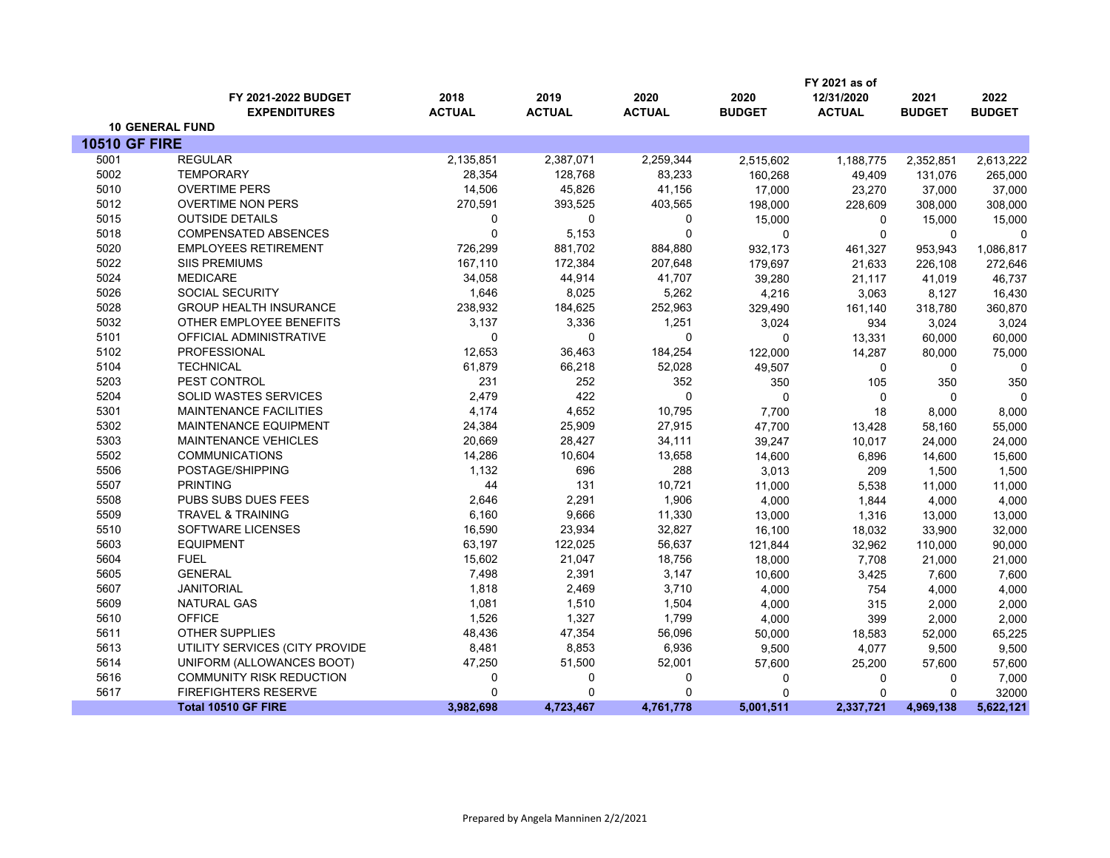|                      |                                 |               |               |               |               | FY 2021 as of |               |               |
|----------------------|---------------------------------|---------------|---------------|---------------|---------------|---------------|---------------|---------------|
|                      | FY 2021-2022 BUDGET             | 2018          | 2019          | 2020          | 2020          | 12/31/2020    | 2021          | 2022          |
|                      | <b>EXPENDITURES</b>             | <b>ACTUAL</b> | <b>ACTUAL</b> | <b>ACTUAL</b> | <b>BUDGET</b> | <b>ACTUAL</b> | <b>BUDGET</b> | <b>BUDGET</b> |
|                      | <b>10 GENERAL FUND</b>          |               |               |               |               |               |               |               |
| <b>10510 GF FIRE</b> |                                 |               |               |               |               |               |               |               |
| 5001                 | <b>REGULAR</b>                  | 2,135,851     | 2,387,071     | 2,259,344     | 2,515,602     | 1,188,775     | 2,352,851     | 2,613,222     |
| 5002                 | <b>TEMPORARY</b>                | 28,354        | 128,768       | 83,233        | 160,268       | 49,409        | 131,076       | 265,000       |
| 5010                 | <b>OVERTIME PERS</b>            | 14,506        | 45,826        | 41,156        | 17,000        | 23,270        | 37,000        | 37,000        |
| 5012                 | <b>OVERTIME NON PERS</b>        | 270,591       | 393,525       | 403,565       | 198,000       | 228,609       | 308,000       | 308,000       |
| 5015                 | <b>OUTSIDE DETAILS</b>          | 0             | 0             | 0             | 15,000        | $\mathbf 0$   | 15,000        | 15,000        |
| 5018                 | <b>COMPENSATED ABSENCES</b>     | $\Omega$      | 5,153         | $\mathbf 0$   | $\mathbf 0$   | $\mathbf 0$   | $\mathbf{0}$  | $\Omega$      |
| 5020                 | <b>EMPLOYEES RETIREMENT</b>     | 726,299       | 881,702       | 884,880       | 932,173       | 461,327       | 953,943       | 1,086,817     |
| 5022                 | <b>SIIS PREMIUMS</b>            | 167,110       | 172,384       | 207,648       | 179,697       | 21,633        | 226,108       | 272,646       |
| 5024                 | <b>MEDICARE</b>                 | 34,058        | 44,914        | 41,707        | 39,280        | 21,117        | 41,019        | 46,737        |
| 5026                 | <b>SOCIAL SECURITY</b>          | 1,646         | 8,025         | 5,262         | 4,216         | 3,063         | 8,127         | 16,430        |
| 5028                 | <b>GROUP HEALTH INSURANCE</b>   | 238,932       | 184,625       | 252,963       | 329,490       | 161,140       | 318,780       | 360,870       |
| 5032                 | OTHER EMPLOYEE BENEFITS         | 3,137         | 3,336         | 1,251         | 3,024         | 934           | 3,024         | 3,024         |
| 5101                 | OFFICIAL ADMINISTRATIVE         | $\Omega$      | $\Omega$      | 0             | $\mathbf 0$   | 13,331        | 60,000        | 60,000        |
| 5102                 | PROFESSIONAL                    | 12,653        | 36,463        | 184,254       | 122,000       | 14,287        | 80,000        | 75,000        |
| 5104                 | <b>TECHNICAL</b>                | 61,879        | 66,218        | 52,028        | 49,507        | 0             | 0             | $\mathbf 0$   |
| 5203                 | PEST CONTROL                    | 231           | 252           | 352           | 350           | 105           | 350           | 350           |
| 5204                 | <b>SOLID WASTES SERVICES</b>    | 2,479         | 422           | 0             | $\mathbf{0}$  | $\mathbf 0$   | $\Omega$      | $\mathbf 0$   |
| 5301                 | <b>MAINTENANCE FACILITIES</b>   | 4,174         | 4,652         | 10,795        | 7,700         | 18            | 8,000         | 8,000         |
| 5302                 | MAINTENANCE EQUIPMENT           | 24,384        | 25,909        | 27,915        | 47,700        | 13,428        | 58,160        | 55,000        |
| 5303                 | <b>MAINTENANCE VEHICLES</b>     | 20,669        | 28,427        | 34,111        | 39,247        | 10,017        | 24,000        | 24,000        |
| 5502                 | <b>COMMUNICATIONS</b>           | 14,286        | 10,604        | 13,658        | 14,600        | 6,896         | 14,600        | 15,600        |
| 5506                 | POSTAGE/SHIPPING                | 1,132         | 696           | 288           | 3,013         | 209           | 1,500         | 1,500         |
| 5507                 | <b>PRINTING</b>                 | 44            | 131           | 10,721        | 11,000        | 5,538         | 11,000        | 11,000        |
| 5508                 | PUBS SUBS DUES FEES             | 2,646         | 2,291         | 1,906         | 4,000         | 1,844         | 4,000         | 4,000         |
| 5509                 | <b>TRAVEL &amp; TRAINING</b>    | 6,160         | 9,666         | 11,330        | 13,000        | 1,316         | 13,000        | 13,000        |
| 5510                 | <b>SOFTWARE LICENSES</b>        | 16,590        | 23,934        | 32,827        | 16,100        | 18,032        | 33,900        | 32,000        |
| 5603                 | <b>EQUIPMENT</b>                | 63,197        | 122,025       | 56,637        | 121,844       | 32,962        | 110,000       | 90,000        |
| 5604                 | <b>FUEL</b>                     | 15,602        | 21,047        | 18,756        | 18,000        | 7,708         | 21,000        | 21,000        |
| 5605                 | <b>GENERAL</b>                  | 7,498         | 2,391         | 3,147         | 10,600        | 3,425         | 7,600         | 7,600         |
| 5607                 | <b>JANITORIAL</b>               | 1,818         | 2,469         | 3,710         | 4,000         | 754           | 4.000         | 4,000         |
| 5609                 | NATURAL GAS                     | 1,081         | 1,510         | 1,504         | 4,000         | 315           | 2,000         | 2,000         |
| 5610                 | <b>OFFICE</b>                   | 1,526         | 1,327         | 1,799         | 4,000         | 399           | 2,000         | 2,000         |
| 5611                 | <b>OTHER SUPPLIES</b>           | 48,436        | 47,354        | 56,096        | 50,000        | 18,583        | 52,000        | 65,225        |
| 5613                 | UTILITY SERVICES (CITY PROVIDE  | 8,481         | 8,853         | 6,936         | 9,500         | 4,077         | 9,500         | 9,500         |
| 5614                 | UNIFORM (ALLOWANCES BOOT)       | 47,250        | 51,500        | 52,001        | 57,600        | 25,200        | 57,600        | 57,600        |
| 5616                 | <b>COMMUNITY RISK REDUCTION</b> | 0             | 0             | 0             | 0             | 0             | $\mathbf 0$   | 7,000         |
| 5617                 | <b>FIREFIGHTERS RESERVE</b>     | $\Omega$      | $\Omega$      | 0             | $\mathbf{0}$  | $\Omega$      | $\Omega$      | 32000         |
|                      | <b>Total 10510 GF FIRE</b>      | 3,982,698     | 4,723,467     | 4,761,778     | 5,001,511     | 2,337,721     | 4,969,138     | 5,622,121     |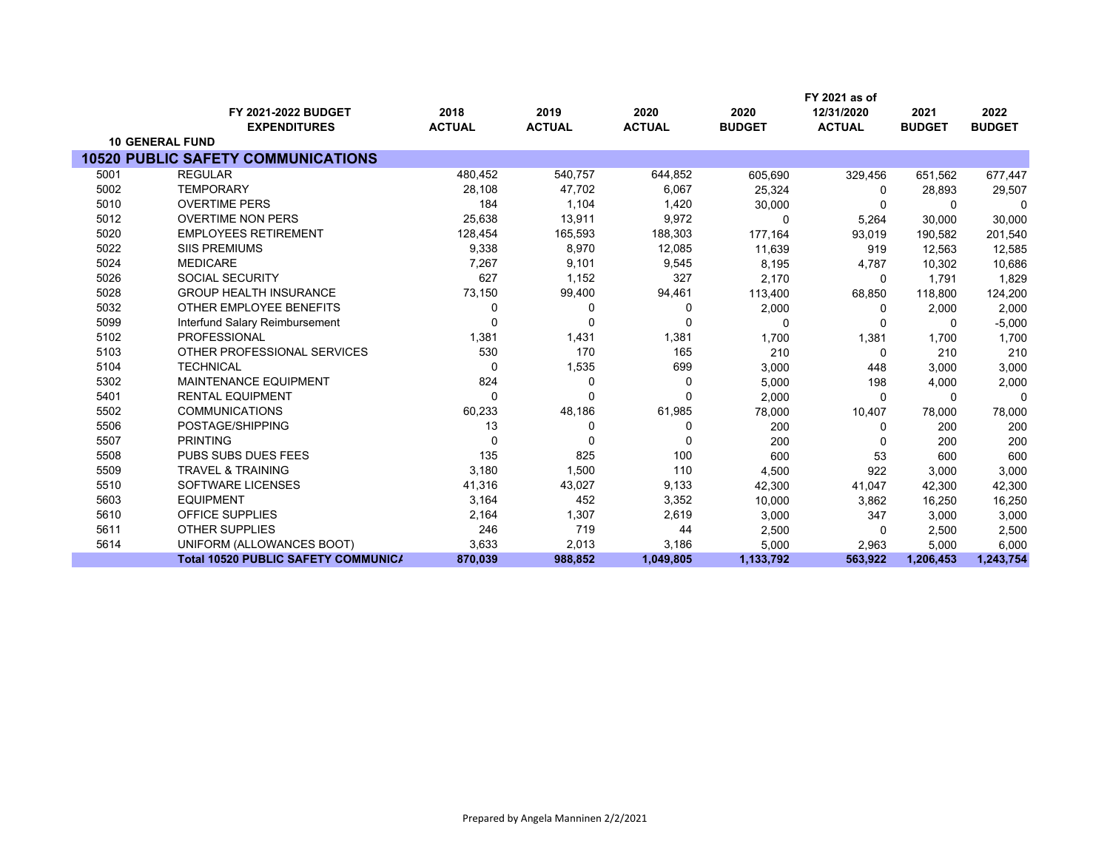|      |                                            |               |               |               |               | FY 2021 as of |               |               |
|------|--------------------------------------------|---------------|---------------|---------------|---------------|---------------|---------------|---------------|
|      | FY 2021-2022 BUDGET                        | 2018          | 2019          | 2020          | 2020          | 12/31/2020    | 2021          | 2022          |
|      | <b>EXPENDITURES</b>                        | <b>ACTUAL</b> | <b>ACTUAL</b> | <b>ACTUAL</b> | <b>BUDGET</b> | <b>ACTUAL</b> | <b>BUDGET</b> | <b>BUDGET</b> |
|      | <b>10 GENERAL FUND</b>                     |               |               |               |               |               |               |               |
|      | <b>10520 PUBLIC SAFETY COMMUNICATIONS</b>  |               |               |               |               |               |               |               |
| 5001 | <b>REGULAR</b>                             | 480,452       | 540,757       | 644,852       | 605,690       | 329,456       | 651,562       | 677,447       |
| 5002 | <b>TEMPORARY</b>                           | 28,108        | 47,702        | 6,067         | 25,324        | 0             | 28,893        | 29,507        |
| 5010 | <b>OVERTIME PERS</b>                       | 184           | 1,104         | 1,420         | 30,000        | $\Omega$      | $\Omega$      | $\Omega$      |
| 5012 | <b>OVERTIME NON PERS</b>                   | 25,638        | 13,911        | 9,972         | $\Omega$      | 5,264         | 30,000        | 30,000        |
| 5020 | <b>EMPLOYEES RETIREMENT</b>                | 128,454       | 165,593       | 188,303       | 177,164       | 93,019        | 190,582       | 201,540       |
| 5022 | <b>SIIS PREMIUMS</b>                       | 9,338         | 8,970         | 12,085        | 11,639        | 919           | 12,563        | 12,585        |
| 5024 | <b>MEDICARE</b>                            | 7,267         | 9,101         | 9,545         | 8,195         | 4,787         | 10,302        | 10,686        |
| 5026 | <b>SOCIAL SECURITY</b>                     | 627           | 1,152         | 327           | 2,170         | $\Omega$      | 1,791         | 1,829         |
| 5028 | <b>GROUP HEALTH INSURANCE</b>              | 73,150        | 99,400        | 94,461        | 113,400       | 68,850        | 118,800       | 124,200       |
| 5032 | OTHER EMPLOYEE BENEFITS                    | 0             | 0             | 0             | 2,000         | 0             | 2,000         | 2,000         |
| 5099 | Interfund Salary Reimbursement             |               | $\Omega$      | $\Omega$      | $\Omega$      | $\Omega$      | $\Omega$      | $-5,000$      |
| 5102 | <b>PROFESSIONAL</b>                        | 1,381         | 1,431         | 1,381         | 1,700         | 1,381         | 1,700         | 1,700         |
| 5103 | OTHER PROFESSIONAL SERVICES                | 530           | 170           | 165           | 210           | $\Omega$      | 210           | 210           |
| 5104 | <b>TECHNICAL</b>                           | ∩             | 1,535         | 699           | 3,000         | 448           | 3,000         | 3,000         |
| 5302 | <b>MAINTENANCE EQUIPMENT</b>               | 824           | 0             | 0             | 5,000         | 198           | 4,000         | 2,000         |
| 5401 | <b>RENTAL EQUIPMENT</b>                    | $\Omega$      | 0             | $\Omega$      | 2,000         | $\Omega$      | $\Omega$      | 0             |
| 5502 | <b>COMMUNICATIONS</b>                      | 60,233        | 48,186        | 61,985        | 78,000        | 10,407        | 78,000        | 78,000        |
| 5506 | POSTAGE/SHIPPING                           | 13            | 0             | 0             | 200           | 0             | 200           | 200           |
| 5507 | <b>PRINTING</b>                            | $\Omega$      | $\mathbf{0}$  | $\Omega$      | 200           | $\Omega$      | 200           | 200           |
| 5508 | <b>PUBS SUBS DUES FEES</b>                 | 135           | 825           | 100           | 600           | 53            | 600           | 600           |
| 5509 | <b>TRAVEL &amp; TRAINING</b>               | 3,180         | 1,500         | 110           | 4,500         | 922           | 3,000         | 3,000         |
| 5510 | SOFTWARE LICENSES                          | 41,316        | 43,027        | 9,133         | 42,300        | 41,047        | 42,300        | 42,300        |
| 5603 | <b>EQUIPMENT</b>                           | 3,164         | 452           | 3,352         | 10,000        | 3,862         | 16,250        | 16,250        |
| 5610 | <b>OFFICE SUPPLIES</b>                     | 2,164         | 1,307         | 2,619         | 3,000         | 347           | 3,000         | 3,000         |
| 5611 | <b>OTHER SUPPLIES</b>                      | 246           | 719           | 44            | 2,500         | 0             | 2,500         | 2,500         |
| 5614 | UNIFORM (ALLOWANCES BOOT)                  | 3,633         | 2,013         | 3,186         | 5,000         | 2,963         | 5,000         | 6,000         |
|      | <b>Total 10520 PUBLIC SAFETY COMMUNICA</b> | 870,039       | 988,852       | 1,049,805     | 1,133,792     | 563,922       | 1,206,453     | 1,243,754     |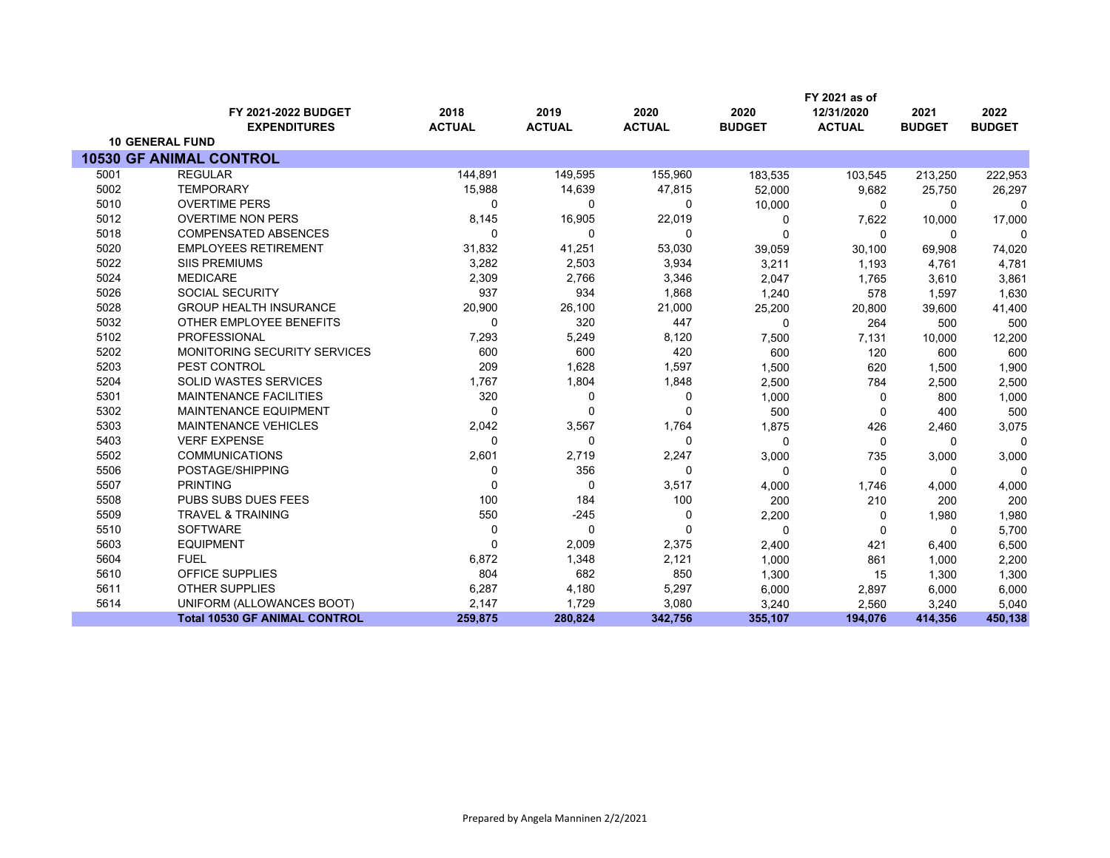|      |                                      |               |               |               |               | FY 2021 as of |               |               |
|------|--------------------------------------|---------------|---------------|---------------|---------------|---------------|---------------|---------------|
|      | FY 2021-2022 BUDGET                  | 2018          | 2019          | 2020          | 2020          | 12/31/2020    | 2021          | 2022          |
|      | <b>EXPENDITURES</b>                  | <b>ACTUAL</b> | <b>ACTUAL</b> | <b>ACTUAL</b> | <b>BUDGET</b> | <b>ACTUAL</b> | <b>BUDGET</b> | <b>BUDGET</b> |
|      | <b>10 GENERAL FUND</b>               |               |               |               |               |               |               |               |
|      | <b>10530 GF ANIMAL CONTROL</b>       |               |               |               |               |               |               |               |
| 5001 | <b>REGULAR</b>                       | 144,891       | 149,595       | 155,960       | 183,535       | 103,545       | 213,250       | 222,953       |
| 5002 | <b>TEMPORARY</b>                     | 15,988        | 14,639        | 47,815        | 52,000        | 9,682         | 25,750        | 26,297        |
| 5010 | <b>OVERTIME PERS</b>                 | 0             | 0             | 0             | 10,000        | 0             | $\Omega$      | $\Omega$      |
| 5012 | <b>OVERTIME NON PERS</b>             | 8,145         | 16,905        | 22,019        | $\Omega$      | 7,622         | 10,000        | 17,000        |
| 5018 | <b>COMPENSATED ABSENCES</b>          | 0             | 0             | 0             | $\Omega$      | $\Omega$      | $\Omega$      | $\Omega$      |
| 5020 | <b>EMPLOYEES RETIREMENT</b>          | 31,832        | 41,251        | 53,030        | 39,059        | 30,100        | 69,908        | 74,020        |
| 5022 | <b>SIIS PREMIUMS</b>                 | 3,282         | 2,503         | 3,934         | 3,211         | 1,193         | 4,761         | 4,781         |
| 5024 | <b>MEDICARE</b>                      | 2,309         | 2,766         | 3,346         | 2,047         | 1,765         | 3,610         | 3,861         |
| 5026 | <b>SOCIAL SECURITY</b>               | 937           | 934           | 1,868         | 1,240         | 578           | 1,597         | 1,630         |
| 5028 | <b>GROUP HEALTH INSURANCE</b>        | 20,900        | 26,100        | 21,000        | 25,200        | 20,800        | 39,600        | 41,400        |
| 5032 | OTHER EMPLOYEE BENEFITS              | 0             | 320           | 447           | $\Omega$      | 264           | 500           | 500           |
| 5102 | <b>PROFESSIONAL</b>                  | 7,293         | 5,249         | 8,120         | 7,500         | 7,131         | 10,000        | 12,200        |
| 5202 | <b>MONITORING SECURITY SERVICES</b>  | 600           | 600           | 420           | 600           | 120           | 600           | 600           |
| 5203 | PEST CONTROL                         | 209           | 1,628         | 1,597         | 1,500         | 620           | 1,500         | 1,900         |
| 5204 | <b>SOLID WASTES SERVICES</b>         | 1,767         | 1,804         | 1,848         | 2,500         | 784           | 2,500         | 2,500         |
| 5301 | <b>MAINTENANCE FACILITIES</b>        | 320           | 0             | $\mathbf 0$   | 1,000         | 0             | 800           | 1,000         |
| 5302 | <b>MAINTENANCE EQUIPMENT</b>         | 0             | $\Omega$      | $\Omega$      | 500           | 0             | 400           | 500           |
| 5303 | MAINTENANCE VEHICLES                 | 2,042         | 3,567         | 1,764         | 1,875         | 426           | 2,460         | 3,075         |
| 5403 | <b>VERF EXPENSE</b>                  | 0             | $\Omega$      | 0             | $\Omega$      | 0             | $\Omega$      | $\Omega$      |
| 5502 | <b>COMMUNICATIONS</b>                | 2,601         | 2,719         | 2,247         | 3,000         | 735           | 3,000         | 3,000         |
| 5506 | POSTAGE/SHIPPING                     | $\Omega$      | 356           | 0             | $\Omega$      | $\Omega$      | $\Omega$      | $\Omega$      |
| 5507 | <b>PRINTING</b>                      | $\Omega$      | 0             | 3,517         | 4,000         | 1,746         | 4,000         | 4,000         |
| 5508 | PUBS SUBS DUES FEES                  | 100           | 184           | 100           | 200           | 210           | 200           | 200           |
| 5509 | <b>TRAVEL &amp; TRAINING</b>         | 550           | $-245$        | 0             | 2,200         | $\Omega$      | 1,980         | 1,980         |
| 5510 | <b>SOFTWARE</b>                      | 0             | $\mathbf 0$   | $\Omega$      | $\Omega$      | $\Omega$      | $\Omega$      | 5,700         |
| 5603 | <b>EQUIPMENT</b>                     | $\Omega$      | 2,009         | 2,375         | 2,400         | 421           | 6,400         | 6,500         |
| 5604 | <b>FUEL</b>                          | 6,872         | 1,348         | 2,121         | 1,000         | 861           | 1,000         | 2,200         |
| 5610 | OFFICE SUPPLIES                      | 804           | 682           | 850           | 1,300         | 15            | 1,300         | 1,300         |
| 5611 | <b>OTHER SUPPLIES</b>                | 6,287         | 4,180         | 5,297         | 6,000         | 2,897         | 6,000         | 6,000         |
| 5614 | UNIFORM (ALLOWANCES BOOT)            | 2,147         | 1,729         | 3,080         | 3,240         | 2,560         | 3,240         | 5,040         |
|      | <b>Total 10530 GF ANIMAL CONTROL</b> | 259,875       | 280,824       | 342,756       | 355,107       | 194,076       | 414,356       | 450,138       |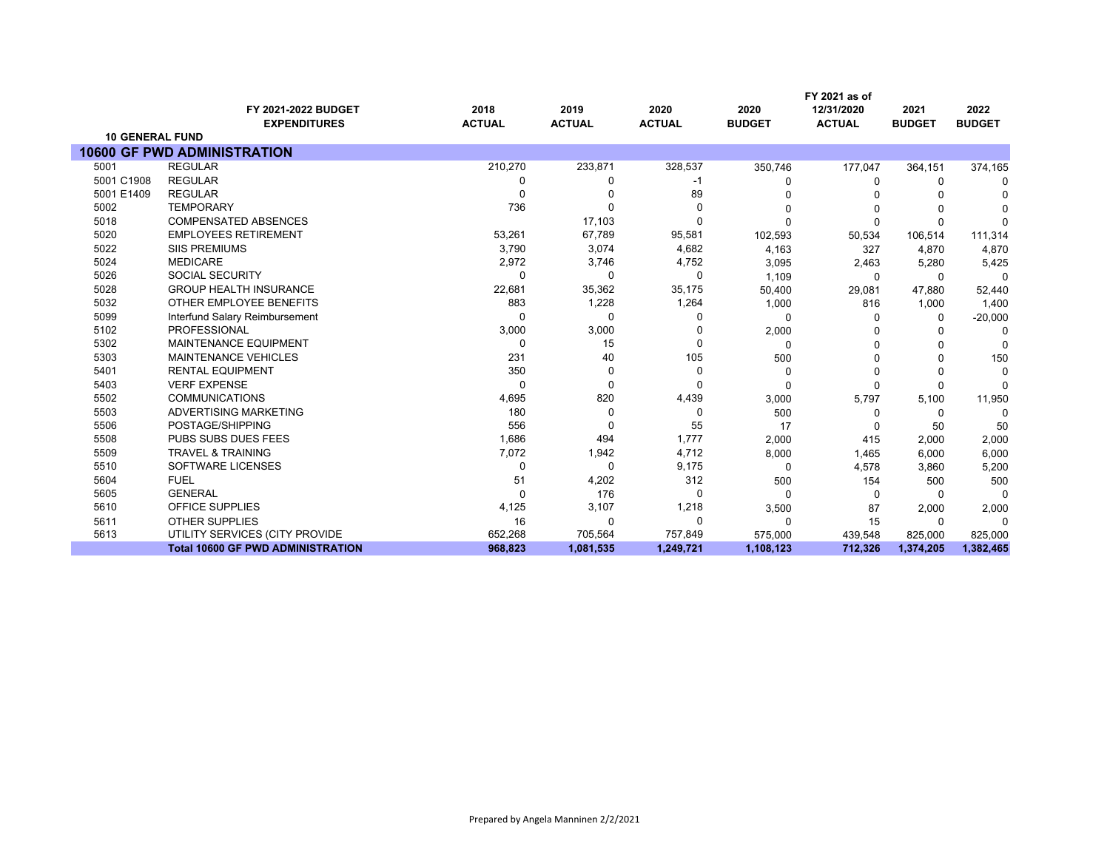|                        |                                            |                       |                       |                       |                       | FY 2021 as of               |                       |                       |
|------------------------|--------------------------------------------|-----------------------|-----------------------|-----------------------|-----------------------|-----------------------------|-----------------------|-----------------------|
|                        | FY 2021-2022 BUDGET<br><b>EXPENDITURES</b> | 2018<br><b>ACTUAL</b> | 2019<br><b>ACTUAL</b> | 2020<br><b>ACTUAL</b> | 2020<br><b>BUDGET</b> | 12/31/2020<br><b>ACTUAL</b> | 2021<br><b>BUDGET</b> | 2022<br><b>BUDGET</b> |
| <b>10 GENERAL FUND</b> |                                            |                       |                       |                       |                       |                             |                       |                       |
|                        | <b>10600 GF PWD ADMINISTRATION</b>         |                       |                       |                       |                       |                             |                       |                       |
| 5001                   | <b>REGULAR</b>                             | 210,270               | 233,871               | 328,537               | 350,746               | 177,047                     | 364,151               | 374,165               |
| 5001 C1908             | <b>REGULAR</b>                             | 0                     | 0                     | -1                    | O                     | 0                           | 0                     | <sup>0</sup>          |
| 5001 E1409             | <b>REGULAR</b>                             | 0                     |                       | 89                    |                       |                             |                       |                       |
| 5002                   | <b>TEMPORARY</b>                           | 736                   |                       | 0                     | 0                     | $\Omega$                    |                       |                       |
| 5018                   | <b>COMPENSATED ABSENCES</b>                |                       | 17,103                | 0                     | O                     | $\Omega$                    | $\Omega$              | C                     |
| 5020                   | <b>EMPLOYEES RETIREMENT</b>                | 53,261                | 67,789                | 95,581                | 102,593               | 50,534                      | 106,514               | 111,314               |
| 5022                   | <b>SIIS PREMIUMS</b>                       | 3,790                 | 3,074                 | 4,682                 | 4,163                 | 327                         | 4,870                 | 4,870                 |
| 5024                   | <b>MEDICARE</b>                            | 2,972                 | 3,746                 | 4,752                 | 3,095                 | 2,463                       | 5,280                 | 5,425                 |
| 5026                   | <b>SOCIAL SECURITY</b>                     | 0                     | 0                     | 0                     | 1,109                 | 0                           | $\Omega$              | 0                     |
| 5028                   | <b>GROUP HEALTH INSURANCE</b>              | 22,681                | 35,362                | 35,175                | 50,400                | 29,081                      | 47,880                | 52,440                |
| 5032                   | OTHER EMPLOYEE BENEFITS                    | 883                   | 1,228                 | 1,264                 | 1,000                 | 816                         | 1,000                 | 1,400                 |
| 5099                   | Interfund Salary Reimbursement             | $\Omega$              | 0                     | 0                     | 0                     | $\Omega$                    | 0                     | $-20,000$             |
| 5102                   | <b>PROFESSIONAL</b>                        | 3,000                 | 3,000                 | U                     | 2,000                 |                             | O                     | $\Omega$              |
| 5302                   | <b>MAINTENANCE EQUIPMENT</b>               | 0                     | 15                    | $\Omega$              | 0                     | $\Omega$                    |                       | $\Omega$              |
| 5303                   | MAINTENANCE VEHICLES                       | 231                   | 40                    | 105                   | 500                   | 0                           | ∩                     | 150                   |
| 5401                   | <b>RENTAL EQUIPMENT</b>                    | 350                   | 0                     | $\Omega$              | 0                     | $\Omega$                    | $\Omega$              | $\Omega$              |
| 5403                   | <b>VERF EXPENSE</b>                        | $\Omega$              | 0                     | 0                     | 0                     | $\Omega$                    | 0                     | $\Omega$              |
| 5502                   | <b>COMMUNICATIONS</b>                      | 4,695                 | 820                   | 4,439                 | 3,000                 | 5,797                       | 5,100                 | 11,950                |
| 5503                   | ADVERTISING MARKETING                      | 180                   | 0                     | 0                     | 500                   | 0                           | 0                     | $\Omega$              |
| 5506                   | POSTAGE/SHIPPING                           | 556                   | 0                     | 55                    | 17                    | $\Omega$                    | 50                    | 50                    |
| 5508                   | <b>PUBS SUBS DUES FEES</b>                 | 1,686                 | 494                   | 1,777                 | 2,000                 | 415                         | 2,000                 | 2,000                 |
| 5509                   | <b>TRAVEL &amp; TRAINING</b>               | 7,072                 | 1,942                 | 4,712                 | 8,000                 | 1,465                       | 6,000                 | 6,000                 |
| 5510                   | SOFTWARE LICENSES                          | 0                     | 0                     | 9,175                 | 0                     | 4,578                       | 3,860                 | 5,200                 |
| 5604                   | <b>FUEL</b>                                | 51                    | 4,202                 | 312                   | 500                   | 154                         | 500                   | 500                   |
| 5605                   | <b>GENERAL</b>                             | $\Omega$              | 176                   | 0                     | $\Omega$              | $\Omega$                    | $\Omega$              | $\Omega$              |
| 5610                   | OFFICE SUPPLIES                            | 4,125                 | 3,107                 | 1,218                 | 3,500                 | 87                          | 2,000                 | 2,000                 |
| 5611                   | <b>OTHER SUPPLIES</b>                      | 16                    | 0                     | 0                     | 0                     | 15                          | 0                     | $\Omega$              |
| 5613                   | UTILITY SERVICES (CITY PROVIDE             | 652,268               | 705,564               | 757,849               | 575,000               | 439,548                     | 825,000               | 825,000               |
|                        | <b>Total 10600 GF PWD ADMINISTRATION</b>   | 968,823               | 1,081,535             | 1,249,721             | 1,108,123             | 712,326                     | 1,374,205             | 1,382,465             |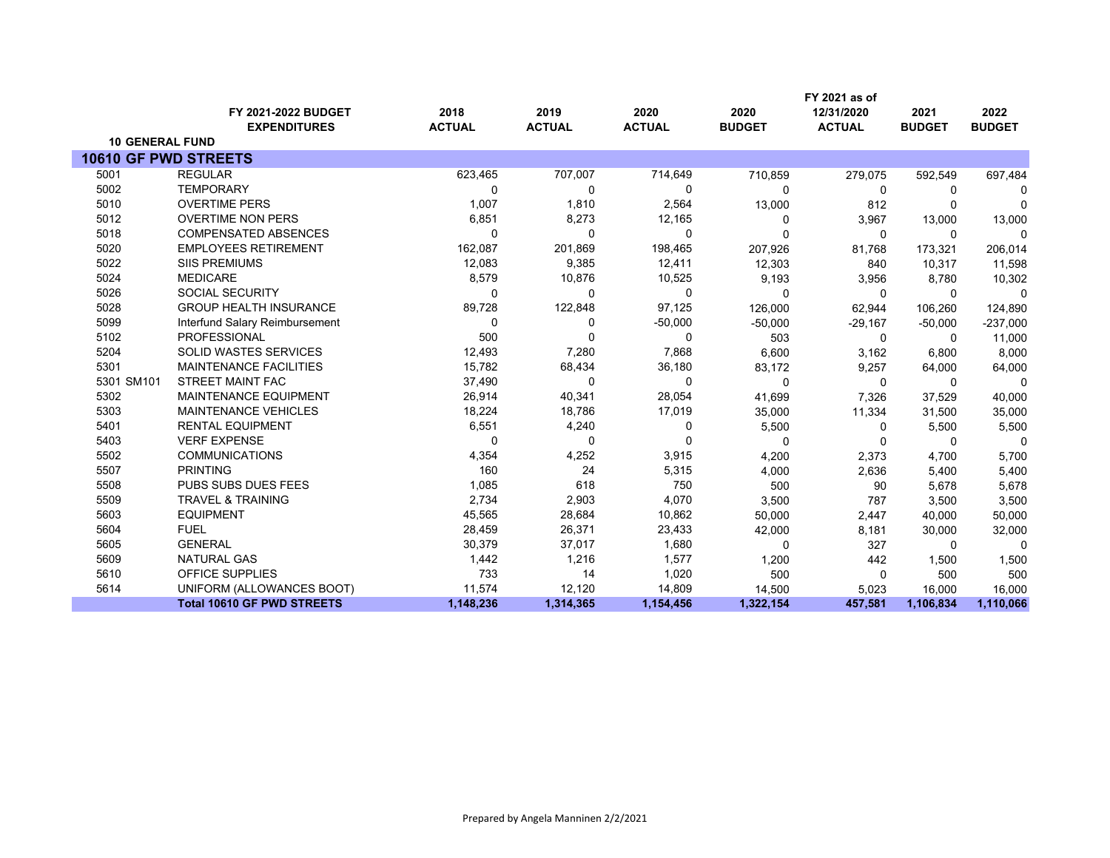|                             |                                   |               |               |               |               | FY 2021 as of |               |               |
|-----------------------------|-----------------------------------|---------------|---------------|---------------|---------------|---------------|---------------|---------------|
|                             | FY 2021-2022 BUDGET               | 2018          | 2019          | 2020          | 2020          | 12/31/2020    | 2021          | 2022          |
|                             | <b>EXPENDITURES</b>               | <b>ACTUAL</b> | <b>ACTUAL</b> | <b>ACTUAL</b> | <b>BUDGET</b> | <b>ACTUAL</b> | <b>BUDGET</b> | <b>BUDGET</b> |
| <b>10 GENERAL FUND</b>      |                                   |               |               |               |               |               |               |               |
| <b>10610 GF PWD STREETS</b> |                                   |               |               |               |               |               |               |               |
| 5001                        | <b>REGULAR</b>                    | 623,465       | 707,007       | 714,649       | 710,859       | 279,075       | 592,549       | 697,484       |
| 5002                        | <b>TEMPORARY</b>                  | $\Omega$      | 0             | 0             | $\Omega$      | 0             | 0             | 0             |
| 5010                        | <b>OVERTIME PERS</b>              | 1,007         | 1,810         | 2,564         | 13,000        | 812           | $\Omega$      | $\Omega$      |
| 5012                        | <b>OVERTIME NON PERS</b>          | 6,851         | 8,273         | 12,165        | 0             | 3,967         | 13,000        | 13,000        |
| 5018                        | <b>COMPENSATED ABSENCES</b>       | $\Omega$      | 0             | 0             | n             | $\mathbf{0}$  | 0             | 0             |
| 5020                        | <b>EMPLOYEES RETIREMENT</b>       | 162,087       | 201,869       | 198,465       | 207,926       | 81,768        | 173,321       | 206,014       |
| 5022                        | <b>SIIS PREMIUMS</b>              | 12,083        | 9,385         | 12,411        | 12,303        | 840           | 10,317        | 11,598        |
| 5024                        | <b>MEDICARE</b>                   | 8,579         | 10,876        | 10,525        | 9,193         | 3,956         | 8,780         | 10,302        |
| 5026                        | <b>SOCIAL SECURITY</b>            | $\Omega$      | $\mathbf 0$   | 0             | $\Omega$      | 0             | $\Omega$      | $\Omega$      |
| 5028                        | <b>GROUP HEALTH INSURANCE</b>     | 89,728        | 122,848       | 97,125        | 126,000       | 62,944        | 106,260       | 124,890       |
| 5099                        | Interfund Salary Reimbursement    | $\Omega$      | 0             | $-50,000$     | $-50,000$     | $-29,167$     | $-50,000$     | $-237,000$    |
| 5102                        | <b>PROFESSIONAL</b>               | 500           | $\Omega$      | $\Omega$      | 503           | $\mathbf{0}$  | $\Omega$      | 11,000        |
| 5204                        | <b>SOLID WASTES SERVICES</b>      | 12,493        | 7,280         | 7,868         | 6,600         | 3,162         | 6,800         | 8,000         |
| 5301                        | <b>MAINTENANCE FACILITIES</b>     | 15,782        | 68,434        | 36,180        | 83,172        | 9,257         | 64,000        | 64,000        |
| 5301 SM101                  | STREET MAINT FAC                  | 37,490        | 0             | 0             | 0             | 0             | 0             | 0             |
| 5302                        | <b>MAINTENANCE EQUIPMENT</b>      | 26,914        | 40,341        | 28,054        | 41,699        | 7,326         | 37,529        | 40,000        |
| 5303                        | <b>MAINTENANCE VEHICLES</b>       | 18,224        | 18,786        | 17,019        | 35,000        | 11,334        | 31,500        | 35,000        |
| 5401                        | <b>RENTAL EQUIPMENT</b>           | 6,551         | 4,240         | 0             | 5,500         | $\Omega$      | 5,500         | 5,500         |
| 5403                        | <b>VERF EXPENSE</b>               | $\Omega$      | 0             | 0             | $\Omega$      | $\mathbf 0$   | 0             | 0             |
| 5502                        | <b>COMMUNICATIONS</b>             | 4,354         | 4,252         | 3,915         | 4,200         | 2,373         | 4.700         | 5,700         |
| 5507                        | <b>PRINTING</b>                   | 160           | 24            | 5,315         | 4,000         | 2,636         | 5,400         | 5,400         |
| 5508                        | PUBS SUBS DUES FEES               | 1,085         | 618           | 750           | 500           | 90            | 5,678         | 5,678         |
| 5509                        | <b>TRAVEL &amp; TRAINING</b>      | 2,734         | 2,903         | 4,070         | 3,500         | 787           | 3,500         | 3,500         |
| 5603                        | <b>EQUIPMENT</b>                  | 45,565        | 28,684        | 10,862        | 50,000        | 2,447         | 40,000        | 50,000        |
| 5604                        | <b>FUEL</b>                       | 28,459        | 26,371        | 23,433        | 42,000        | 8,181         | 30,000        | 32,000        |
| 5605                        | <b>GENERAL</b>                    | 30,379        | 37,017        | 1,680         | 0             | 327           | $\Omega$      | $\Omega$      |
| 5609                        | <b>NATURAL GAS</b>                | 1,442         | 1,216         | 1,577         | 1,200         | 442           | 1,500         | 1,500         |
| 5610                        | <b>OFFICE SUPPLIES</b>            | 733           | 14            | 1,020         | 500           | $\mathbf{0}$  | 500           | 500           |
| 5614                        | UNIFORM (ALLOWANCES BOOT)         | 11,574        | 12,120        | 14,809        | 14,500        | 5,023         | 16,000        | 16,000        |
|                             | <b>Total 10610 GF PWD STREETS</b> | 1,148,236     | 1,314,365     | 1,154,456     | 1,322,154     | 457,581       | 1,106,834     | 1,110,066     |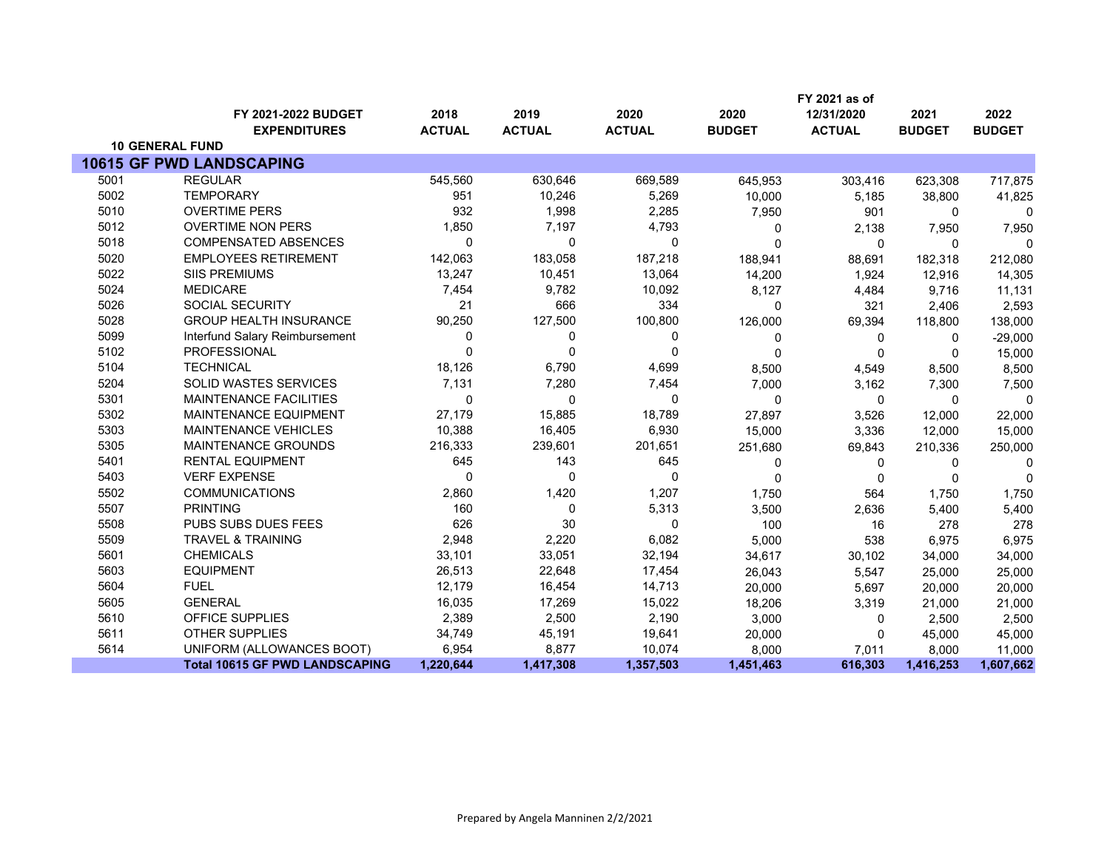|      |                                            |                       |                       |                       |                       | FY 2021 as of               |                       |                       |
|------|--------------------------------------------|-----------------------|-----------------------|-----------------------|-----------------------|-----------------------------|-----------------------|-----------------------|
|      | FY 2021-2022 BUDGET<br><b>EXPENDITURES</b> | 2018<br><b>ACTUAL</b> | 2019<br><b>ACTUAL</b> | 2020<br><b>ACTUAL</b> | 2020<br><b>BUDGET</b> | 12/31/2020<br><b>ACTUAL</b> | 2021<br><b>BUDGET</b> | 2022<br><b>BUDGET</b> |
|      | <b>10 GENERAL FUND</b>                     |                       |                       |                       |                       |                             |                       |                       |
|      | <b>10615 GF PWD LANDSCAPING</b>            |                       |                       |                       |                       |                             |                       |                       |
| 5001 | <b>REGULAR</b>                             | 545,560               | 630,646               | 669,589               | 645,953               | 303,416                     | 623,308               | 717,875               |
| 5002 | <b>TEMPORARY</b>                           | 951                   | 10,246                | 5,269                 | 10,000                | 5.185                       | 38,800                | 41,825                |
| 5010 | <b>OVERTIME PERS</b>                       | 932                   | 1,998                 | 2,285                 | 7,950                 | 901                         | 0                     | $\Omega$              |
| 5012 | <b>OVERTIME NON PERS</b>                   | 1,850                 | 7,197                 | 4,793                 | 0                     | 2,138                       | 7,950                 | 7,950                 |
| 5018 | <b>COMPENSATED ABSENCES</b>                | $\mathbf{0}$          | $\mathbf{0}$          | $\mathbf{0}$          | $\mathbf{0}$          | 0                           | 0                     | $\Omega$              |
| 5020 | <b>EMPLOYEES RETIREMENT</b>                | 142,063               | 183,058               | 187,218               | 188,941               | 88,691                      | 182,318               | 212,080               |
| 5022 | <b>SIIS PREMIUMS</b>                       | 13,247                | 10,451                | 13,064                | 14,200                | 1,924                       | 12,916                | 14,305                |
| 5024 | <b>MEDICARE</b>                            | 7,454                 | 9,782                 | 10,092                | 8,127                 | 4,484                       | 9,716                 | 11,131                |
| 5026 | SOCIAL SECURITY                            | 21                    | 666                   | 334                   | $\mathbf{0}$          | 321                         | 2,406                 | 2,593                 |
| 5028 | <b>GROUP HEALTH INSURANCE</b>              | 90,250                | 127,500               | 100,800               | 126,000               | 69,394                      | 118,800               | 138,000               |
| 5099 | Interfund Salary Reimbursement             | 0                     | 0                     | 0                     | 0                     | 0                           | 0                     | $-29,000$             |
| 5102 | <b>PROFESSIONAL</b>                        | $\Omega$              | $\mathbf{0}$          | $\mathbf{0}$          | $\mathbf 0$           | 0                           | 0                     | 15,000                |
| 5104 | <b>TECHNICAL</b>                           | 18,126                | 6,790                 | 4,699                 | 8,500                 | 4,549                       | 8,500                 | 8,500                 |
| 5204 | SOLID WASTES SERVICES                      | 7,131                 | 7,280                 | 7,454                 | 7,000                 | 3,162                       | 7,300                 | 7,500                 |
| 5301 | <b>MAINTENANCE FACILITIES</b>              | $\mathbf 0$           | $\mathbf 0$           | $\mathbf 0$           | $\mathbf 0$           | $\mathbf 0$                 | 0                     | $\Omega$              |
| 5302 | <b>MAINTENANCE EQUIPMENT</b>               | 27,179                | 15,885                | 18,789                | 27,897                | 3,526                       | 12,000                | 22,000                |
| 5303 | MAINTENANCE VEHICLES                       | 10,388                | 16,405                | 6,930                 | 15,000                | 3,336                       | 12,000                | 15,000                |
| 5305 | MAINTENANCE GROUNDS                        | 216,333               | 239,601               | 201,651               | 251,680               | 69,843                      | 210,336               | 250,000               |
| 5401 | <b>RENTAL EQUIPMENT</b>                    | 645                   | 143                   | 645                   | 0                     | 0                           | 0                     | 0                     |
| 5403 | <b>VERF EXPENSE</b>                        | $\mathbf 0$           | 0                     | $\mathbf 0$           | 0                     | $\mathbf 0$                 | 0                     | $\Omega$              |
| 5502 | <b>COMMUNICATIONS</b>                      | 2,860                 | 1,420                 | 1,207                 | 1,750                 | 564                         | 1,750                 | 1,750                 |
| 5507 | <b>PRINTING</b>                            | 160                   | 0                     | 5,313                 | 3,500                 | 2,636                       | 5,400                 | 5,400                 |
| 5508 | PUBS SUBS DUES FEES                        | 626                   | 30                    | 0                     | 100                   | 16                          | 278                   | 278                   |
| 5509 | <b>TRAVEL &amp; TRAINING</b>               | 2,948                 | 2,220                 | 6,082                 | 5,000                 | 538                         | 6,975                 | 6,975                 |
| 5601 | <b>CHEMICALS</b>                           | 33,101                | 33,051                | 32,194                | 34,617                | 30,102                      | 34,000                | 34,000                |
| 5603 | <b>EQUIPMENT</b>                           | 26,513                | 22,648                | 17,454                | 26,043                | 5,547                       | 25,000                | 25,000                |
| 5604 | <b>FUEL</b>                                | 12,179                | 16,454                | 14,713                | 20,000                | 5,697                       | 20,000                | 20,000                |
| 5605 | <b>GENERAL</b>                             | 16,035                | 17,269                | 15,022                | 18,206                | 3,319                       | 21,000                | 21,000                |
| 5610 | OFFICE SUPPLIES                            | 2,389                 | 2,500                 | 2,190                 | 3,000                 | 0                           | 2,500                 | 2,500                 |
| 5611 | <b>OTHER SUPPLIES</b>                      | 34,749                | 45,191                | 19,641                | 20,000                | 0                           | 45,000                | 45,000                |
| 5614 | UNIFORM (ALLOWANCES BOOT)                  | 6,954                 | 8,877                 | 10,074                | 8,000                 | 7,011                       | 8,000                 | 11,000                |
|      | <b>Total 10615 GF PWD LANDSCAPING</b>      | 1,220,644             | 1,417,308             | 1,357,503             | 1,451,463             | 616,303                     | 1,416,253             | 1,607,662             |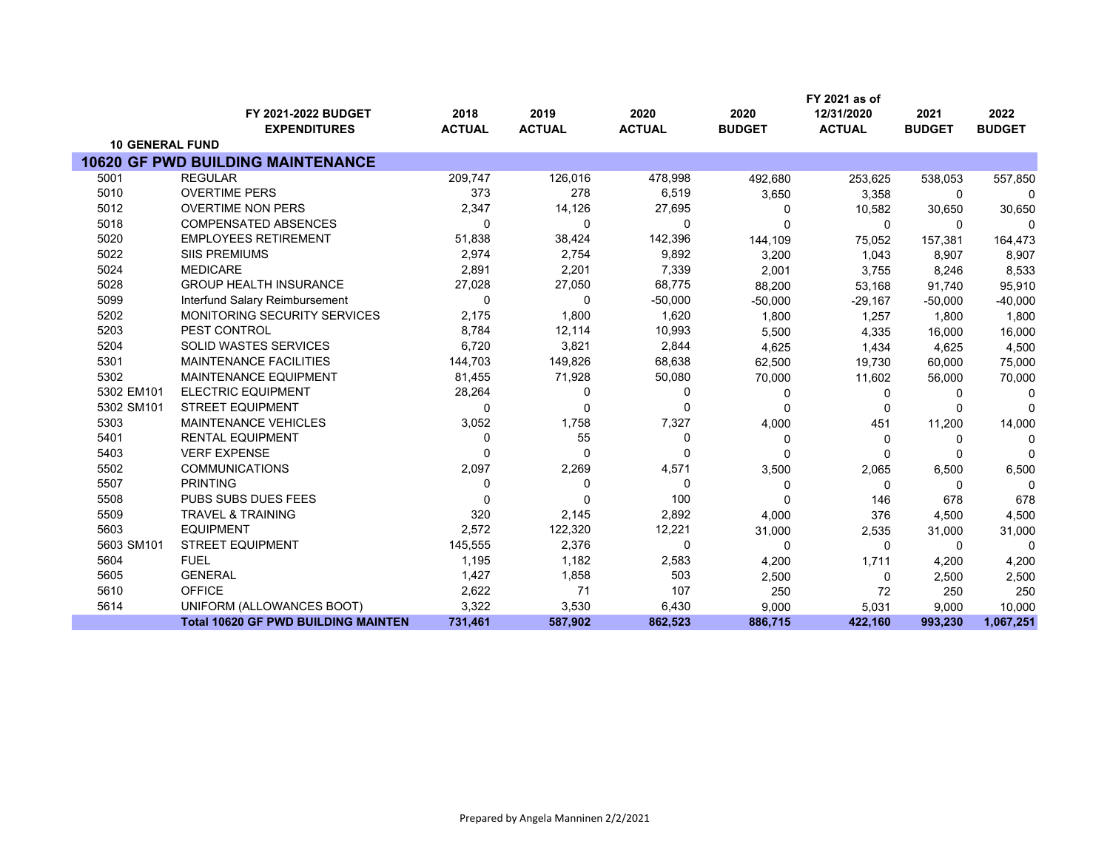|                        |                                            |               |               |               |               | FY 2021 as of |               |               |
|------------------------|--------------------------------------------|---------------|---------------|---------------|---------------|---------------|---------------|---------------|
|                        | FY 2021-2022 BUDGET                        | 2018          | 2019          | 2020          | 2020          | 12/31/2020    | 2021          | 2022          |
|                        | <b>EXPENDITURES</b>                        | <b>ACTUAL</b> | <b>ACTUAL</b> | <b>ACTUAL</b> | <b>BUDGET</b> | <b>ACTUAL</b> | <b>BUDGET</b> | <b>BUDGET</b> |
| <b>10 GENERAL FUND</b> |                                            |               |               |               |               |               |               |               |
|                        | <b>10620 GF PWD BUILDING MAINTENANCE</b>   |               |               |               |               |               |               |               |
| 5001                   | <b>REGULAR</b>                             | 209,747       | 126,016       | 478,998       | 492,680       | 253,625       | 538,053       | 557,850       |
| 5010                   | <b>OVERTIME PERS</b>                       | 373           | 278           | 6,519         | 3,650         | 3,358         | $\Omega$      | $\Omega$      |
| 5012                   | <b>OVERTIME NON PERS</b>                   | 2,347         | 14,126        | 27,695        | 0             | 10,582        | 30,650        | 30,650        |
| 5018                   | <b>COMPENSATED ABSENCES</b>                | 0             | $\Omega$      | 0             | $\Omega$      | 0             | $\Omega$      | U             |
| 5020                   | <b>EMPLOYEES RETIREMENT</b>                | 51,838        | 38,424        | 142,396       | 144,109       | 75,052        | 157,381       | 164,473       |
| 5022                   | <b>SIIS PREMIUMS</b>                       | 2,974         | 2,754         | 9,892         | 3,200         | 1,043         | 8,907         | 8,907         |
| 5024                   | <b>MEDICARE</b>                            | 2,891         | 2,201         | 7,339         | 2,001         | 3,755         | 8,246         | 8,533         |
| 5028                   | <b>GROUP HEALTH INSURANCE</b>              | 27,028        | 27,050        | 68,775        | 88,200        | 53,168        | 91,740        | 95,910        |
| 5099                   | Interfund Salary Reimbursement             | $\Omega$      | 0             | $-50,000$     | $-50,000$     | $-29,167$     | $-50,000$     | $-40,000$     |
| 5202                   | MONITORING SECURITY SERVICES               | 2,175         | 1,800         | 1,620         | 1,800         | 1,257         | 1,800         | 1,800         |
| 5203                   | PEST CONTROL                               | 8,784         | 12,114        | 10,993        | 5,500         | 4,335         | 16,000        | 16,000        |
| 5204                   | <b>SOLID WASTES SERVICES</b>               | 6,720         | 3,821         | 2,844         | 4,625         | 1,434         | 4,625         | 4,500         |
| 5301                   | <b>MAINTENANCE FACILITIES</b>              | 144,703       | 149,826       | 68,638        | 62,500        | 19,730        | 60,000        | 75,000        |
| 5302                   | <b>MAINTENANCE EQUIPMENT</b>               | 81,455        | 71,928        | 50,080        | 70,000        | 11,602        | 56,000        | 70,000        |
| 5302 EM101             | <b>ELECTRIC EQUIPMENT</b>                  | 28,264        | 0             | 0             | 0             | 0             | n             | $\Omega$      |
| 5302 SM101             | <b>STREET EQUIPMENT</b>                    | 0             | 0             | 0             | 0             | 0             |               | $\Omega$      |
| 5303                   | <b>MAINTENANCE VEHICLES</b>                | 3,052         | 1,758         | 7,327         | 4,000         | 451           | 11,200        | 14,000        |
| 5401                   | <b>RENTAL EQUIPMENT</b>                    | 0             | 55            | 0             | 0             | 0             | 0             | n             |
| 5403                   | <b>VERF EXPENSE</b>                        | $\Omega$      | $\Omega$      | 0             | $\Omega$      | 0             |               | <sup>0</sup>  |
| 5502                   | <b>COMMUNICATIONS</b>                      | 2,097         | 2,269         | 4,571         | 3,500         | 2,065         | 6,500         | 6,500         |
| 5507                   | <b>PRINTING</b>                            | $\Omega$      | 0             | 0             | 0             | 0             | $\Omega$      | $\Omega$      |
| 5508                   | PUBS SUBS DUES FEES                        | $\Omega$      | $\Omega$      | 100           | $\Omega$      | 146           | 678           | 678           |
| 5509                   | <b>TRAVEL &amp; TRAINING</b>               | 320           | 2,145         | 2,892         | 4,000         | 376           | 4,500         | 4,500         |
| 5603                   | <b>EQUIPMENT</b>                           | 2,572         | 122,320       | 12,221        | 31,000        | 2,535         | 31,000        | 31,000        |
| 5603 SM101             | <b>STREET EQUIPMENT</b>                    | 145,555       | 2,376         | 0             | 0             | 0             | 0             | n             |
| 5604                   | <b>FUEL</b>                                | 1,195         | 1,182         | 2,583         | 4,200         | 1,711         | 4,200         | 4,200         |
| 5605                   | <b>GENERAL</b>                             | 1,427         | 1,858         | 503           | 2,500         | 0             | 2,500         | 2,500         |
| 5610                   | <b>OFFICE</b>                              | 2,622         | 71            | 107           | 250           | 72            | 250           | 250           |
| 5614                   | UNIFORM (ALLOWANCES BOOT)                  | 3,322         | 3,530         | 6,430         | 9,000         | 5,031         | 9,000         | 10,000        |
|                        | <b>Total 10620 GF PWD BUILDING MAINTEN</b> | 731,461       | 587,902       | 862,523       | 886,715       | 422,160       | 993,230       | 1,067,251     |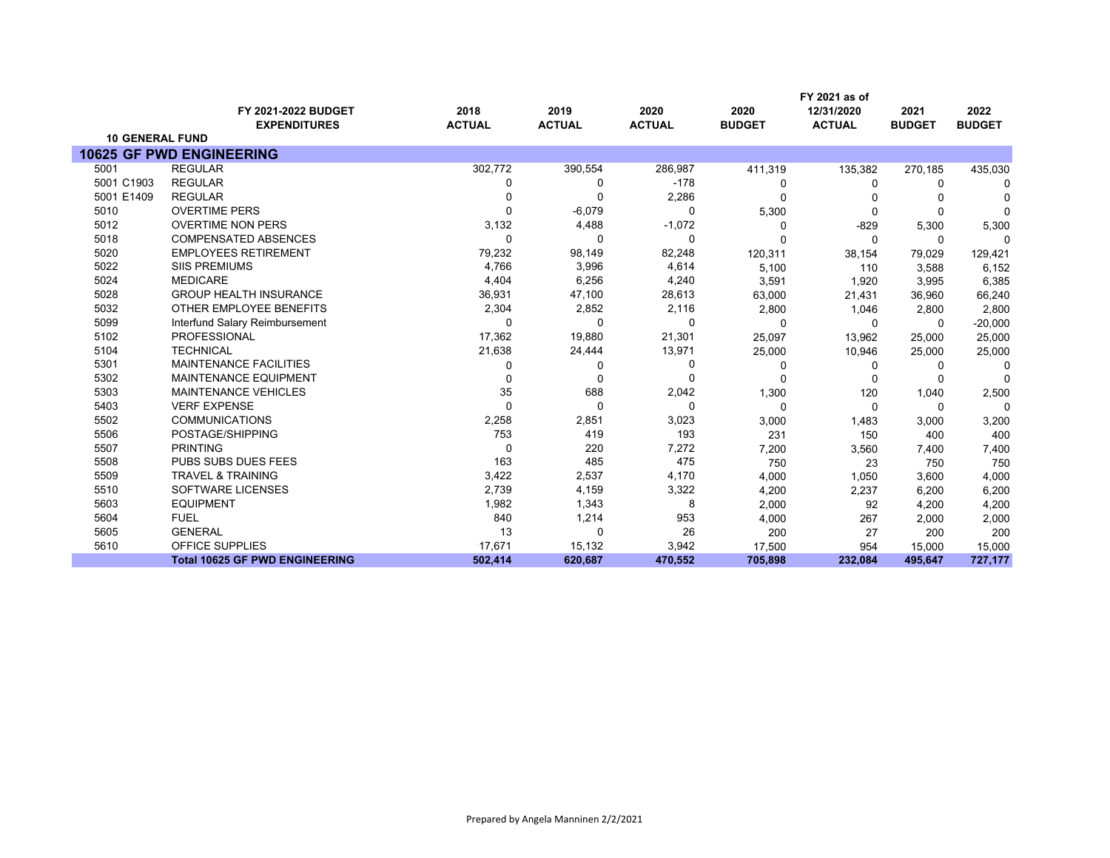|                        |                                            |                       |                       |                       |                       | FY 2021 as of               |                       |                       |
|------------------------|--------------------------------------------|-----------------------|-----------------------|-----------------------|-----------------------|-----------------------------|-----------------------|-----------------------|
|                        | FY 2021-2022 BUDGET<br><b>EXPENDITURES</b> | 2018<br><b>ACTUAL</b> | 2019<br><b>ACTUAL</b> | 2020<br><b>ACTUAL</b> | 2020<br><b>BUDGET</b> | 12/31/2020<br><b>ACTUAL</b> | 2021<br><b>BUDGET</b> | 2022<br><b>BUDGET</b> |
| <b>10 GENERAL FUND</b> |                                            |                       |                       |                       |                       |                             |                       |                       |
|                        | <b>10625 GF PWD ENGINEERING</b>            |                       |                       |                       |                       |                             |                       |                       |
| 5001                   | <b>REGULAR</b>                             | 302,772               | 390,554               | 286,987               | 411,319               | 135,382                     | 270,185               | 435,030               |
| 5001 C1903             | <b>REGULAR</b>                             | 0                     | $\Omega$              | $-178$                | 0                     | 0                           | 0                     | 0                     |
| 5001 E1409             | <b>REGULAR</b>                             | 0                     | $\Omega$              | 2,286                 | $\Omega$              | n                           |                       |                       |
| 5010                   | <b>OVERTIME PERS</b>                       | $\Omega$              | $-6,079$              | $\Omega$              | 5,300                 | $\mathbf 0$                 | 0                     | $\Omega$              |
| 5012                   | <b>OVERTIME NON PERS</b>                   | 3,132                 | 4,488                 | $-1,072$              | $\Omega$              | $-829$                      | 5,300                 | 5,300                 |
| 5018                   | <b>COMPENSATED ABSENCES</b>                | $\Omega$              | $\Omega$              | $\Omega$              | U                     | $\Omega$                    | 0                     | U                     |
| 5020                   | <b>EMPLOYEES RETIREMENT</b>                | 79,232                | 98,149                | 82,248                | 120,311               | 38,154                      | 79,029                | 129,421               |
| 5022                   | <b>SIIS PREMIUMS</b>                       | 4,766                 | 3,996                 | 4,614                 | 5,100                 | 110                         | 3,588                 | 6,152                 |
| 5024                   | <b>MEDICARE</b>                            | 4,404                 | 6,256                 | 4,240                 | 3,591                 | 1,920                       | 3,995                 | 6,385                 |
| 5028                   | <b>GROUP HEALTH INSURANCE</b>              | 36,931                | 47,100                | 28,613                | 63,000                | 21,431                      | 36,960                | 66,240                |
| 5032                   | OTHER EMPLOYEE BENEFITS                    | 2,304                 | 2,852                 | 2,116                 | 2,800                 | 1,046                       | 2,800                 | 2,800                 |
| 5099                   | Interfund Salary Reimbursement             | $\Omega$              | $\Omega$              | $\Omega$              | $\Omega$              | $\Omega$                    | 0                     | $-20,000$             |
| 5102                   | PROFESSIONAL                               | 17,362                | 19,880                | 21,301                | 25,097                | 13,962                      | 25,000                | 25,000                |
| 5104                   | <b>TECHNICAL</b>                           | 21,638                | 24,444                | 13,971                | 25,000                | 10,946                      | 25,000                | 25,000                |
| 5301                   | <b>MAINTENANCE FACILITIES</b>              | 0                     | ŋ                     | $\Omega$              | 0                     | 0                           | 0                     |                       |
| 5302                   | <b>MAINTENANCE EQUIPMENT</b>               | 0                     | $\Omega$              | $\Omega$              | 0                     | $\Omega$                    | 0                     | $\Omega$              |
| 5303                   | <b>MAINTENANCE VEHICLES</b>                | 35                    | 688                   | 2,042                 | 1,300                 | 120                         | 1,040                 | 2,500                 |
| 5403                   | <b>VERF EXPENSE</b>                        | $\Omega$              | $\Omega$              | $\Omega$              | $\mathbf 0$           | $\mathbf 0$                 | 0                     | $\Omega$              |
| 5502                   | <b>COMMUNICATIONS</b>                      | 2,258                 | 2,851                 | 3,023                 | 3,000                 | 1,483                       | 3,000                 | 3,200                 |
| 5506                   | POSTAGE/SHIPPING                           | 753                   | 419                   | 193                   | 231                   | 150                         | 400                   | 400                   |
| 5507                   | <b>PRINTING</b>                            | 0                     | 220                   | 7,272                 | 7,200                 | 3,560                       | 7,400                 | 7,400                 |
| 5508                   | PUBS SUBS DUES FEES                        | 163                   | 485                   | 475                   | 750                   | 23                          | 750                   | 750                   |
| 5509                   | <b>TRAVEL &amp; TRAINING</b>               | 3,422                 | 2,537                 | 4,170                 | 4,000                 | 1,050                       | 3,600                 | 4,000                 |
| 5510                   | SOFTWARE LICENSES                          | 2,739                 | 4,159                 | 3,322                 | 4,200                 | 2,237                       | 6,200                 | 6,200                 |
| 5603                   | <b>EQUIPMENT</b>                           | 1,982                 | 1,343                 | 8                     | 2,000                 | 92                          | 4,200                 | 4,200                 |
| 5604                   | <b>FUEL</b>                                | 840                   | 1,214                 | 953                   | 4,000                 | 267                         | 2,000                 | 2,000                 |
| 5605                   | <b>GENERAL</b>                             | 13                    | $\Omega$              | 26                    | 200                   | 27                          | 200                   | 200                   |
| 5610                   | <b>OFFICE SUPPLIES</b>                     | 17,671                | 15,132                | 3,942                 | 17,500                | 954                         | 15,000                | 15,000                |
|                        | <b>Total 10625 GF PWD ENGINEERING</b>      | 502.414               | 620,687               | 470,552               | 705,898               | 232,084                     | 495,647               | 727,177               |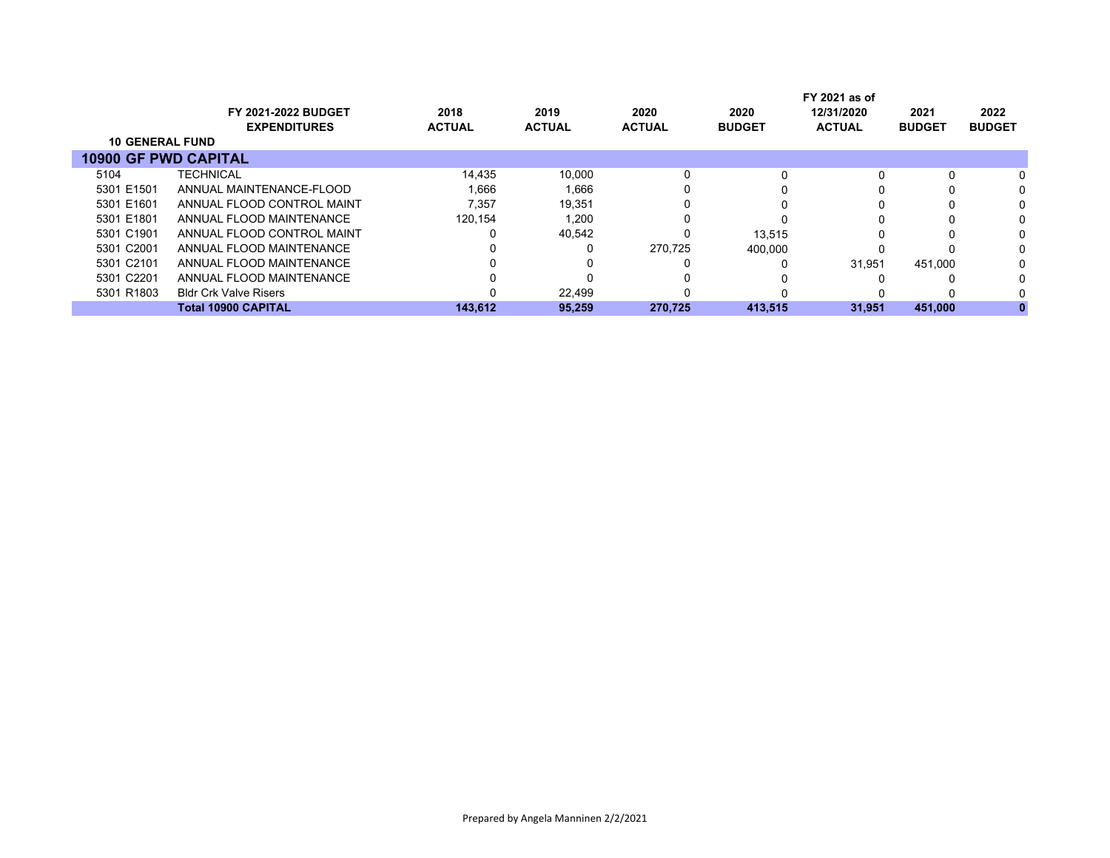|                             |                              |               |               |               |               | FY 2021 as of |               |               |
|-----------------------------|------------------------------|---------------|---------------|---------------|---------------|---------------|---------------|---------------|
|                             | <b>FY 2021-2022 BUDGET</b>   | 2018          | 2019          | 2020          | 2020          | 12/31/2020    | 2021          | 2022          |
|                             | <b>EXPENDITURES</b>          | <b>ACTUAL</b> | <b>ACTUAL</b> | <b>ACTUAL</b> | <b>BUDGET</b> | <b>ACTUAL</b> | <b>BUDGET</b> | <b>BUDGET</b> |
| <b>10 GENERAL FUND</b>      |                              |               |               |               |               |               |               |               |
| <b>10900 GF PWD CAPITAL</b> |                              |               |               |               |               |               |               |               |
| 5104                        | <b>TECHNICAL</b>             | 14,435        | 10.000        | 0             |               |               |               |               |
| 5301 E1501                  | ANNUAL MAINTENANCE-FLOOD     | 1.666         | 1.666         | 0             |               |               |               |               |
| 5301 E1601                  | ANNUAL FLOOD CONTROL MAINT   | 7.357         | 19,351        | 0             |               |               |               |               |
| 5301 E1801                  | ANNUAL FLOOD MAINTENANCE     | 120.154       | 1,200         |               |               |               |               |               |
| 5301 C1901                  | ANNUAL FLOOD CONTROL MAINT   |               | 40,542        | 0             | 13.515        |               |               |               |
| 5301 C2001                  | ANNUAL FLOOD MAINTENANCE     |               | 0             | 270.725       | 400.000       |               |               |               |
| 5301 C2101                  | ANNUAL FLOOD MAINTENANCE     |               |               |               |               | 31.951        | 451.000       |               |
| 5301 C2201                  | ANNUAL FLOOD MAINTENANCE     |               |               |               |               |               |               |               |
| 5301 R1803                  | <b>Bldr Crk Valve Risers</b> |               | 22.499        |               |               |               |               |               |
|                             | <b>Total 10900 CAPITAL</b>   | 143.612       | 95.259        | 270.725       | 413,515       | 31.951        | 451.000       |               |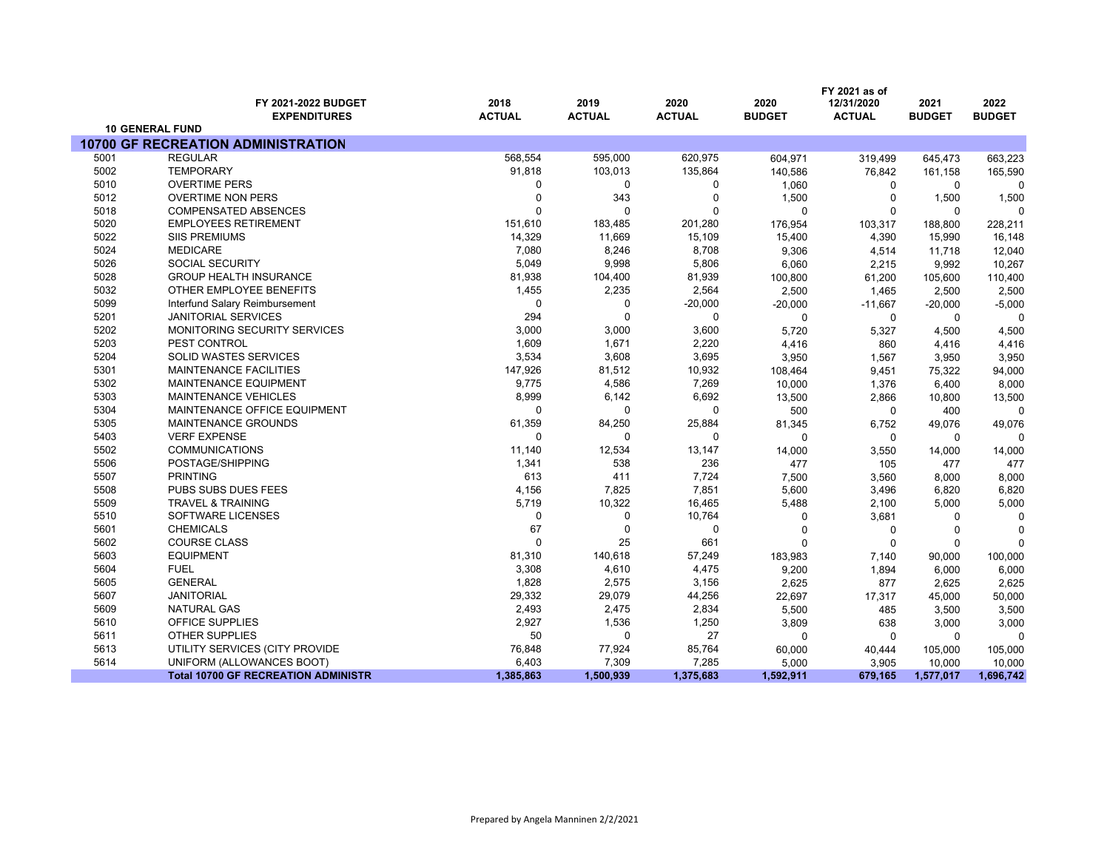|      |                                               |               |               |               |               | FY 2021 as of |               |               |
|------|-----------------------------------------------|---------------|---------------|---------------|---------------|---------------|---------------|---------------|
|      | FY 2021-2022 BUDGET                           | 2018          | 2019          | 2020          | 2020          | 12/31/2020    | 2021          | 2022          |
|      | <b>EXPENDITURES</b><br><b>10 GENERAL FUND</b> | <b>ACTUAL</b> | <b>ACTUAL</b> | <b>ACTUAL</b> | <b>BUDGET</b> | <b>ACTUAL</b> | <b>BUDGET</b> | <b>BUDGET</b> |
|      | <b>10700 GF RECREATION ADMINISTRATION</b>     |               |               |               |               |               |               |               |
| 5001 | <b>REGULAR</b>                                | 568,554       | 595,000       | 620,975       | 604,971       | 319,499       | 645,473       | 663,223       |
| 5002 | <b>TEMPORARY</b>                              | 91,818        | 103,013       | 135,864       | 140,586       | 76,842        | 161,158       | 165,590       |
| 5010 | <b>OVERTIME PERS</b>                          | $\Omega$      | 0             | 0             | 1,060         | 0             | 0             | O             |
| 5012 | <b>OVERTIME NON PERS</b>                      | $\Omega$      | 343           | $\mathbf 0$   | 1,500         | $\mathbf 0$   | 1,500         | 1,500         |
| 5018 | <b>COMPENSATED ABSENCES</b>                   | $\Omega$      | $\Omega$      | 0             | $\mathbf 0$   | $\mathbf 0$   | 0             | $\Omega$      |
| 5020 | <b>EMPLOYEES RETIREMENT</b>                   | 151,610       | 183,485       | 201,280       | 176,954       | 103,317       | 188,800       | 228,211       |
| 5022 | <b>SIIS PREMIUMS</b>                          | 14,329        | 11,669        | 15,109        | 15,400        | 4,390         | 15,990        | 16,148        |
| 5024 | <b>MEDICARE</b>                               | 7,080         | 8,246         | 8,708         | 9,306         | 4,514         | 11,718        | 12,040        |
| 5026 | <b>SOCIAL SECURITY</b>                        | 5,049         | 9,998         | 5,806         | 6,060         | 2,215         | 9,992         | 10,267        |
| 5028 | <b>GROUP HEALTH INSURANCE</b>                 | 81,938        | 104,400       | 81,939        | 100,800       | 61,200        | 105,600       | 110,400       |
| 5032 | OTHER EMPLOYEE BENEFITS                       | 1,455         | 2,235         | 2,564         | 2,500         | 1,465         | 2,500         | 2,500         |
| 5099 | Interfund Salary Reimbursement                | 0             | 0             | $-20,000$     | $-20,000$     | $-11,667$     | $-20,000$     | $-5,000$      |
| 5201 | <b>JANITORIAL SERVICES</b>                    | 294           | 0             | 0             | 0             | 0             | 0             | $\Omega$      |
| 5202 | MONITORING SECURITY SERVICES                  | 3,000         | 3,000         | 3,600         | 5,720         | 5,327         | 4,500         | 4,500         |
| 5203 | PEST CONTROL                                  | 1,609         | 1,671         | 2,220         | 4,416         | 860           | 4,416         | 4,416         |
| 5204 | <b>SOLID WASTES SERVICES</b>                  | 3,534         | 3,608         | 3,695         | 3,950         | 1,567         | 3,950         | 3,950         |
| 5301 | <b>MAINTENANCE FACILITIES</b>                 | 147,926       | 81,512        | 10,932        | 108,464       | 9,451         | 75,322        | 94,000        |
| 5302 | MAINTENANCE EQUIPMENT                         | 9,775         | 4,586         | 7,269         | 10,000        | 1,376         | 6,400         | 8,000         |
| 5303 | <b>MAINTENANCE VEHICLES</b>                   | 8,999         | 6,142         | 6,692         | 13,500        | 2,866         | 10,800        | 13,500        |
| 5304 | MAINTENANCE OFFICE EQUIPMENT                  | $\mathbf 0$   | 0             | $\mathbf 0$   | 500           | $\mathbf 0$   | 400           | $\Omega$      |
| 5305 | MAINTENANCE GROUNDS                           | 61,359        | 84,250        | 25,884        | 81,345        | 6,752         | 49,076        | 49,076        |
| 5403 | <b>VERF EXPENSE</b>                           | $\mathbf 0$   | 0             | 0             | 0             | 0             | 0             | $\Omega$      |
| 5502 | <b>COMMUNICATIONS</b>                         | 11,140        | 12,534        | 13,147        | 14,000        | 3,550         | 14,000        | 14,000        |
| 5506 | POSTAGE/SHIPPING                              | 1,341         | 538           | 236           | 477           | 105           | 477           | 477           |
| 5507 | <b>PRINTING</b>                               | 613           | 411           | 7,724         | 7,500         | 3,560         | 8,000         | 8,000         |
| 5508 | PUBS SUBS DUES FEES                           | 4,156         | 7,825         | 7,851         | 5,600         | 3,496         | 6,820         | 6,820         |
| 5509 | <b>TRAVEL &amp; TRAINING</b>                  | 5,719         | 10,322        | 16,465        | 5,488         | 2,100         | 5,000         | 5,000         |
| 5510 | SOFTWARE LICENSES                             | 0             | 0             | 10,764        | 0             | 3,681         | 0             | $\Omega$      |
| 5601 | <b>CHEMICALS</b>                              | 67            | $\Omega$      | $\Omega$      | $\Omega$      | $\Omega$      | $\mathbf 0$   | $\sqrt{ }$    |
| 5602 | <b>COURSE CLASS</b>                           | $\Omega$      | 25            | 661           | $\Omega$      | $\Omega$      | 0             | $\Omega$      |
| 5603 | <b>EQUIPMENT</b>                              | 81,310        | 140,618       | 57,249        | 183,983       | 7,140         | 90,000        | 100,000       |
| 5604 | <b>FUEL</b>                                   | 3,308         | 4,610         | 4,475         | 9,200         | 1,894         | 6,000         | 6,000         |
| 5605 | <b>GENERAL</b>                                | 1,828         | 2,575         | 3,156         | 2,625         | 877           | 2,625         | 2,625         |
| 5607 | <b>JANITORIAL</b>                             | 29,332        | 29,079        | 44,256        | 22,697        | 17,317        | 45,000        | 50,000        |
| 5609 | <b>NATURAL GAS</b>                            | 2,493         | 2,475         | 2,834         | 5,500         | 485           | 3,500         | 3,500         |
| 5610 | OFFICE SUPPLIES                               | 2,927         | 1,536         | 1,250         | 3,809         | 638           | 3,000         | 3,000         |
| 5611 | <b>OTHER SUPPLIES</b>                         | 50            | 0             | 27            | 0             | $\Omega$      | 0             |               |
| 5613 | UTILITY SERVICES (CITY PROVIDE                | 76,848        | 77,924        | 85,764        | 60,000        | 40,444        | 105,000       | 105,000       |
| 5614 | UNIFORM (ALLOWANCES BOOT)                     | 6,403         | 7,309         | 7,285         | 5,000         | 3,905         | 10,000        | 10,000        |
|      | <b>Total 10700 GF RECREATION ADMINISTR</b>    | 1,385,863     | 1,500,939     | 1,375,683     | 1,592,911     | 679,165       | 1,577,017     | 1,696,742     |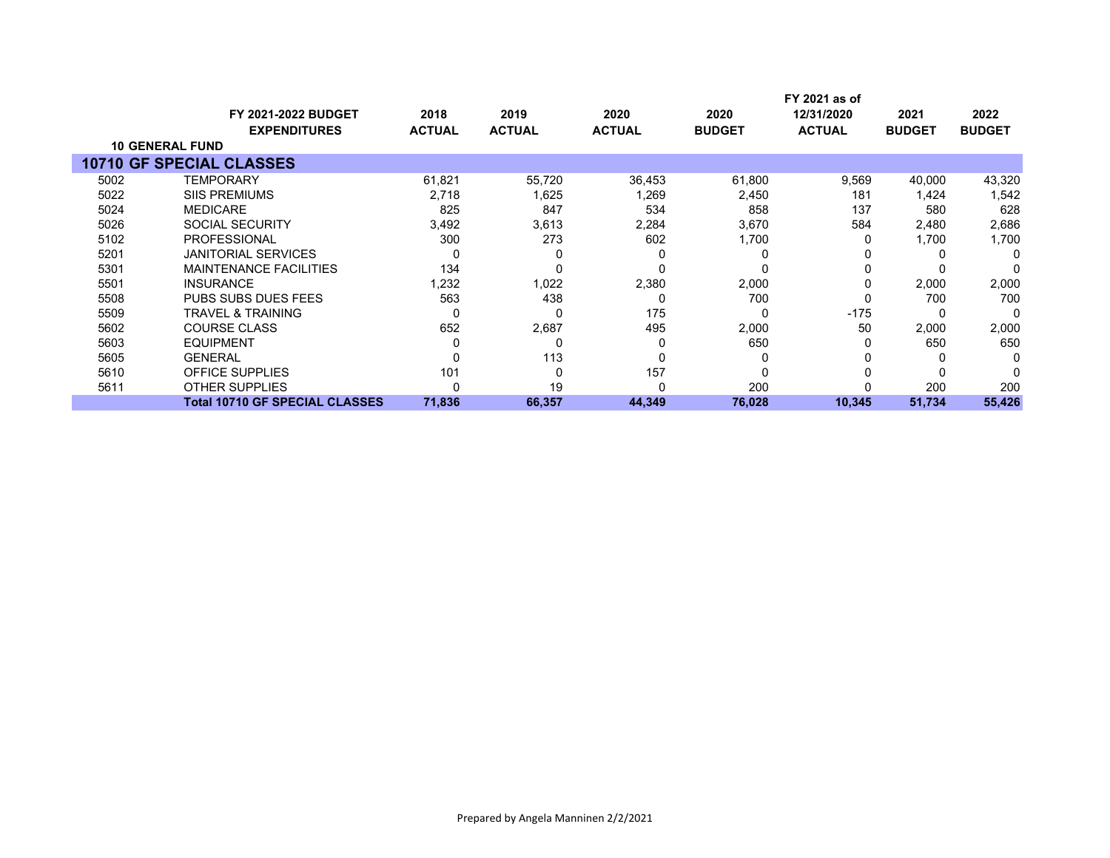|      |                                                   |                       |                       |                       |                       | FY 2021 as of               |                       |                       |
|------|---------------------------------------------------|-----------------------|-----------------------|-----------------------|-----------------------|-----------------------------|-----------------------|-----------------------|
|      | <b>FY 2021-2022 BUDGET</b><br><b>EXPENDITURES</b> | 2018<br><b>ACTUAL</b> | 2019<br><b>ACTUAL</b> | 2020<br><b>ACTUAL</b> | 2020<br><b>BUDGET</b> | 12/31/2020<br><b>ACTUAL</b> | 2021<br><b>BUDGET</b> | 2022<br><b>BUDGET</b> |
|      | <b>10 GENERAL FUND</b>                            |                       |                       |                       |                       |                             |                       |                       |
|      | <b>10710 GF SPECIAL CLASSES</b>                   |                       |                       |                       |                       |                             |                       |                       |
| 5002 | <b>TEMPORARY</b>                                  | 61,821                | 55,720                | 36,453                | 61,800                | 9,569                       | 40,000                | 43,320                |
| 5022 | <b>SIIS PREMIUMS</b>                              | 2,718                 | 1,625                 | 1,269                 | 2,450                 | 181                         | 1,424                 | 1,542                 |
| 5024 | <b>MEDICARE</b>                                   | 825                   | 847                   | 534                   | 858                   | 137                         | 580                   | 628                   |
| 5026 | SOCIAL SECURITY                                   | 3,492                 | 3,613                 | 2,284                 | 3,670                 | 584                         | 2,480                 | 2,686                 |
| 5102 | <b>PROFESSIONAL</b>                               | 300                   | 273                   | 602                   | 1,700                 |                             | 1,700                 | 1,700                 |
| 5201 | <b>JANITORIAL SERVICES</b>                        |                       |                       | C                     |                       |                             |                       | O                     |
| 5301 | <b>MAINTENANCE FACILITIES</b>                     | 134                   |                       | 0                     |                       |                             |                       |                       |
| 5501 | <b>INSURANCE</b>                                  | 1,232                 | 1,022                 | 2,380                 | 2,000                 | 0                           | 2,000                 | 2,000                 |
| 5508 | <b>PUBS SUBS DUES FEES</b>                        | 563                   | 438                   | 0                     | 700                   |                             | 700                   | 700                   |
| 5509 | <b>TRAVEL &amp; TRAINING</b>                      | 0                     |                       | 175                   | O                     | $-175$                      |                       | O                     |
| 5602 | <b>COURSE CLASS</b>                               | 652                   | 2,687                 | 495                   | 2,000                 | 50                          | 2,000                 | 2,000                 |
| 5603 | <b>EQUIPMENT</b>                                  |                       | 0                     | $\Omega$              | 650                   |                             | 650                   | 650                   |
| 5605 | <b>GENERAL</b>                                    |                       | 113                   | 0                     | 0                     |                             | 0                     |                       |
| 5610 | OFFICE SUPPLIES                                   | 101                   |                       | 157                   |                       |                             |                       |                       |
| 5611 | <b>OTHER SUPPLIES</b>                             |                       | 19                    | 0                     | 200                   |                             | 200                   | 200                   |
|      | <b>Total 10710 GF SPECIAL CLASSES</b>             | 71,836                | 66,357                | 44,349                | 76,028                | 10,345                      | 51,734                | 55,426                |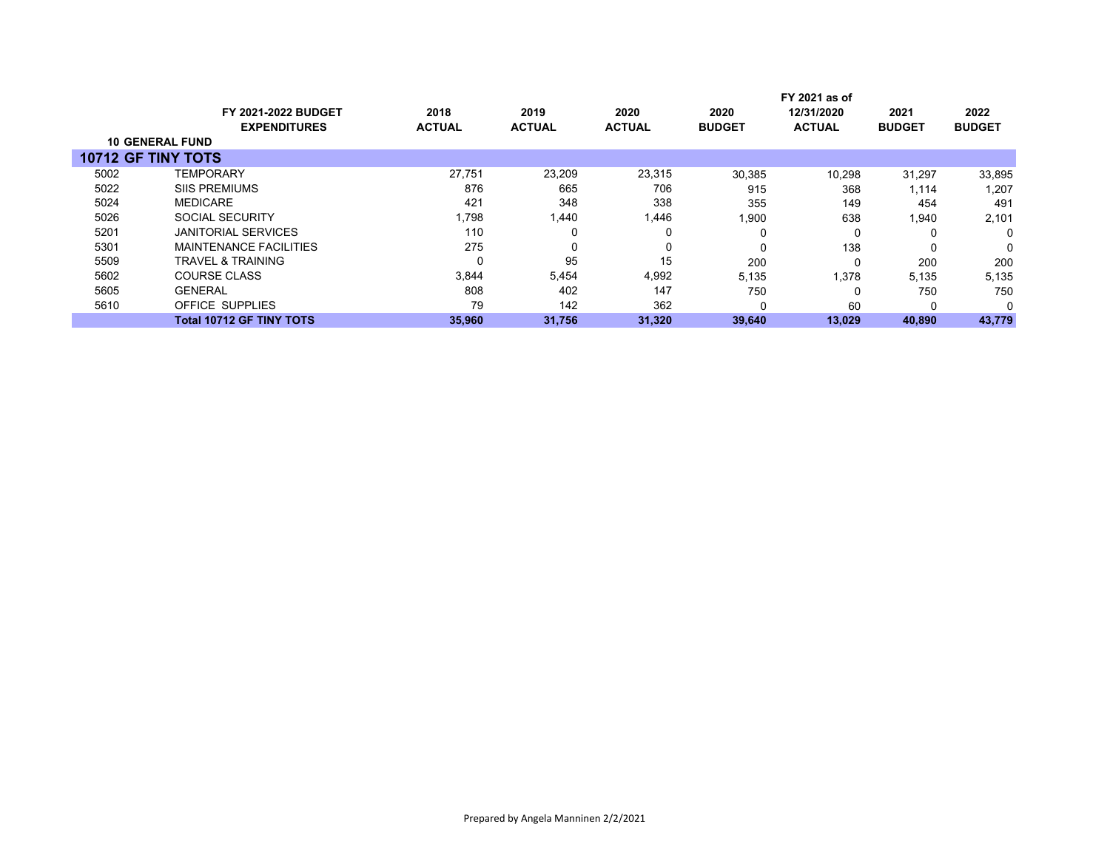|      |                                 |               |               |               |               | FY 2021 as of |               |               |
|------|---------------------------------|---------------|---------------|---------------|---------------|---------------|---------------|---------------|
|      | <b>FY 2021-2022 BUDGET</b>      | 2018          | 2019          | 2020          | 2020          | 12/31/2020    | 2021          | 2022          |
|      | <b>EXPENDITURES</b>             | <b>ACTUAL</b> | <b>ACTUAL</b> | <b>ACTUAL</b> | <b>BUDGET</b> | <b>ACTUAL</b> | <b>BUDGET</b> | <b>BUDGET</b> |
|      | <b>10 GENERAL FUND</b>          |               |               |               |               |               |               |               |
|      | <b>10712 GF TINY TOTS</b>       |               |               |               |               |               |               |               |
| 5002 | <b>TEMPORARY</b>                | 27.751        | 23.209        | 23,315        | 30,385        | 10,298        | 31,297        | 33,895        |
| 5022 | <b>SIIS PREMIUMS</b>            | 876           | 665           | 706           | 915           | 368           | 1,114         | 1,207         |
| 5024 | <b>MEDICARE</b>                 | 421           | 348           | 338           | 355           | 149           | 454           | 491           |
| 5026 | <b>SOCIAL SECURITY</b>          | 1,798         | 1,440         | 1,446         | 1,900         | 638           | 1,940         | 2,101         |
| 5201 | <b>JANITORIAL SERVICES</b>      | 110           |               |               | 0             | 0             |               | 0             |
| 5301 | <b>MAINTENANCE FACILITIES</b>   | 275           |               | 0             |               | 138           | 0             | 0             |
| 5509 | TRAVEL & TRAINING               | 0             | 95            | 15            | 200           | $\Omega$      | 200           | 200           |
| 5602 | <b>COURSE CLASS</b>             | 3,844         | 5,454         | 4,992         | 5,135         | 1.378         | 5,135         | 5,135         |
| 5605 | <b>GENERAL</b>                  | 808           | 402           | 147           | 750           | 0             | 750           | 750           |
| 5610 | OFFICE SUPPLIES                 | 79            | 142           | 362           | 0             | 60            | 0             | $\Omega$      |
|      | <b>Total 10712 GF TINY TOTS</b> | 35,960        | 31,756        | 31,320        | 39,640        | 13,029        | 40,890        | 43,779        |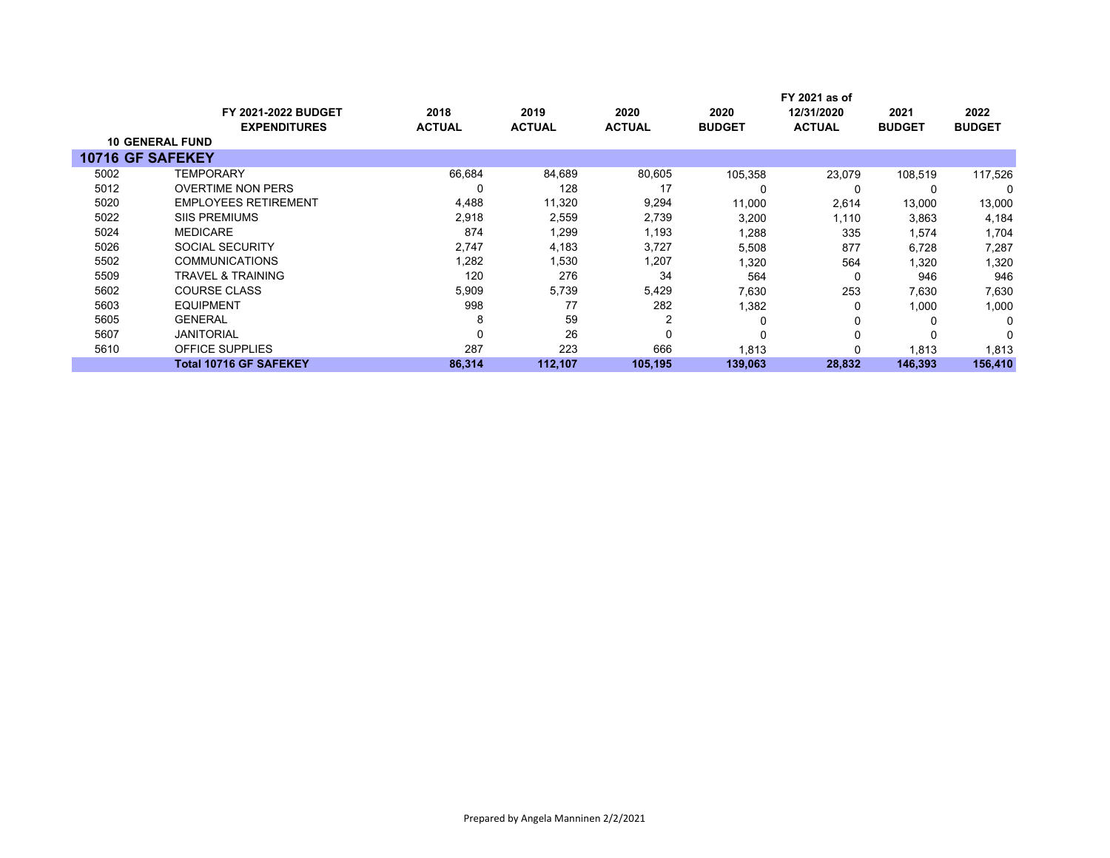|                        | FY 2021 as of                 |               |               |               |               |               |               |               |
|------------------------|-------------------------------|---------------|---------------|---------------|---------------|---------------|---------------|---------------|
|                        | <b>FY 2021-2022 BUDGET</b>    | 2018          | 2019          | 2020          | 2020          | 12/31/2020    | 2021          | 2022          |
|                        | <b>EXPENDITURES</b>           | <b>ACTUAL</b> | <b>ACTUAL</b> | <b>ACTUAL</b> | <b>BUDGET</b> | <b>ACTUAL</b> | <b>BUDGET</b> | <b>BUDGET</b> |
| <b>10 GENERAL FUND</b> |                               |               |               |               |               |               |               |               |
| 10716 GF SAFEKEY       |                               |               |               |               |               |               |               |               |
| 5002                   | <b>TEMPORARY</b>              | 66,684        | 84,689        | 80,605        | 105,358       | 23,079        | 108,519       | 117,526       |
| 5012                   | <b>OVERTIME NON PERS</b>      | 0             | 128           | 17            | 0             | 0             | 0             | 0             |
| 5020                   | <b>EMPLOYEES RETIREMENT</b>   | 4,488         | 11,320        | 9,294         | 11,000        | 2,614         | 13,000        | 13,000        |
| 5022                   | <b>SIIS PREMIUMS</b>          | 2,918         | 2,559         | 2,739         | 3,200         | 1,110         | 3,863         | 4,184         |
| 5024                   | <b>MEDICARE</b>               | 874           | 1,299         | 1,193         | 1,288         | 335           | 1,574         | 1,704         |
| 5026                   | <b>SOCIAL SECURITY</b>        | 2,747         | 4,183         | 3,727         | 5,508         | 877           | 6,728         | 7,287         |
| 5502                   | <b>COMMUNICATIONS</b>         | 1,282         | 1,530         | 1,207         | 1,320         | 564           | 1,320         | 1,320         |
| 5509                   | <b>TRAVEL &amp; TRAINING</b>  | 120           | 276           | 34            | 564           | 0             | 946           | 946           |
| 5602                   | <b>COURSE CLASS</b>           | 5,909         | 5,739         | 5,429         | 7,630         | 253           | 7,630         | 7,630         |
| 5603                   | EQUIPMENT                     | 998           | 77            | 282           | 1,382         | 0             | 1,000         | 1,000         |
| 5605                   | <b>GENERAL</b>                | 8             | 59            | 2             | $\Omega$      | 0             | 0             | 0             |
| 5607                   | <b>JANITORIAL</b>             | 0             | 26            | 0             | $\Omega$      | 0             | $\Omega$      | 0             |
| 5610                   | <b>OFFICE SUPPLIES</b>        | 287           | 223           | 666           | 1,813         | $\Omega$      | 1,813         | 1,813         |
|                        | <b>Total 10716 GF SAFEKEY</b> | 86,314        | 112,107       | 105.195       | 139,063       | 28,832        | 146,393       | 156,410       |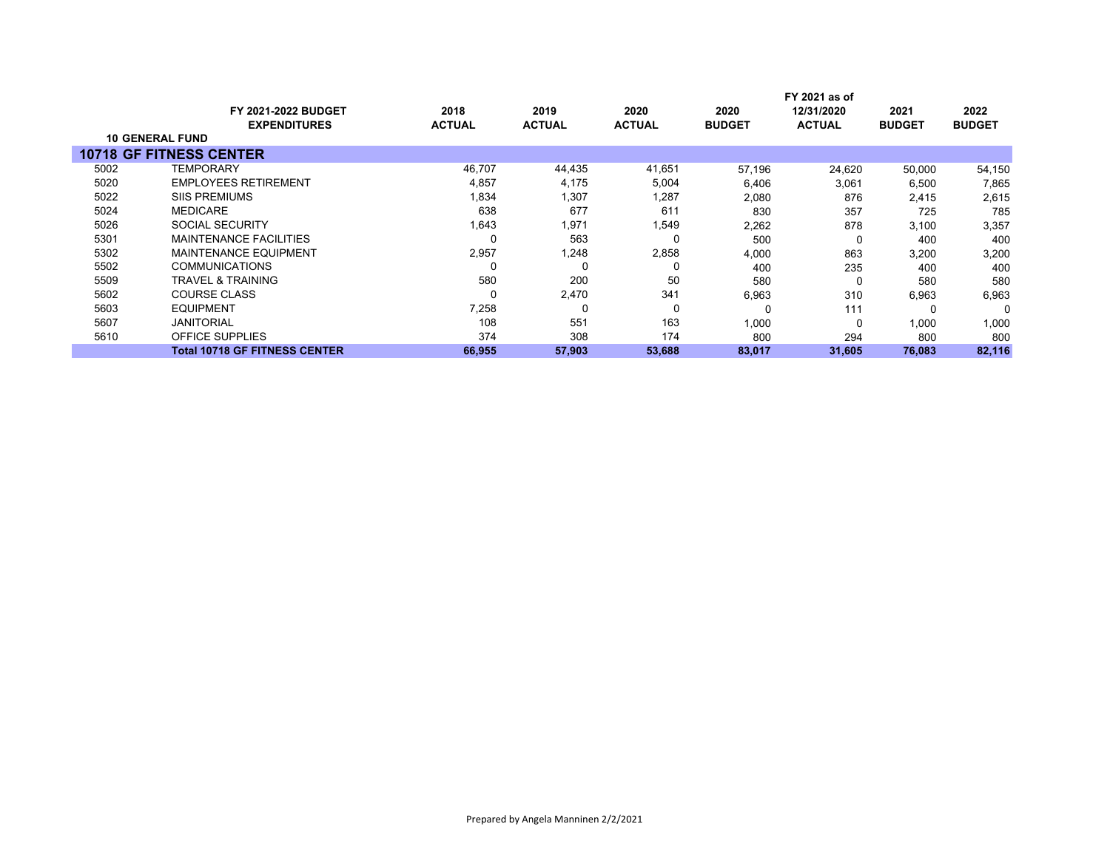|                        |                                                   |                       |                       |                       |                       | FY 2021 as of               |                       |                       |  |
|------------------------|---------------------------------------------------|-----------------------|-----------------------|-----------------------|-----------------------|-----------------------------|-----------------------|-----------------------|--|
|                        | <b>FY 2021-2022 BUDGET</b><br><b>EXPENDITURES</b> | 2018<br><b>ACTUAL</b> | 2019<br><b>ACTUAL</b> | 2020<br><b>ACTUAL</b> | 2020<br><b>BUDGET</b> | 12/31/2020<br><b>ACTUAL</b> | 2021<br><b>BUDGET</b> | 2022<br><b>BUDGET</b> |  |
| <b>10 GENERAL FUND</b> |                                                   |                       |                       |                       |                       |                             |                       |                       |  |
|                        | <b>10718 GF FITNESS CENTER</b>                    |                       |                       |                       |                       |                             |                       |                       |  |
| 5002                   | TEMPORARY                                         | 46,707                | 44,435                | 41,651                | 57.196                | 24.620                      | 50,000                | 54,150                |  |
| 5020                   | <b>EMPLOYEES RETIREMENT</b>                       | 4,857                 | 4.175                 | 5,004                 | 6,406                 | 3,061                       | 6,500                 | 7,865                 |  |
| 5022                   | <b>SIIS PREMIUMS</b>                              | 1,834                 | 1,307                 | 1,287                 | 2,080                 | 876                         | 2,415                 | 2,615                 |  |
| 5024                   | <b>MEDICARE</b>                                   | 638                   | 677                   | 611                   | 830                   | 357                         | 725                   | 785                   |  |
| 5026                   | <b>SOCIAL SECURITY</b>                            | 1,643                 | 1,971                 | 1,549                 | 2,262                 | 878                         | 3,100                 | 3,357                 |  |
| 5301                   | <b>MAINTENANCE FACILITIES</b>                     |                       | 563                   |                       | 500                   | 0                           | 400                   | 400                   |  |
| 5302                   | <b>MAINTENANCE EQUIPMENT</b>                      | 2,957                 | 1,248                 | 2,858                 | 4,000                 | 863                         | 3,200                 | 3,200                 |  |
| 5502                   | <b>COMMUNICATIONS</b>                             |                       | 0                     |                       | 400                   | 235                         | 400                   | 400                   |  |
| 5509                   | TRAVEL & TRAINING                                 | 580                   | 200                   | 50                    | 580                   | 0                           | 580                   | 580                   |  |
| 5602                   | <b>COURSE CLASS</b>                               |                       | 2,470                 | 341                   | 6,963                 | 310                         | 6,963                 | 6,963                 |  |
| 5603                   | EQUIPMENT                                         | 7,258                 | 0                     | $\Omega$              |                       | 111                         | O                     | 0                     |  |
| 5607                   | <b>JANITORIAL</b>                                 | 108                   | 551                   | 163                   | 1,000                 | 0                           | 1,000                 | 1,000                 |  |
| 5610                   | <b>OFFICE SUPPLIES</b>                            | 374                   | 308                   | 174                   | 800                   | 294                         | 800                   | 800                   |  |
|                        | <b>Total 10718 GF FITNESS CENTER</b>              | 66,955                | 57,903                | 53,688                | 83,017                | 31,605                      | 76,083                | 82,116                |  |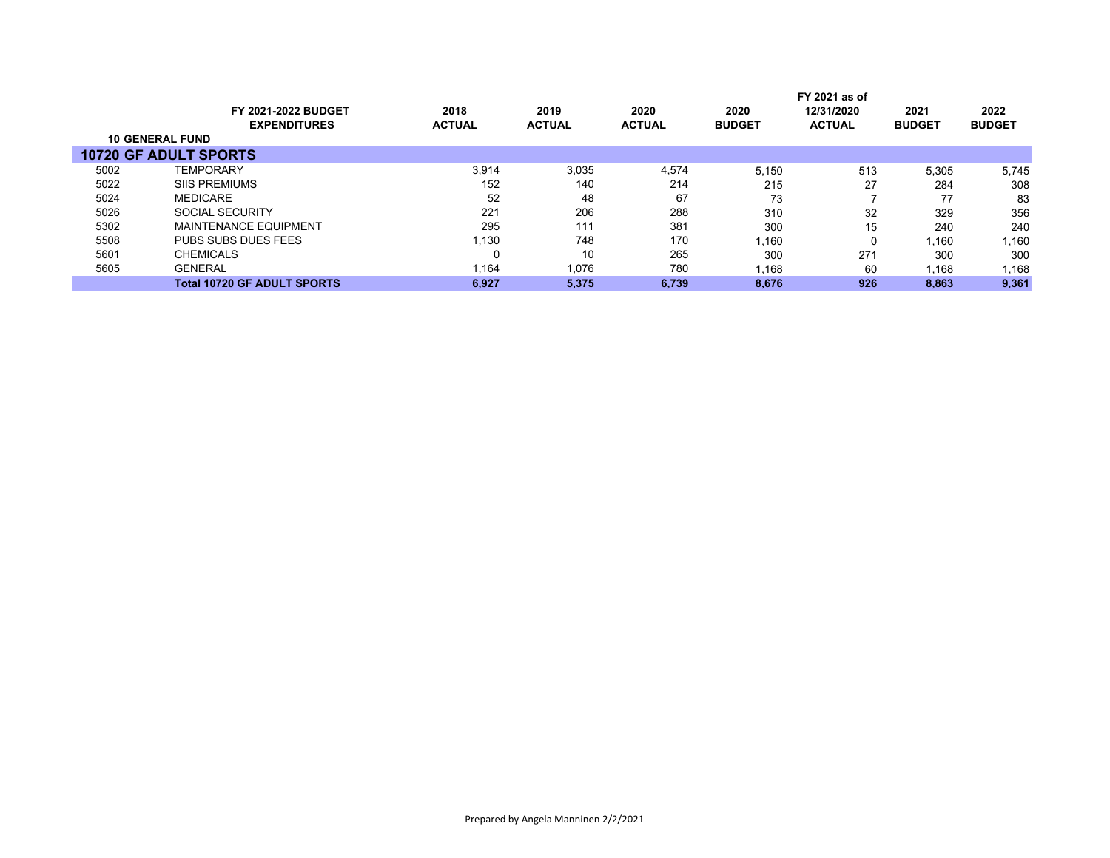|      |                                    |               |               |               |               | FY 2021 as of |               |               |
|------|------------------------------------|---------------|---------------|---------------|---------------|---------------|---------------|---------------|
|      | <b>FY 2021-2022 BUDGET</b>         | 2018          | 2019          | 2020          | 2020          | 12/31/2020    | 2021          | 2022          |
|      | <b>EXPENDITURES</b>                | <b>ACTUAL</b> | <b>ACTUAL</b> | <b>ACTUAL</b> | <b>BUDGET</b> | <b>ACTUAL</b> | <b>BUDGET</b> | <b>BUDGET</b> |
|      | <b>10 GENERAL FUND</b>             |               |               |               |               |               |               |               |
|      | <b>10720 GF ADULT SPORTS</b>       |               |               |               |               |               |               |               |
| 5002 | <b>TEMPORARY</b>                   | 3,914         | 3,035         | 4.574         | 5.150         | 513           | 5,305         | 5,745         |
| 5022 | <b>SIIS PREMIUMS</b>               | 152           | 140           | 214           | 215           | 27            | 284           | 308           |
| 5024 | <b>MEDICARE</b>                    | 52            | 48            | 67            | 73            |               | 77            | 83            |
| 5026 | <b>SOCIAL SECURITY</b>             | 221           | 206           | 288           | 310           | 32            | 329           | 356           |
| 5302 | <b>MAINTENANCE EQUIPMENT</b>       | 295           | 111           | 381           | 300           | 15            | 240           | 240           |
| 5508 | PUBS SUBS DUES FEES                | 1.130         | 748           | 170           | 1.160         | 0             | 1.160         | 1,160         |
| 5601 | <b>CHEMICALS</b>                   |               | 10            | 265           | 300           | 271           | 300           | 300           |
| 5605 | <b>GENERAL</b>                     | 1,164         | 1,076         | 780           | 1,168         | 60            | 1,168         | .168          |
|      | <b>Total 10720 GF ADULT SPORTS</b> | 6,927         | 5.375         | 6.739         | 8.676         | 926           | 8,863         | 9,361         |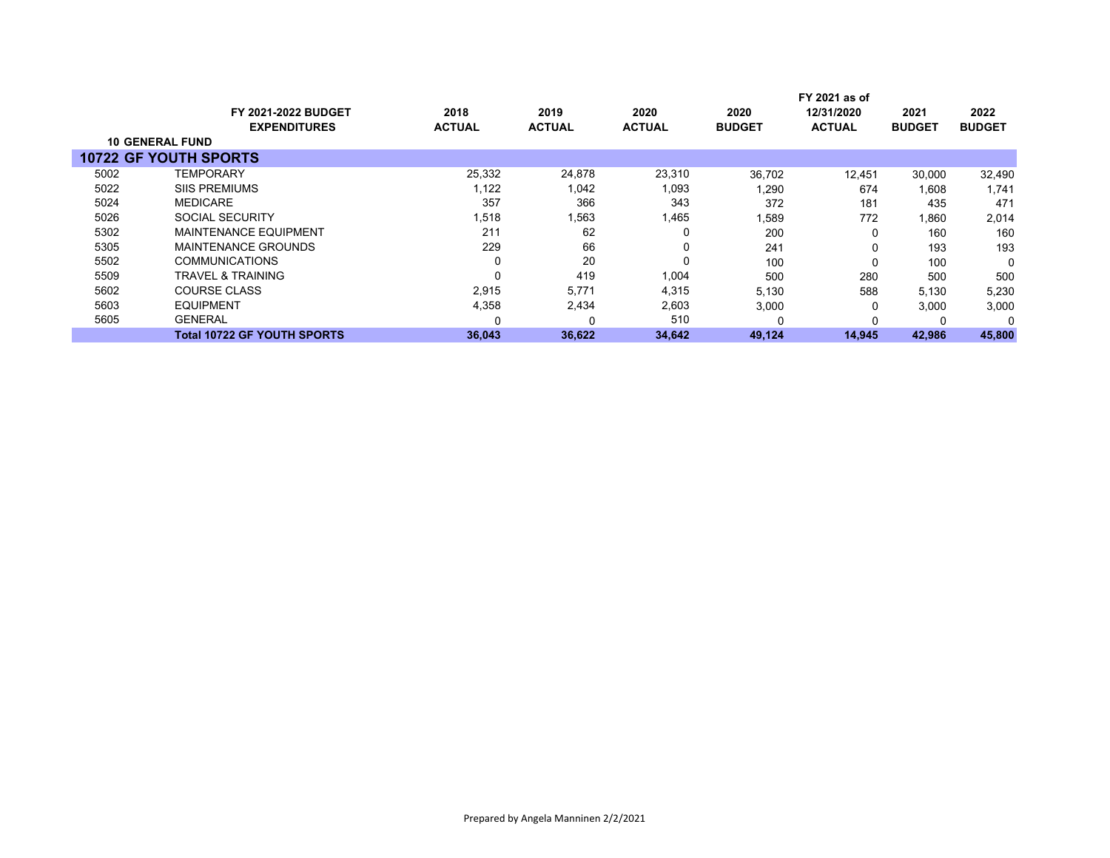|      |                              |               |               |               |               | FY 2021 as of |               |               |
|------|------------------------------|---------------|---------------|---------------|---------------|---------------|---------------|---------------|
|      | <b>FY 2021-2022 BUDGET</b>   | 2018          | 2019          | 2020          | 2020          | 12/31/2020    | 2021          | 2022          |
|      | <b>EXPENDITURES</b>          | <b>ACTUAL</b> | <b>ACTUAL</b> | <b>ACTUAL</b> | <b>BUDGET</b> | <b>ACTUAL</b> | <b>BUDGET</b> | <b>BUDGET</b> |
|      | <b>10 GENERAL FUND</b>       |               |               |               |               |               |               |               |
|      | <b>10722 GF YOUTH SPORTS</b> |               |               |               |               |               |               |               |
| 5002 | TEMPORARY                    | 25,332        | 24,878        | 23,310        | 36,702        | 12,451        | 30,000        | 32,490        |
| 5022 | <b>SIIS PREMIUMS</b>         | 1,122         | 1,042         | 1,093         | ,290          | 674           | 1.608         | 1.741         |
| 5024 | <b>MEDICARE</b>              | 357           | 366           | 343           | 372           | 181           | 435           | 471           |
| 5026 | SOCIAL SECURITY              | 1,518         | 1,563         | 1,465         | 1,589         | 772           | 1,860         | 2,014         |
| 5302 | <b>MAINTENANCE EQUIPMENT</b> | 211           | 62            | 0             | 200           | 0             | 160           | 160           |
| 5305 | MAINTENANCE GROUNDS          | 229           | 66            | 0             | 241           | 0             | 193           | 193           |
| 5502 | <b>COMMUNICATIONS</b>        | $\Omega$      | 20            | 0             | 100           | 0             | 100           | $\Omega$      |
| 5509 | TRAVEL & TRAINING            | $\Omega$      | 419           | 1,004         | 500           | 280           | 500           | 500           |
| 5602 | <b>COURSE CLASS</b>          | 2,915         | 5,771         | 4,315         | 5,130         | 588           | 5,130         | 5,230         |
| 5603 | <b>EQUIPMENT</b>             | 4,358         | 2,434         | 2,603         | 3,000         | 0             | 3,000         | 3,000         |
| 5605 | <b>GENERAL</b>               |               |               | 510           |               | 0             |               | $\Omega$      |
|      | Total 10722 GF YOUTH SPORTS  | 36,043        | 36,622        | 34,642        | 49,124        | 14,945        | 42,986        | 45,800        |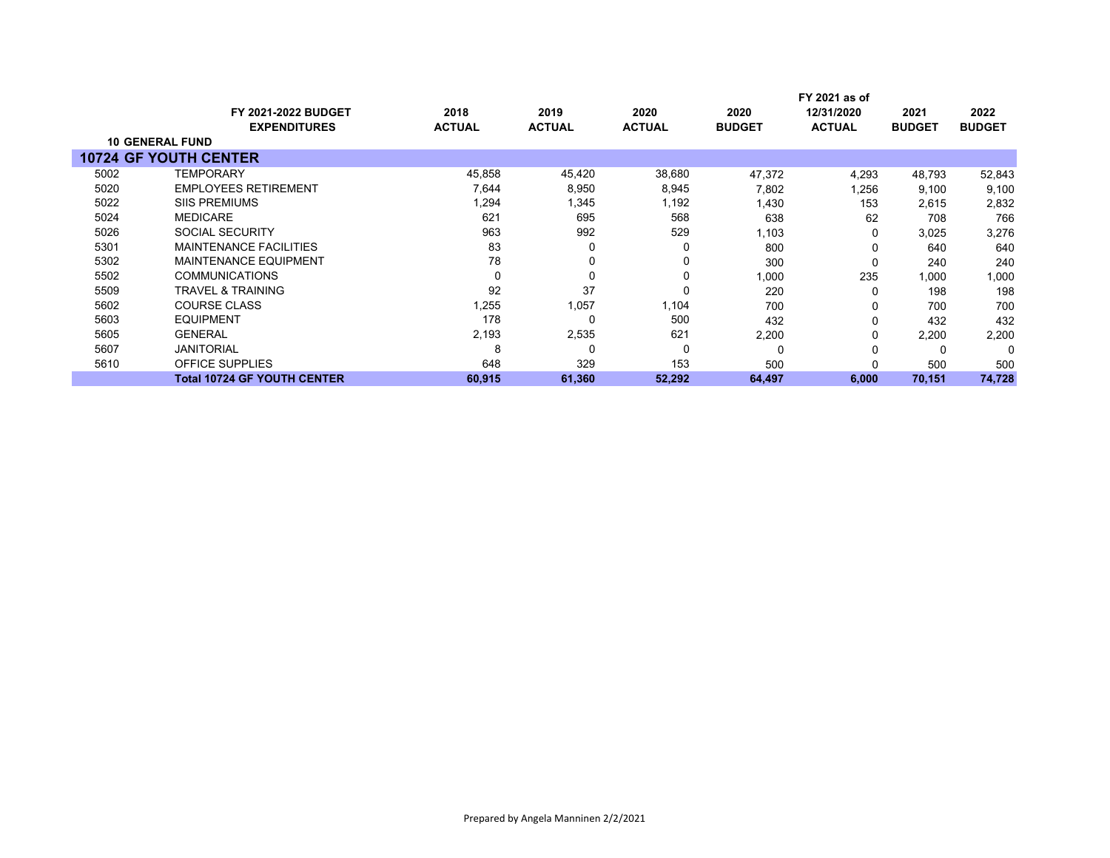|      |                                               |               |               |               |               | FY 2021 as of |               |               |
|------|-----------------------------------------------|---------------|---------------|---------------|---------------|---------------|---------------|---------------|
|      | <b>FY 2021-2022 BUDGET</b>                    | 2018          | 2019          | 2020          | 2020          | 12/31/2020    | 2021          | 2022          |
|      | <b>EXPENDITURES</b><br><b>10 GENERAL FUND</b> | <b>ACTUAL</b> | <b>ACTUAL</b> | <b>ACTUAL</b> | <b>BUDGET</b> | <b>ACTUAL</b> | <b>BUDGET</b> | <b>BUDGET</b> |
|      |                                               |               |               |               |               |               |               |               |
|      | <b>10724 GF YOUTH CENTER</b>                  |               |               |               |               |               |               |               |
| 5002 | <b>TEMPORARY</b>                              | 45,858        | 45,420        | 38,680        | 47,372        | 4,293         | 48,793        | 52,843        |
| 5020 | <b>EMPLOYEES RETIREMENT</b>                   | 7,644         | 8,950         | 8,945         | 7,802         | 1,256         | 9,100         | 9,100         |
| 5022 | <b>SIIS PREMIUMS</b>                          | 1,294         | 1,345         | 1,192         | 1,430         | 153           | 2,615         | 2,832         |
| 5024 | <b>MEDICARE</b>                               | 621           | 695           | 568           | 638           | 62            | 708           | 766           |
| 5026 | <b>SOCIAL SECURITY</b>                        | 963           | 992           | 529           | 1,103         | O             | 3,025         | 3,276         |
| 5301 | <b>MAINTENANCE FACILITIES</b>                 | 83            | 0             | 0             | 800           |               | 640           | 640           |
| 5302 | <b>MAINTENANCE EQUIPMENT</b>                  | 78            | 0             | 0             | 300           | O             | 240           | 240           |
| 5502 | <b>COMMUNICATIONS</b>                         | 0             | 0             | 0             | 1,000         | 235           | 1,000         | 1,000         |
| 5509 | <b>TRAVEL &amp; TRAINING</b>                  | 92            | 37            | 0             | 220           | O             | 198           | 198           |
| 5602 | <b>COURSE CLASS</b>                           | 1,255         | 1,057         | 1,104         | 700           |               | 700           | 700           |
| 5603 | <b>EQUIPMENT</b>                              | 178           | 0             | 500           | 432           | 0             | 432           | 432           |
| 5605 | <b>GENERAL</b>                                | 2,193         | 2,535         | 621           | 2,200         | 0             | 2,200         | 2,200         |
| 5607 | <b>JANITORIAL</b>                             | 8             | 0             | 0             | 0             |               |               | 0             |
| 5610 | <b>OFFICE SUPPLIES</b>                        | 648           | 329           | 153           | 500           |               | 500           | 500           |
|      | <b>Total 10724 GF YOUTH CENTER</b>            | 60,915        | 61,360        | 52,292        | 64,497        | 6,000         | 70,151        | 74,728        |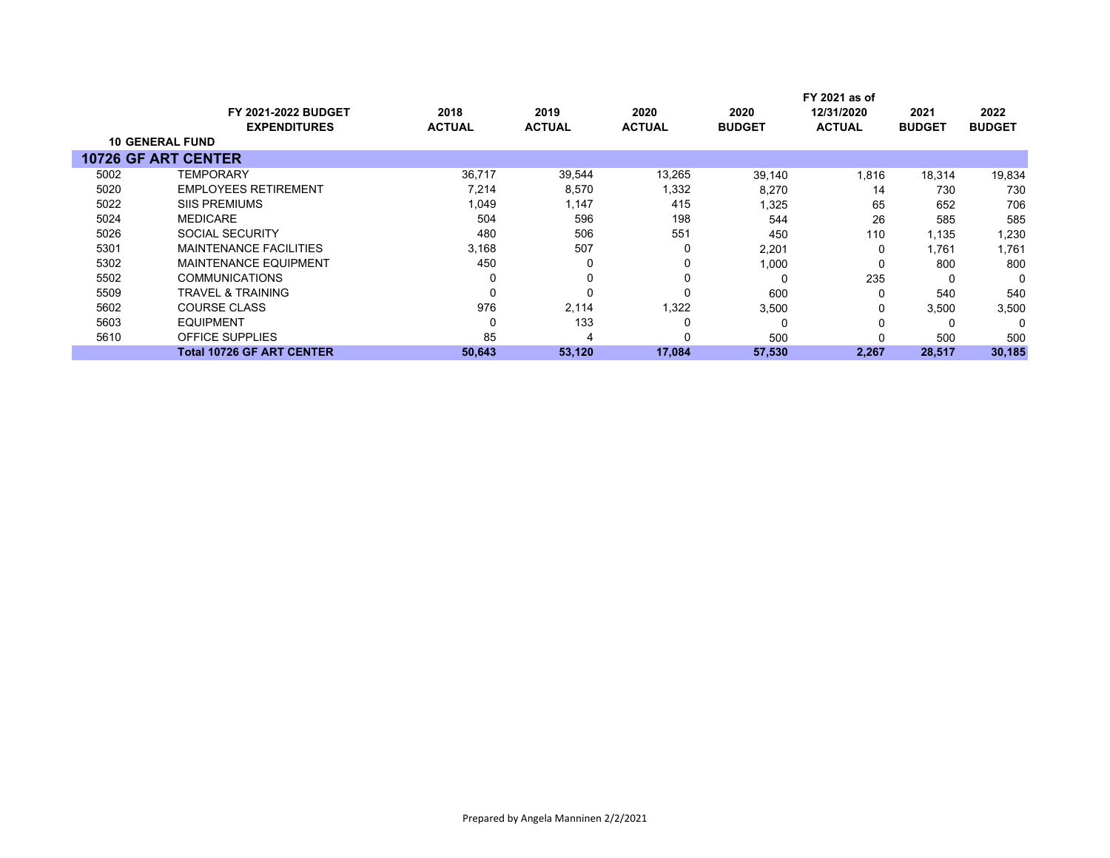|                            |                                  |               |               |               |               | FY 2021 as of |               |               |
|----------------------------|----------------------------------|---------------|---------------|---------------|---------------|---------------|---------------|---------------|
|                            | <b>FY 2021-2022 BUDGET</b>       | 2018          | 2019          | 2020          | 2020          | 12/31/2020    | 2021          | 2022          |
|                            | <b>EXPENDITURES</b>              | <b>ACTUAL</b> | <b>ACTUAL</b> | <b>ACTUAL</b> | <b>BUDGET</b> | <b>ACTUAL</b> | <b>BUDGET</b> | <b>BUDGET</b> |
| <b>10 GENERAL FUND</b>     |                                  |               |               |               |               |               |               |               |
| <b>10726 GF ART CENTER</b> |                                  |               |               |               |               |               |               |               |
| 5002                       | <b>TEMPORARY</b>                 | 36,717        | 39,544        | 13,265        | 39,140        | 1,816         | 18,314        | 19,834        |
| 5020                       | <b>EMPLOYEES RETIREMENT</b>      | 7,214         | 8,570         | 1,332         | 8,270         | 14            | 730           | 730           |
| 5022                       | <b>SIIS PREMIUMS</b>             | 1,049         | 1,147         | 415           | 1,325         | 65            | 652           | 706           |
| 5024                       | <b>MEDICARE</b>                  | 504           | 596           | 198           | 544           | 26            | 585           | 585           |
| 5026                       | SOCIAL SECURITY                  | 480           | 506           | 551           | 450           | 110           | 1,135         | 1,230         |
| 5301                       | <b>MAINTENANCE FACILITIES</b>    | 3,168         | 507           |               | 2,201         | 0             | 1,761         | 1,761         |
| 5302                       | <b>MAINTENANCE EQUIPMENT</b>     | 450           | 0             |               | 1,000         | 0             | 800           | 800           |
| 5502                       | <b>COMMUNICATIONS</b>            |               | 0             |               | $\Omega$      | 235           | 0             | 0             |
| 5509                       | <b>TRAVEL &amp; TRAINING</b>     |               | 0             |               | 600           | 0             | 540           | 540           |
| 5602                       | <b>COURSE CLASS</b>              | 976           | 2,114         | 1,322         | 3,500         | 0             | 3,500         | 3,500         |
| 5603                       | <b>EQUIPMENT</b>                 |               | 133           |               | $\Omega$      | 0             |               | $\Omega$      |
| 5610                       | OFFICE SUPPLIES                  | 85            | 4             |               | 500           |               | 500           | 500           |
|                            | <b>Total 10726 GF ART CENTER</b> | 50,643        | 53,120        | 17,084        | 57,530        | 2,267         | 28,517        | 30,185        |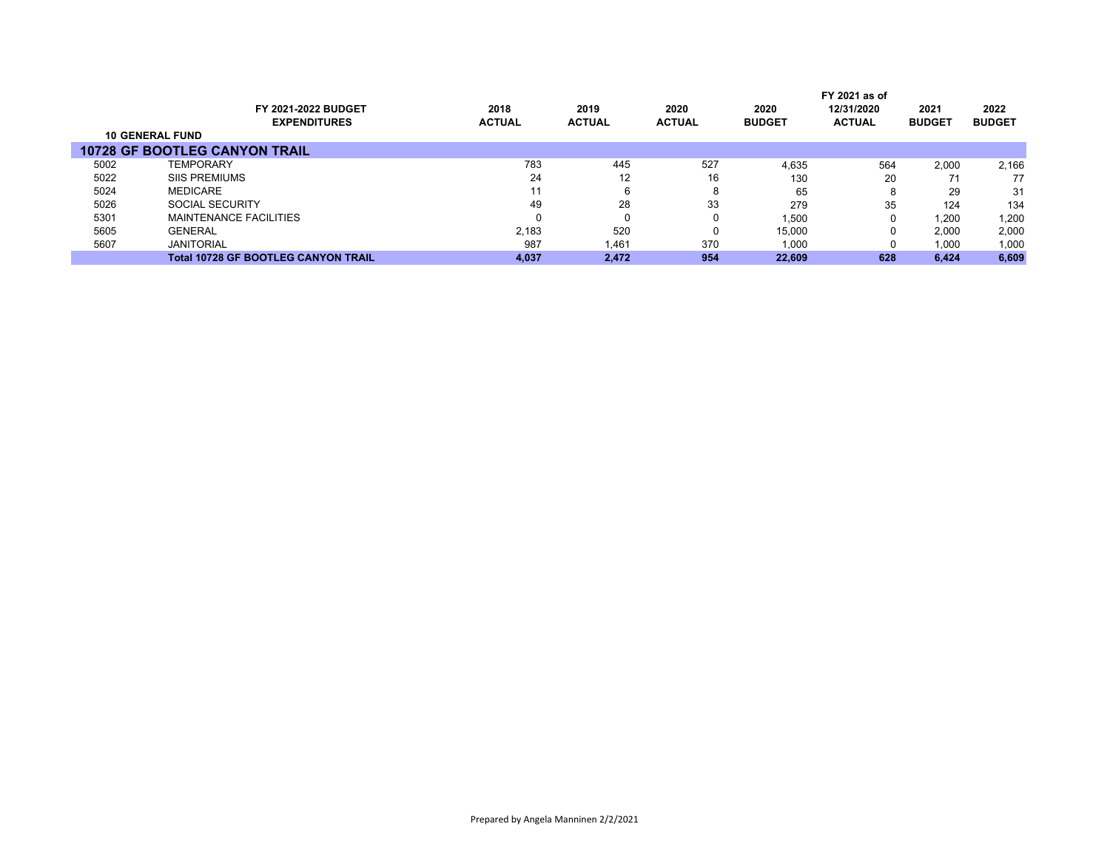|                        |                                            |               |               |               |               | FY 2021 as of |               |               |
|------------------------|--------------------------------------------|---------------|---------------|---------------|---------------|---------------|---------------|---------------|
|                        | FY 2021-2022 BUDGET                        | 2018          | 2019          | 2020          | 2020          | 12/31/2020    | 2021          | 2022          |
|                        | <b>EXPENDITURES</b>                        | <b>ACTUAL</b> | <b>ACTUAL</b> | <b>ACTUAL</b> | <b>BUDGET</b> | <b>ACTUAL</b> | <b>BUDGET</b> | <b>BUDGET</b> |
| <b>10 GENERAL FUND</b> |                                            |               |               |               |               |               |               |               |
|                        | <b>10728 GF BOOTLEG CANYON TRAIL</b>       |               |               |               |               |               |               |               |
| 5002                   | <b>TEMPORARY</b>                           | 783           | 445           | 527           | 4.635         | 564           | 2.000         | 2,166         |
| 5022                   | <b>SIIS PREMIUMS</b>                       | 24            | 12            | 16            | 130           | 20            |               | 77            |
| 5024                   | <b>MEDICARE</b>                            | 11            |               | 8             | 65            | 8             | 29            | 31            |
| 5026                   | SOCIAL SECURITY                            | 49            | 28            | 33            | 279           | 35            | 124           | 134           |
| 5301                   | MAINTENANCE FACILITIES                     | 0             |               | 0             | 1,500         | 0             | 1,200         | 1,200         |
| 5605                   | <b>GENERAL</b>                             | 2.183         | 520           | 0             | 15,000        | 0             | 2.000         | 2,000         |
| 5607                   | <b>JANITORIAL</b>                          | 987           | 1,461         | 370           | 1,000         | 0             | 1,000         | 1,000         |
|                        | <b>Total 10728 GF BOOTLEG CANYON TRAIL</b> | 4.037         | 2.472         | 954           | 22.609        | 628           | 6.424         | 6,609         |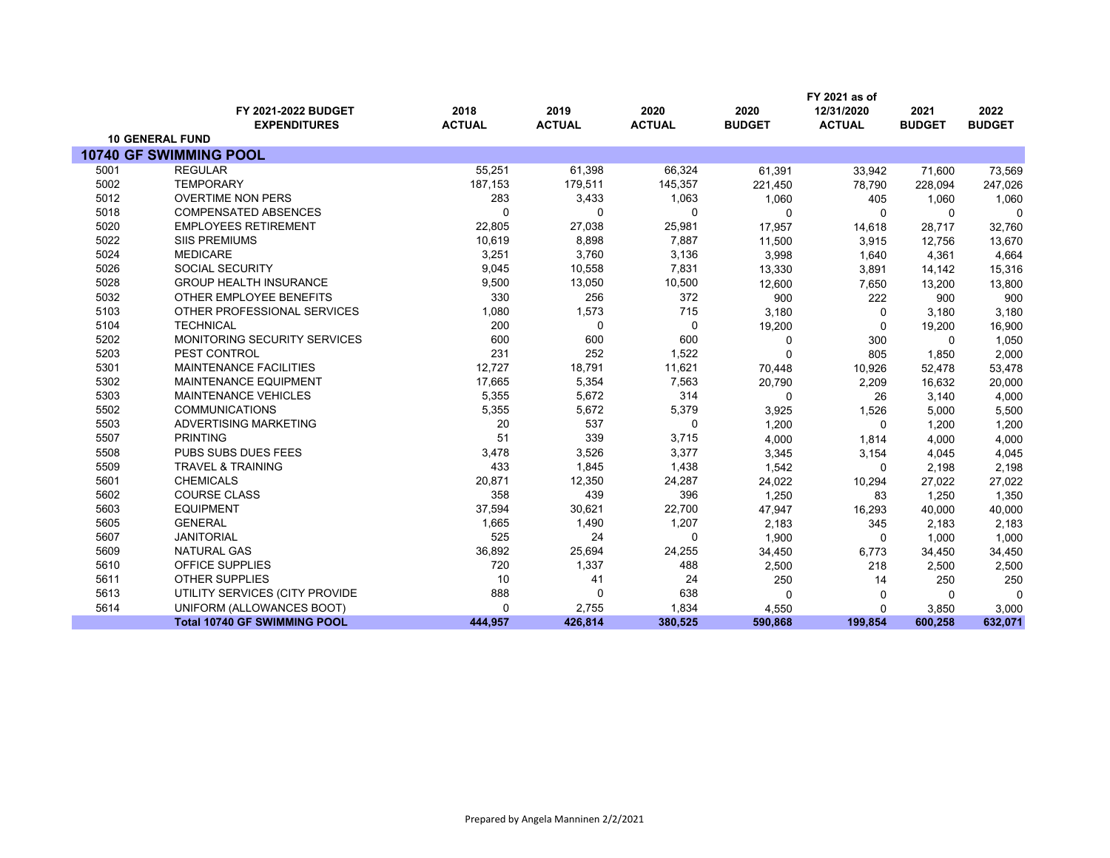|      |                                            |                       |                       |                       |                       | FY 2021 as of               |                       |                       |
|------|--------------------------------------------|-----------------------|-----------------------|-----------------------|-----------------------|-----------------------------|-----------------------|-----------------------|
|      | FY 2021-2022 BUDGET<br><b>EXPENDITURES</b> | 2018<br><b>ACTUAL</b> | 2019<br><b>ACTUAL</b> | 2020<br><b>ACTUAL</b> | 2020<br><b>BUDGET</b> | 12/31/2020<br><b>ACTUAL</b> | 2021<br><b>BUDGET</b> | 2022<br><b>BUDGET</b> |
|      | <b>10 GENERAL FUND</b>                     |                       |                       |                       |                       |                             |                       |                       |
|      | 10740 GF SWIMMING POOL                     |                       |                       |                       |                       |                             |                       |                       |
| 5001 | <b>REGULAR</b>                             | 55,251                | 61,398                | 66,324                | 61,391                | 33,942                      | 71,600                | 73,569                |
| 5002 | <b>TEMPORARY</b>                           | 187,153               | 179,511               | 145,357               | 221,450               | 78,790                      | 228,094               | 247,026               |
| 5012 | <b>OVERTIME NON PERS</b>                   | 283                   | 3,433                 | 1,063                 | 1,060                 | 405                         | 1,060                 | 1,060                 |
| 5018 | <b>COMPENSATED ABSENCES</b>                | ∩                     | 0                     | $\Omega$              | 0                     | 0                           | $\mathbf{0}$          | $\Omega$              |
| 5020 | <b>EMPLOYEES RETIREMENT</b>                | 22,805                | 27,038                | 25,981                | 17,957                | 14,618                      | 28,717                | 32,760                |
| 5022 | <b>SIIS PREMIUMS</b>                       | 10,619                | 8,898                 | 7,887                 | 11,500                | 3,915                       | 12,756                | 13,670                |
| 5024 | <b>MEDICARE</b>                            | 3,251                 | 3,760                 | 3,136                 | 3,998                 | 1,640                       | 4,361                 | 4,664                 |
| 5026 | <b>SOCIAL SECURITY</b>                     | 9,045                 | 10,558                | 7,831                 | 13,330                | 3,891                       | 14,142                | 15,316                |
| 5028 | <b>GROUP HEALTH INSURANCE</b>              | 9,500                 | 13,050                | 10,500                | 12,600                | 7,650                       | 13,200                | 13,800                |
| 5032 | OTHER EMPLOYEE BENEFITS                    | 330                   | 256                   | 372                   | 900                   | 222                         | 900                   | 900                   |
| 5103 | OTHER PROFESSIONAL SERVICES                | 1,080                 | 1,573                 | 715                   | 3,180                 | 0                           | 3,180                 | 3,180                 |
| 5104 | <b>TECHNICAL</b>                           | 200                   | 0                     | 0                     | 19,200                | 0                           | 19,200                | 16,900                |
| 5202 | MONITORING SECURITY SERVICES               | 600                   | 600                   | 600                   | 0                     | 300                         | $\Omega$              | 1,050                 |
| 5203 | PEST CONTROL                               | 231                   | 252                   | 1,522                 | 0                     | 805                         | 1,850                 | 2,000                 |
| 5301 | <b>MAINTENANCE FACILITIES</b>              | 12,727                | 18,791                | 11,621                | 70,448                | 10,926                      | 52,478                | 53,478                |
| 5302 | <b>MAINTENANCE EQUIPMENT</b>               | 17,665                | 5,354                 | 7,563                 | 20,790                | 2,209                       | 16,632                | 20,000                |
| 5303 | <b>MAINTENANCE VEHICLES</b>                | 5,355                 | 5,672                 | 314                   | 0                     | 26                          | 3,140                 | 4,000                 |
| 5502 | <b>COMMUNICATIONS</b>                      | 5,355                 | 5,672                 | 5,379                 | 3,925                 | 1,526                       | 5,000                 | 5,500                 |
| 5503 | ADVERTISING MARKETING                      | 20                    | 537                   | $\mathbf 0$           | 1,200                 | $\Omega$                    | 1,200                 | 1,200                 |
| 5507 | <b>PRINTING</b>                            | 51                    | 339                   | 3,715                 | 4,000                 | 1,814                       | 4,000                 | 4,000                 |
| 5508 | PUBS SUBS DUES FEES                        | 3,478                 | 3,526                 | 3,377                 | 3,345                 | 3,154                       | 4,045                 | 4,045                 |
| 5509 | <b>TRAVEL &amp; TRAINING</b>               | 433                   | 1,845                 | 1,438                 | 1,542                 | 0                           | 2,198                 | 2,198                 |
| 5601 | <b>CHEMICALS</b>                           | 20,871                | 12,350                | 24,287                | 24,022                | 10,294                      | 27,022                | 27,022                |
| 5602 | COURSE CLASS                               | 358                   | 439                   | 396                   | 1,250                 | 83                          | 1,250                 | 1,350                 |
| 5603 | <b>EQUIPMENT</b>                           | 37,594                | 30,621                | 22,700                | 47,947                | 16,293                      | 40,000                | 40,000                |
| 5605 | <b>GENERAL</b>                             | 1,665                 | 1,490                 | 1,207                 | 2,183                 | 345                         | 2,183                 | 2,183                 |
| 5607 | <b>JANITORIAL</b>                          | 525                   | 24                    | $\Omega$              | 1,900                 | $\mathbf{0}$                | 1,000                 | 1,000                 |
| 5609 | <b>NATURAL GAS</b>                         | 36,892                | 25,694                | 24,255                | 34,450                | 6,773                       | 34,450                | 34,450                |
| 5610 | OFFICE SUPPLIES                            | 720                   | 1,337                 | 488                   | 2,500                 | 218                         | 2,500                 | 2,500                 |
| 5611 | <b>OTHER SUPPLIES</b>                      | 10                    | 41                    | 24                    | 250                   | 14                          | 250                   | 250                   |
| 5613 | UTILITY SERVICES (CITY PROVIDE             | 888                   | $\mathbf 0$           | 638                   | 0                     | 0                           | $\Omega$              | $\Omega$              |
| 5614 | UNIFORM (ALLOWANCES BOOT)                  | $\Omega$              | 2,755                 | 1,834                 | 4,550                 | 0                           | 3,850                 | 3,000                 |
|      | <b>Total 10740 GF SWIMMING POOL</b>        | 444.957               | 426,814               | 380,525               | 590,868               | 199,854                     | 600,258               | 632,071               |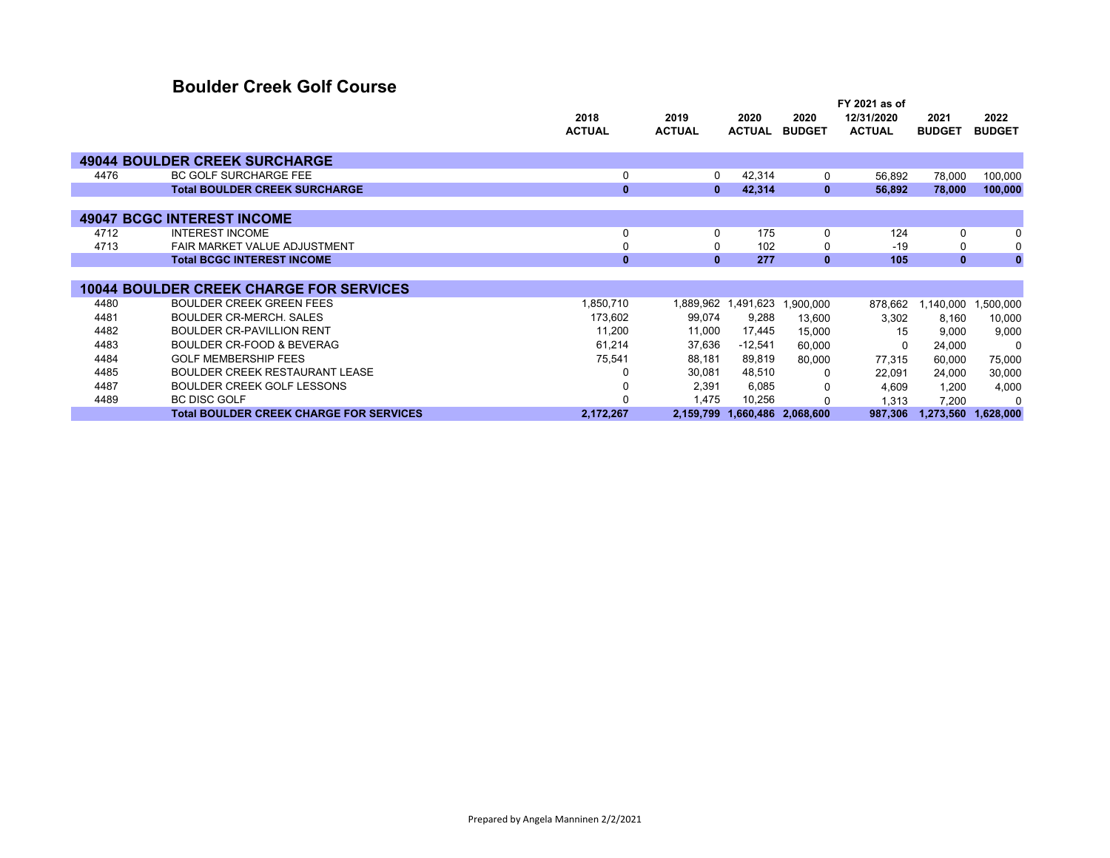### **Boulder Creek Golf Course**

|      |                                                |               |               |                     |                     | FY 2021 as of |               |               |
|------|------------------------------------------------|---------------|---------------|---------------------|---------------------|---------------|---------------|---------------|
|      |                                                | 2018          | 2019          | 2020                | 2020                | 12/31/2020    | 2021          | 2022          |
|      |                                                | <b>ACTUAL</b> | <b>ACTUAL</b> | <b>ACTUAL</b>       | <b>BUDGET</b>       | <b>ACTUAL</b> | <b>BUDGET</b> | <b>BUDGET</b> |
|      |                                                |               |               |                     |                     |               |               |               |
|      | <b>49044 BOULDER CREEK SURCHARGE</b>           |               |               |                     |                     |               |               |               |
| 4476 | <b>BC GOLF SURCHARGE FEE</b>                   | 0             | 0             | 42,314              | 0                   | 56,892        | 78,000        | 100,000       |
|      | <b>Total BOULDER CREEK SURCHARGE</b>           | $\mathbf{0}$  | $\mathbf{0}$  | 42,314              | $\mathbf{0}$        | 56,892        | 78,000        | 100,000       |
|      |                                                |               |               |                     |                     |               |               |               |
|      | <b>49047 BCGC INTEREST INCOME</b>              |               |               |                     |                     |               |               |               |
| 4712 | <b>INTEREST INCOME</b>                         | $\Omega$      | 0             | 175                 | $\Omega$            | 124           | $\Omega$      | 0             |
| 4713 | FAIR MARKET VALUE ADJUSTMENT                   |               | 0             | 102                 |                     | $-19$         | 0             | 0             |
|      | <b>Total BCGC INTEREST INCOME</b>              | $\bf{0}$      | $\mathbf{0}$  | 277                 | $\mathbf{0}$        | 105           | $\mathbf{0}$  | $\bf{0}$      |
|      |                                                |               |               |                     |                     |               |               |               |
|      | <b>10044 BOULDER CREEK CHARGE FOR SERVICES</b> |               |               |                     |                     |               |               |               |
| 4480 | <b>BOULDER CREEK GREEN FEES</b>                | 1,850,710     |               | 1,889,962 1,491,623 | 1,900,000           | 878,662       | 1,140,000     | 1,500,000     |
| 4481 | <b>BOULDER CR-MERCH, SALES</b>                 | 173,602       | 99,074        | 9,288               | 13,600              | 3,302         | 8,160         | 10,000        |
| 4482 | <b>BOULDER CR-PAVILLION RENT</b>               | 11,200        | 11,000        | 17,445              | 15,000              | 15            | 9,000         | 9,000         |
| 4483 | <b>BOULDER CR-FOOD &amp; BEVERAG</b>           | 61,214        | 37,636        | $-12,541$           | 60,000              | 0             | 24,000        | 0             |
| 4484 | GOLF MEMBERSHIP FFFS                           | 75,541        | 88,181        | 89,819              | 80,000              | 77,315        | 60,000        | 75,000        |
| 4485 | <b>BOULDER CREEK RESTAURANT LEASE</b>          |               | 30,081        | 48,510              | 0                   | 22,091        | 24,000        | 30,000        |
| 4487 | BOULDER CREEK GOLF LESSONS                     |               | 2,391         | 6,085               |                     | 4,609         | 1,200         | 4,000         |
| 4489 | <b>BC DISC GOLF</b>                            |               | 1,475         | 10,256              |                     | 1,313         | 7,200         | $\Omega$      |
|      | <b>Total BOULDER CREEK CHARGE FOR SERVICES</b> | 2,172,267     | 2,159,799     |                     | 1,660,486 2,068,600 | 987,306       | 1,273,560     | 1,628,000     |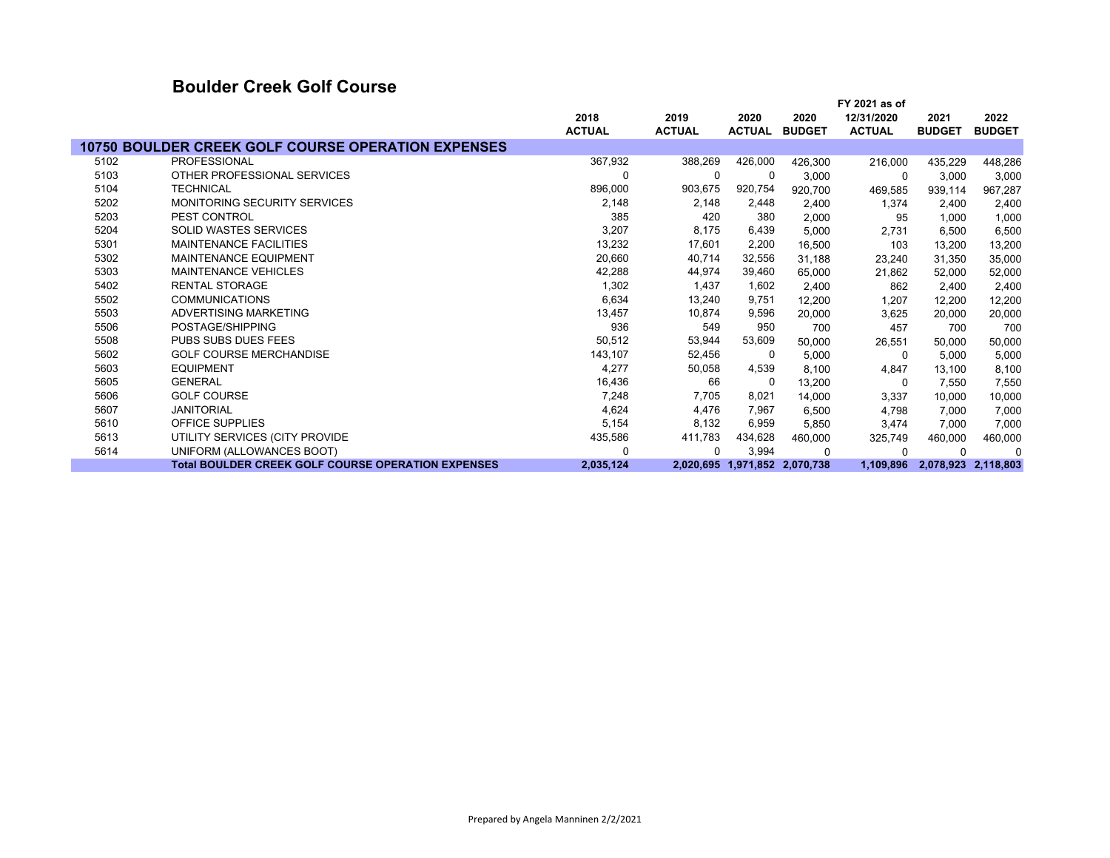#### **Boulder Creek Golf Course**

|      |                                                           |               |               |               |                               | FY 2021 as of |               |                     |
|------|-----------------------------------------------------------|---------------|---------------|---------------|-------------------------------|---------------|---------------|---------------------|
|      |                                                           | 2018          | 2019          | 2020          | 2020                          | 12/31/2020    | 2021          | 2022                |
|      |                                                           | <b>ACTUAL</b> | <b>ACTUAL</b> | <b>ACTUAL</b> | <b>BUDGET</b>                 | <b>ACTUAL</b> | <b>BUDGET</b> | <b>BUDGET</b>       |
|      | <b>10750 BOULDER CREEK GOLF COURSE OPERATION EXPENSES</b> |               |               |               |                               |               |               |                     |
| 5102 | <b>PROFESSIONAL</b>                                       | 367,932       | 388,269       | 426,000       | 426,300                       | 216,000       | 435,229       | 448,286             |
| 5103 | OTHER PROFESSIONAL SERVICES                               | $\Omega$      | 0             | 0             | 3,000                         | 0             | 3,000         | 3,000               |
| 5104 | <b>TECHNICAL</b>                                          | 896,000       | 903,675       | 920,754       | 920,700                       | 469,585       | 939,114       | 967,287             |
| 5202 | <b>MONITORING SECURITY SERVICES</b>                       | 2,148         | 2,148         | 2,448         | 2,400                         | 1,374         | 2,400         | 2,400               |
| 5203 | PEST CONTROL                                              | 385           | 420           | 380           | 2,000                         | 95            | 1,000         | 1,000               |
| 5204 | <b>SOLID WASTES SERVICES</b>                              | 3,207         | 8,175         | 6,439         | 5,000                         | 2,731         | 6,500         | 6,500               |
| 5301 | <b>MAINTENANCE FACILITIES</b>                             | 13,232        | 17,601        | 2,200         | 16,500                        | 103           | 13,200        | 13,200              |
| 5302 | MAINTENANCE EQUIPMENT                                     | 20,660        | 40,714        | 32,556        | 31,188                        | 23,240        | 31,350        | 35,000              |
| 5303 | <b>MAINTENANCE VEHICLES</b>                               | 42,288        | 44,974        | 39,460        | 65,000                        | 21,862        | 52,000        | 52,000              |
| 5402 | <b>RENTAL STORAGE</b>                                     | 1,302         | 1,437         | 1,602         | 2,400                         | 862           | 2,400         | 2,400               |
| 5502 | <b>COMMUNICATIONS</b>                                     | 6,634         | 13,240        | 9,751         | 12,200                        | 1,207         | 12,200        | 12,200              |
| 5503 | ADVERTISING MARKETING                                     | 13,457        | 10,874        | 9,596         | 20,000                        | 3,625         | 20,000        | 20,000              |
| 5506 | POSTAGE/SHIPPING                                          | 936           | 549           | 950           | 700                           | 457           | 700           | 700                 |
| 5508 | <b>PUBS SUBS DUES FEES</b>                                | 50,512        | 53,944        | 53,609        | 50,000                        | 26,551        | 50,000        | 50,000              |
| 5602 | <b>GOLF COURSE MERCHANDISE</b>                            | 143,107       | 52,456        | 0             | 5,000                         | 0             | 5,000         | 5,000               |
| 5603 | <b>EQUIPMENT</b>                                          | 4,277         | 50,058        | 4,539         | 8,100                         | 4,847         | 13,100        | 8,100               |
| 5605 | <b>GENERAL</b>                                            | 16,436        | 66            | 0             | 13,200                        | 0             | 7,550         | 7,550               |
| 5606 | <b>GOLF COURSE</b>                                        | 7,248         | 7,705         | 8,021         | 14,000                        | 3,337         | 10,000        | 10,000              |
| 5607 | <b>JANITORIAL</b>                                         | 4,624         | 4,476         | 7,967         | 6,500                         | 4,798         | 7,000         | 7,000               |
| 5610 | <b>OFFICE SUPPLIES</b>                                    | 5,154         | 8,132         | 6,959         | 5,850                         | 3,474         | 7,000         | 7,000               |
| 5613 | UTILITY SERVICES (CITY PROVIDE                            | 435,586       | 411,783       | 434,628       | 460,000                       | 325,749       | 460,000       | 460,000             |
| 5614 | UNIFORM (ALLOWANCES BOOT)                                 | $\Omega$      | $\Omega$      | 3,994         | $\Omega$                      | $\Omega$      | $\Omega$      | $\Omega$            |
|      | <b>Total BOULDER CREEK GOLF COURSE OPERATION EXPENSES</b> | 2,035,124     |               |               | 2,020,695 1,971,852 2,070,738 | 1,109,896     |               | 2,078,923 2,118,803 |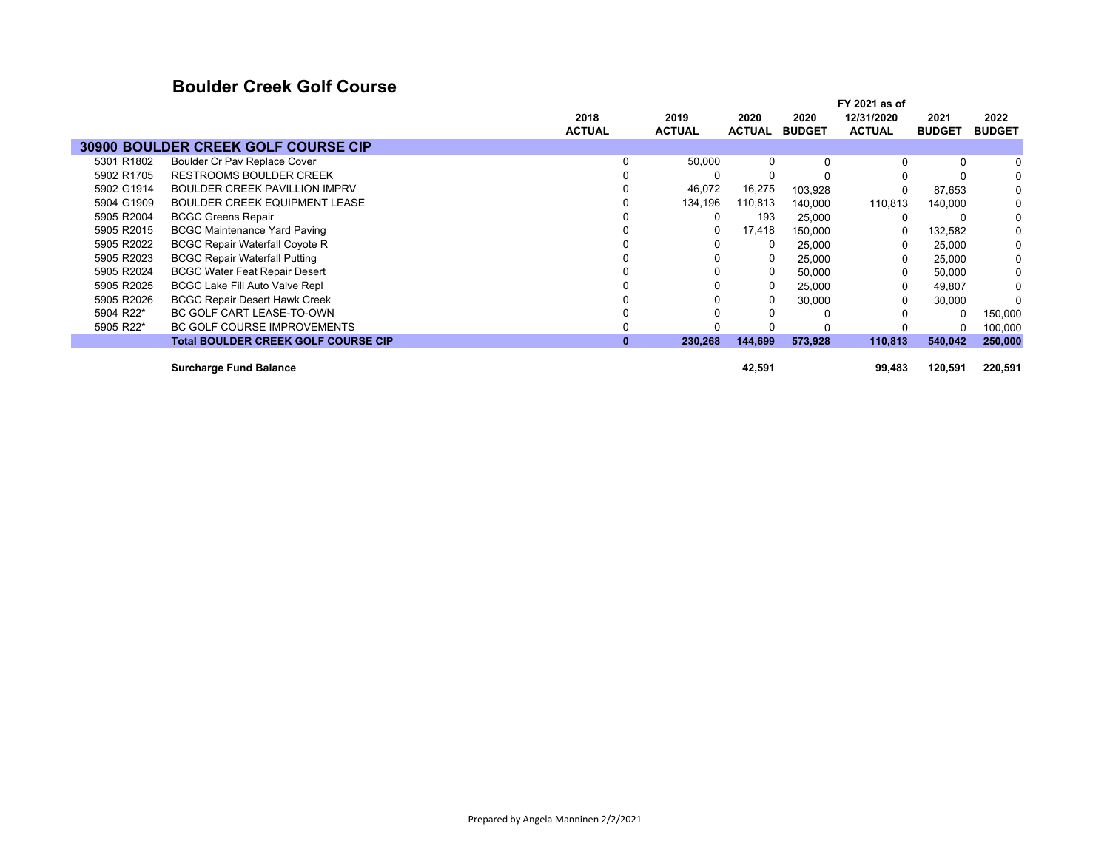### **Boulder Creek Golf Course**

|            |                                            |               |               |               |               | FY 2021 as of |               |               |
|------------|--------------------------------------------|---------------|---------------|---------------|---------------|---------------|---------------|---------------|
|            |                                            | 2018          | 2019          | 2020          | 2020          | 12/31/2020    | 2021          | 2022          |
|            |                                            | <b>ACTUAL</b> | <b>ACTUAL</b> | <b>ACTUAL</b> | <b>BUDGET</b> | <b>ACTUAL</b> | <b>BUDGET</b> | <b>BUDGET</b> |
|            | 30900 BOULDER CREEK GOLF COURSE CIP        |               |               |               |               |               |               |               |
| 5301 R1802 | Boulder Cr Pav Replace Cover               | 0             | 50,000        | 0             | $\Omega$      | 0             | $\Omega$      | 0             |
| 5902 R1705 | <b>RESTROOMS BOULDER CREEK</b>             |               | 0             |               |               |               |               | 0             |
| 5902 G1914 | <b>BOULDER CREEK PAVILLION IMPRV</b>       |               | 46,072        | 16,275        | 103,928       |               | 87,653        | 0             |
| 5904 G1909 | <b>BOULDER CREEK EQUIPMENT LEASE</b>       |               | 134,196       | 110,813       | 140,000       | 110,813       | 140,000       | 0             |
| 5905 R2004 | <b>BCGC Greens Repair</b>                  |               | 0             | 193           | 25,000        | 0             |               | 0             |
| 5905 R2015 | <b>BCGC Maintenance Yard Paving</b>        |               | 0             | 17,418        | 150.000       | 0             | 132,582       | 0             |
| 5905 R2022 | <b>BCGC Repair Waterfall Coyote R</b>      |               | 0             | 0             | 25,000        | $\Omega$      | 25,000        | 0             |
| 5905 R2023 | <b>BCGC Repair Waterfall Putting</b>       |               |               |               | 25,000        | 0             | 25,000        | 0             |
| 5905 R2024 | <b>BCGC Water Feat Repair Desert</b>       |               |               |               | 50,000        | 0             | 50,000        | 0             |
| 5905 R2025 | <b>BCGC Lake Fill Auto Valve Repl</b>      |               |               | 0             | 25,000        | $\Omega$      | 49,807        | 0             |
| 5905 R2026 | <b>BCGC Repair Desert Hawk Creek</b>       |               |               |               | 30,000        | $\Omega$      | 30,000        |               |
| 5904 R22*  | BC GOLF CART LEASE-TO-OWN                  |               |               |               |               | 0             | $\Omega$      | 150,000       |
| 5905 R22*  | <b>BC GOLF COURSE IMPROVEMENTS</b>         |               |               |               |               |               |               | 100,000       |
|            | <b>Total BOULDER CREEK GOLF COURSE CIP</b> | $\bf{0}$      | 230,268       | 144,699       | 573,928       | 110,813       | 540,042       | 250,000       |
|            | <b>Surcharge Fund Balance</b>              |               |               | 42,591        |               | 99,483        | 120,591       | 220,591       |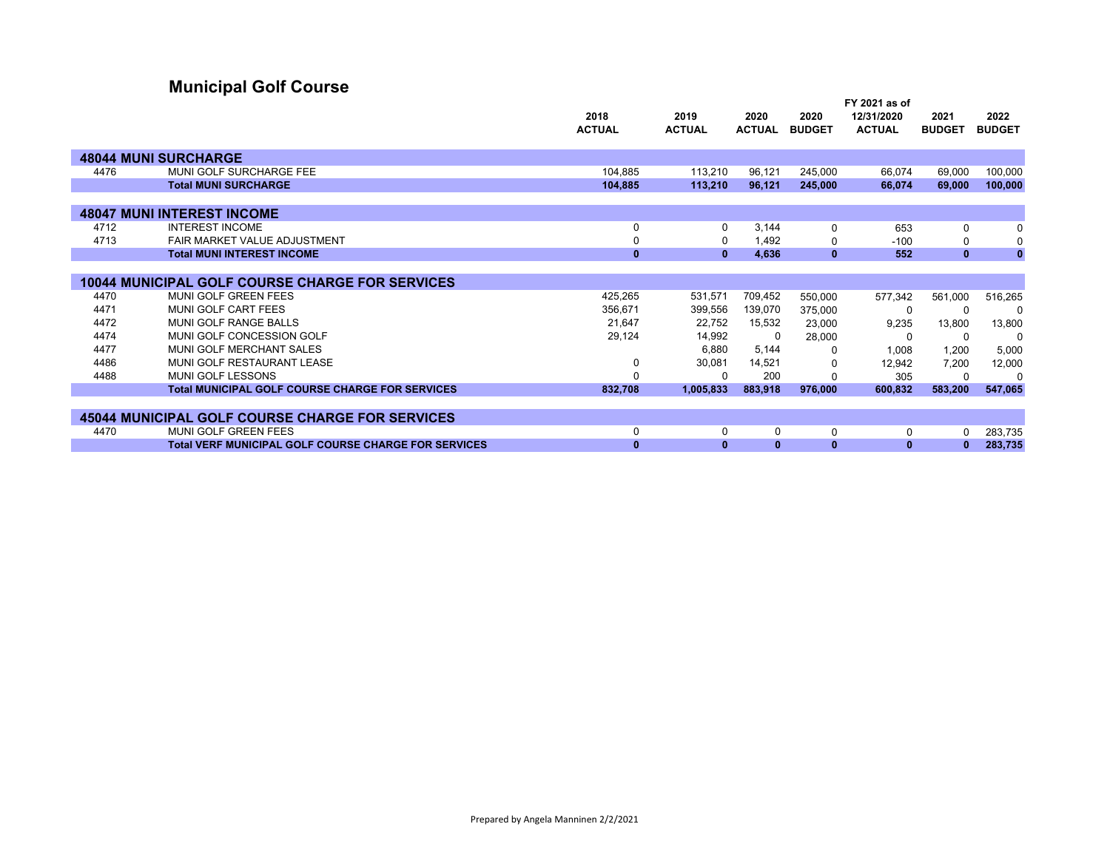# **Municipal Golf Course**

|      |                                                             | 2018          | 2019          | 2020          | 2020          | 12/31/2020    | 2021          | 2022          |
|------|-------------------------------------------------------------|---------------|---------------|---------------|---------------|---------------|---------------|---------------|
|      |                                                             | <b>ACTUAL</b> | <b>ACTUAL</b> | <b>ACTUAL</b> | <b>BUDGET</b> | <b>ACTUAL</b> | <b>BUDGET</b> | <b>BUDGET</b> |
|      |                                                             |               |               |               |               |               |               |               |
|      | <b>48044 MUNI SURCHARGE</b>                                 |               |               |               |               |               |               |               |
| 4476 | MUNI GOLF SURCHARGE FEE                                     | 104,885       | 113,210       | 96,121        | 245,000       | 66.074        | 69,000        | 100.000       |
|      | <b>Total MUNI SURCHARGE</b>                                 | 104,885       | 113,210       | 96,121        | 245,000       | 66,074        | 69,000        | 100,000       |
|      |                                                             |               |               |               |               |               |               |               |
|      | <b>48047 MUNI INTEREST INCOME</b>                           |               |               |               |               |               |               |               |
| 4712 | <b>INTEREST INCOME</b>                                      | 0             | $\Omega$      | 3,144         | $\Omega$      | 653           | 0             | 0             |
| 4713 | FAIR MARKET VALUE ADJUSTMENT                                | 0             | $\Omega$      | 1.492         | 0             | $-100$        | 0             | 0             |
|      | <b>Total MUNI INTEREST INCOME</b>                           | $\mathbf{0}$  | $\mathbf{0}$  | 4,636         | $\mathbf{0}$  | 552           | $\mathbf{0}$  | $\mathbf{0}$  |
|      |                                                             |               |               |               |               |               |               |               |
|      | <b>10044 MUNICIPAL GOLF COURSE CHARGE FOR SERVICES</b>      |               |               |               |               |               |               |               |
| 4470 | <b>MUNI GOLF GREEN FEES</b>                                 | 425,265       | 531,571       | 709,452       | 550,000       | 577,342       | 561,000       | 516,265       |
| 4471 | MUNI GOLF CART FEES                                         | 356,671       | 399,556       | 139,070       | 375,000       | 0             | 0             | $\Omega$      |
| 4472 | MUNI GOLF RANGE BALLS                                       | 21,647        | 22,752        | 15,532        | 23,000        | 9,235         | 13,800        | 13,800        |
| 4474 | MUNI GOLF CONCESSION GOLF                                   | 29,124        | 14,992        | 0             | 28,000        | $\Omega$      | 0             | 0             |
| 4477 | MUNI GOLF MERCHANT SALES                                    |               | 6,880         | 5,144         | <sup>0</sup>  | 1,008         | 1,200         | 5,000         |
| 4486 | MUNI GOLF RESTAURANT LEASE                                  | 0             | 30,081        | 14,521        | 0             | 12.942        | 7.200         | 12,000        |
| 4488 | MUNI GOLF LESSONS                                           | $\Omega$      | ŋ             | 200           |               | 305           | O             |               |
|      | <b>Total MUNICIPAL GOLF COURSE CHARGE FOR SERVICES</b>      | 832,708       | 1,005,833     | 883,918       | 976,000       | 600,832       | 583,200       | 547,065       |
|      |                                                             |               |               |               |               |               |               |               |
|      | <b>45044 MUNICIPAL GOLF COURSE CHARGE FOR SERVICES</b>      |               |               |               |               |               |               |               |
| 4470 | MUNI GOLF GREEN FEES                                        | 0             | $\Omega$      | 0             | 0             | 0             | O             | 283,735       |
|      | <b>Total VERF MUNICIPAL GOLF COURSE CHARGE FOR SERVICES</b> | $\bf{0}$      | 0             | 0             | $\mathbf{0}$  | $\bf{0}$      |               | 283,735       |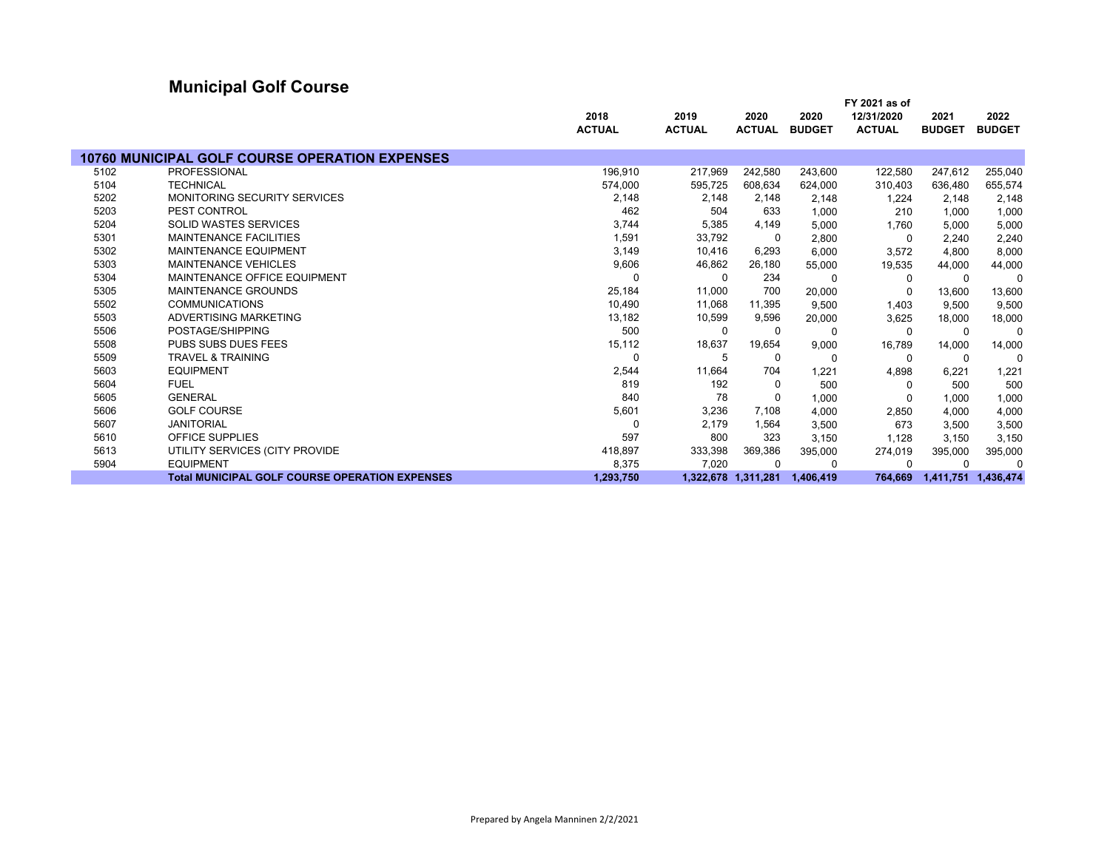# **Municipal Golf Course**

|      |                                                       |               |                     |               |               | FY 2021 as of |               |               |
|------|-------------------------------------------------------|---------------|---------------------|---------------|---------------|---------------|---------------|---------------|
|      |                                                       | 2018          | 2019                | 2020          | 2020          | 12/31/2020    | 2021          | 2022          |
|      |                                                       | <b>ACTUAL</b> | <b>ACTUAL</b>       | <b>ACTUAL</b> | <b>BUDGET</b> | <b>ACTUAL</b> | <b>BUDGET</b> | <b>BUDGET</b> |
|      | <b>10760 MUNICIPAL GOLF COURSE OPERATION EXPENSES</b> |               |                     |               |               |               |               |               |
| 5102 | <b>PROFESSIONAL</b>                                   | 196,910       | 217,969             | 242,580       | 243,600       | 122,580       | 247,612       | 255,040       |
| 5104 | <b>TECHNICAL</b>                                      | 574,000       | 595,725             | 608,634       | 624.000       | 310,403       | 636,480       | 655,574       |
| 5202 | <b>MONITORING SECURITY SERVICES</b>                   | 2,148         | 2,148               | 2,148         | 2,148         | 1,224         | 2,148         | 2,148         |
| 5203 | PEST CONTROL                                          | 462           | 504                 | 633           | 1,000         | 210           | 1,000         | 1,000         |
| 5204 | <b>SOLID WASTES SERVICES</b>                          | 3,744         | 5,385               | 4,149         | 5.000         | 1.760         | 5,000         | 5,000         |
| 5301 | <b>MAINTENANCE FACILITIES</b>                         | 1,591         | 33,792              | 0             | 2,800         | $\Omega$      | 2,240         | 2,240         |
| 5302 | <b>MAINTENANCE EQUIPMENT</b>                          | 3,149         | 10,416              | 6,293         | 6,000         | 3,572         | 4,800         | 8,000         |
| 5303 | <b>MAINTENANCE VEHICLES</b>                           | 9,606         | 46,862              | 26,180        | 55,000        | 19,535        | 44,000        | 44,000        |
| 5304 | MAINTENANCE OFFICE EQUIPMENT                          |               | $\Omega$            | 234           |               | 0             | $\Omega$      | $\Omega$      |
| 5305 | <b>MAINTENANCE GROUNDS</b>                            | 25,184        | 11,000              | 700           | 20,000        | 0             | 13,600        | 13,600        |
| 5502 | <b>COMMUNICATIONS</b>                                 | 10,490        | 11,068              | 11,395        | 9,500         | 1,403         | 9,500         | 9,500         |
| 5503 | ADVERTISING MARKETING                                 | 13,182        | 10,599              | 9,596         | 20,000        | 3,625         | 18,000        | 18,000        |
| 5506 | POSTAGE/SHIPPING                                      | 500           | $\Omega$            | $\Omega$      | 0             | 0             | 0             | $\Omega$      |
| 5508 | <b>PUBS SUBS DUES FEES</b>                            | 15,112        | 18,637              | 19,654        | 9,000         | 16,789        | 14,000        | 14,000        |
| 5509 | <b>TRAVEL &amp; TRAINING</b>                          | $\Omega$      | 5                   | 0             | $\Omega$      | 0             | $\Omega$      | 0             |
| 5603 | <b>EQUIPMENT</b>                                      | 2,544         | 11,664              | 704           | 1,221         | 4,898         | 6,221         | 1,221         |
| 5604 | <b>FUEL</b>                                           | 819           | 192                 | 0             | 500           | 0             | 500           | 500           |
| 5605 | <b>GENERAL</b>                                        | 840           | 78                  | 0             | 1,000         | $\Omega$      | 1,000         | 1,000         |
| 5606 | <b>GOLF COURSE</b>                                    | 5,601         | 3,236               | 7,108         | 4,000         | 2,850         | 4,000         | 4,000         |
| 5607 | <b>JANITORIAL</b>                                     |               | 2,179               | 1,564         | 3,500         | 673           | 3,500         | 3,500         |
| 5610 | <b>OFFICE SUPPLIES</b>                                | 597           | 800                 | 323           | 3,150         | 1,128         | 3,150         | 3,150         |
| 5613 | UTILITY SERVICES (CITY PROVIDE                        | 418,897       | 333,398             | 369,386       | 395,000       | 274,019       | 395,000       | 395,000       |
| 5904 | <b>EQUIPMENT</b>                                      | 8,375         | 7,020               | $\Omega$      |               |               | O             | $\Omega$      |
|      | <b>Total MUNICIPAL GOLF COURSE OPERATION EXPENSES</b> | 1.293.750     | 1.322.678 1.311.281 |               | 1.406.419     | 764.669       | 1,411,751     | 1,436,474     |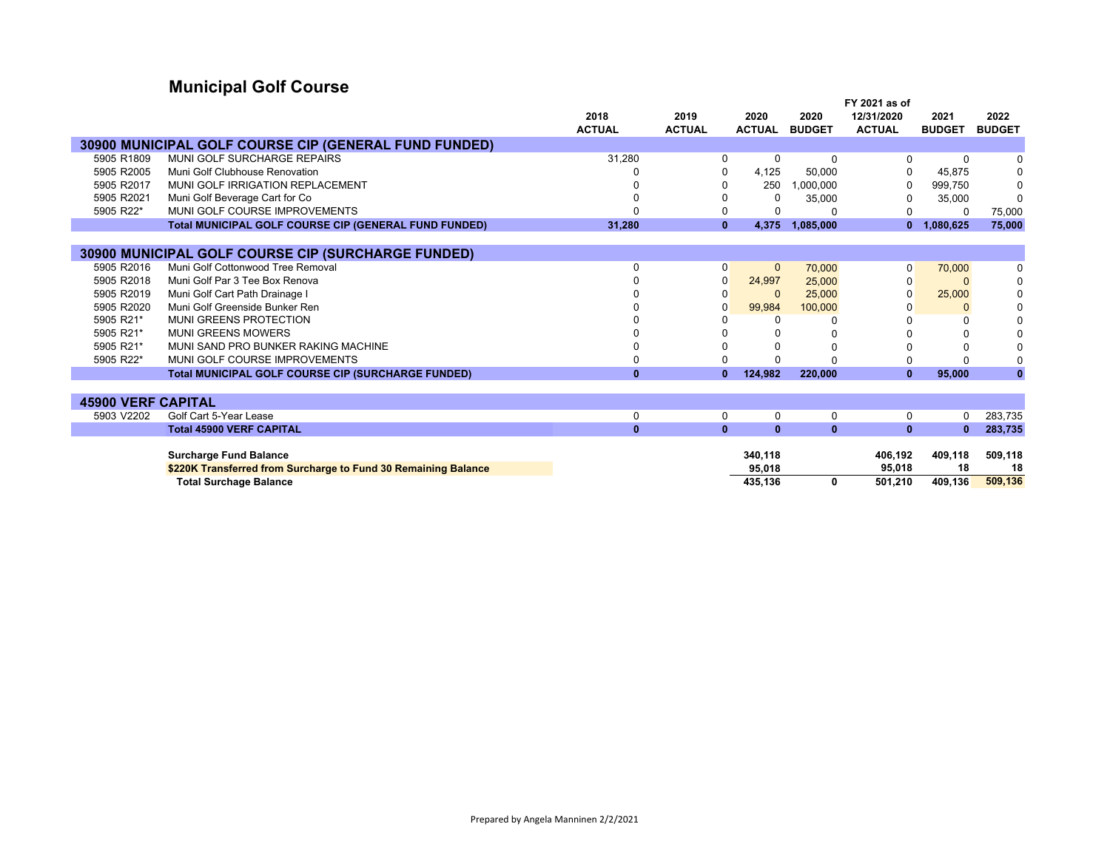# **Municipal Golf Course**

|                           |                                                                | 2018          | 2019           | 2020          | 2020          | FY 2021 as of<br>12/31/2020 | 2021          | 2022          |
|---------------------------|----------------------------------------------------------------|---------------|----------------|---------------|---------------|-----------------------------|---------------|---------------|
|                           |                                                                | <b>ACTUAL</b> | <b>ACTUAL</b>  | <b>ACTUAL</b> | <b>BUDGET</b> | <b>ACTUAL</b>               | <b>BUDGET</b> | <b>BUDGET</b> |
|                           | <b>30900 MUNICIPAL GOLF COURSE CIP (GENERAL FUND FUNDED)</b>   |               |                |               |               |                             |               |               |
| 5905 R1809                | MUNI GOLF SURCHARGE REPAIRS                                    | 31,280        |                | 0             | 0             | $\Omega$                    | 0             | 0             |
| 5905 R2005                | Muni Golf Clubhouse Renovation                                 |               |                | 4,125         | 50.000        | $\Omega$                    | 45.875        | 0             |
| 5905 R2017                | MUNI GOLF IRRIGATION REPLACEMENT                               |               |                | 250           | 1,000,000     | 0                           | 999,750       | 0             |
| 5905 R2021                | Muni Golf Beverage Cart for Co                                 |               |                | 0             | 35,000        | $\Omega$                    | 35,000        | $\Omega$      |
| 5905 R22*                 | MUNI GOLF COURSE IMPROVEMENTS                                  |               |                |               | $\Omega$      |                             | 0             | 75,000        |
|                           | <b>Total MUNICIPAL GOLF COURSE CIP (GENERAL FUND FUNDED)</b>   | 31.280        | $\mathbf{0}$   | 4.375         | 1.085.000     | $\mathbf{0}$                | 1,080,625     | 75.000        |
|                           |                                                                |               |                |               |               |                             |               |               |
|                           | 30900 MUNICIPAL GOLF COURSE CIP (SURCHARGE FUNDED)             |               |                |               |               |                             |               |               |
| 5905 R2016                | Muni Golf Cottonwood Tree Removal                              | 0             | $\overline{0}$ | $\mathbf{0}$  | 70,000        | 0                           | 70,000        | 0             |
| 5905 R2018                | Muni Golf Par 3 Tee Box Renova                                 |               | 0              | 24,997        | 25,000        | O                           |               | 0             |
| 5905 R2019                | Muni Golf Cart Path Drainage I                                 |               | <sup>0</sup>   | $\Omega$      | 25,000        | U                           | 25,000        | $\pmb{0}$     |
| 5905 R2020                | Muni Golf Greenside Bunker Ren                                 |               | 0              | 99,984        | 100,000       |                             | 0             | $\mathbf 0$   |
| 5905 R21*                 | <b>MUNI GREENS PROTECTION</b>                                  |               |                | U             |               |                             | 0             | 0             |
| 5905 R21*                 | <b>MUNI GREENS MOWERS</b>                                      |               |                |               |               |                             | 0             | $\mathbf 0$   |
| 5905 R21*                 | MUNI SAND PRO BUNKER RAKING MACHINE                            | 0             |                |               | O             |                             | O             | $\mathbf 0$   |
| 5905 R22*                 | MUNI GOLF COURSE IMPROVEMENTS                                  | 0             |                |               |               |                             | 0             | $\mathbf 0$   |
|                           | <b>Total MUNICIPAL GOLF COURSE CIP (SURCHARGE FUNDED)</b>      | $\mathbf{0}$  | $\mathbf{0}$   | 124,982       | 220,000       | $\mathbf{0}$                | 95,000        | $\mathbf{0}$  |
|                           |                                                                |               |                |               |               |                             |               |               |
| <b>45900 VERF CAPITAL</b> |                                                                |               |                |               |               |                             |               |               |
| 5903 V2202                | Golf Cart 5-Year Lease                                         | 0             | $\Omega$       | 0             | 0             | 0                           | 0             | 283,735       |
|                           | <b>Total 45900 VERF CAPITAL</b>                                | $\mathbf{0}$  | $\mathbf{0}$   | $\mathbf{0}$  | $\mathbf{0}$  | $\mathbf{0}$                | $\mathbf{0}$  | 283,735       |
|                           |                                                                |               |                |               |               |                             |               |               |
|                           | <b>Surcharge Fund Balance</b>                                  |               |                | 340,118       |               | 406,192                     | 409,118       | 509,118       |
|                           | \$220K Transferred from Surcharge to Fund 30 Remaining Balance |               |                | 95,018        |               | 95,018                      | 18            | 18            |
|                           | <b>Total Surchage Balance</b>                                  |               |                | 435,136       | 0             | 501,210                     | 409,136       | 509,136       |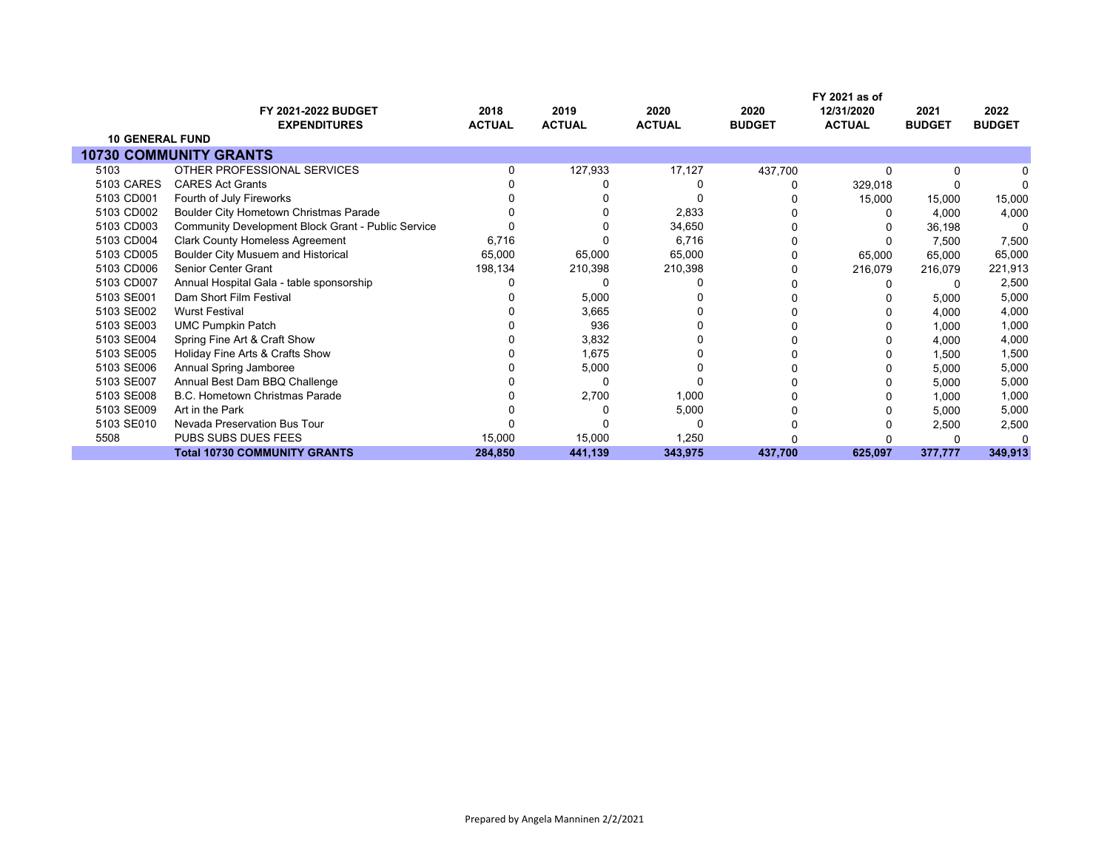|                        | <b>FY 2021-2022 BUDGET</b>                                | 2018          | 2019          | 2020          | 2020          | FY 2021 as of<br>12/31/2020 | 2021          | 2022          |
|------------------------|-----------------------------------------------------------|---------------|---------------|---------------|---------------|-----------------------------|---------------|---------------|
|                        | <b>EXPENDITURES</b>                                       | <b>ACTUAL</b> | <b>ACTUAL</b> | <b>ACTUAL</b> | <b>BUDGET</b> | <b>ACTUAL</b>               | <b>BUDGET</b> | <b>BUDGET</b> |
| <b>10 GENERAL FUND</b> |                                                           |               |               |               |               |                             |               |               |
|                        | <b>10730 COMMUNITY GRANTS</b>                             |               |               |               |               |                             |               |               |
| 5103                   | OTHER PROFESSIONAL SERVICES                               |               | 127,933       | 17,127        | 437,700       | O                           | 0             |               |
| 5103 CARES             | <b>CARES Act Grants</b>                                   |               |               |               |               | 329,018                     |               |               |
| 5103 CD001             | Fourth of July Fireworks                                  |               |               |               |               | 15,000                      | 15,000        | 15,000        |
| 5103 CD002             | Boulder City Hometown Christmas Parade                    |               |               | 2,833         |               |                             | 4,000         | 4,000         |
| 5103 CD003             | <b>Community Development Block Grant - Public Service</b> |               |               | 34,650        |               |                             | 36,198        | 0             |
| 5103 CD004             | <b>Clark County Homeless Agreement</b>                    | 6,716         |               | 6,716         |               |                             | 7,500         | 7,500         |
| 5103 CD005             | Boulder City Musuem and Historical                        | 65,000        | 65,000        | 65,000        |               | 65,000                      | 65,000        | 65,000        |
| 5103 CD006             | <b>Senior Center Grant</b>                                | 198,134       | 210,398       | 210,398       |               | 216,079                     | 216,079       | 221,913       |
| 5103 CD007             | Annual Hospital Gala - table sponsorship                  |               |               |               |               |                             | 0             | 2,500         |
| 5103 SE001             | Dam Short Film Festival                                   |               | 5,000         |               |               |                             | 5,000         | 5,000         |
| 5103 SE002             | <b>Wurst Festival</b>                                     |               | 3,665         |               |               |                             | 4,000         | 4,000         |
| 5103 SE003             | <b>UMC Pumpkin Patch</b>                                  |               | 936           |               |               |                             | 1,000         | 1,000         |
| 5103 SE004             | Spring Fine Art & Craft Show                              |               | 3,832         |               |               |                             | 4,000         | 4,000         |
| 5103 SE005             | Holiday Fine Arts & Crafts Show                           |               | 1,675         |               |               |                             | 1,500         | 1,500         |
| 5103 SE006             | Annual Spring Jamboree                                    |               | 5,000         |               |               |                             | 5,000         | 5,000         |
| 5103 SE007             | Annual Best Dam BBQ Challenge                             |               |               |               |               |                             | 5,000         | 5,000         |
| 5103 SE008             | <b>B.C. Hometown Christmas Parade</b>                     |               | 2,700         | 1,000         |               |                             | 1,000         | 1,000         |
| 5103 SE009             | Art in the Park                                           |               |               | 5,000         |               |                             | 5,000         | 5,000         |
| 5103 SE010             | Nevada Preservation Bus Tour                              |               |               | ŋ             |               |                             | 2,500         | 2,500         |
| 5508                   | PUBS SUBS DUES FEES                                       | 15,000        | 15,000        | 1,250         |               |                             |               |               |
|                        | <b>Total 10730 COMMUNITY GRANTS</b>                       | 284,850       | 441,139       | 343,975       | 437,700       | 625,097                     | 377,777       | 349,913       |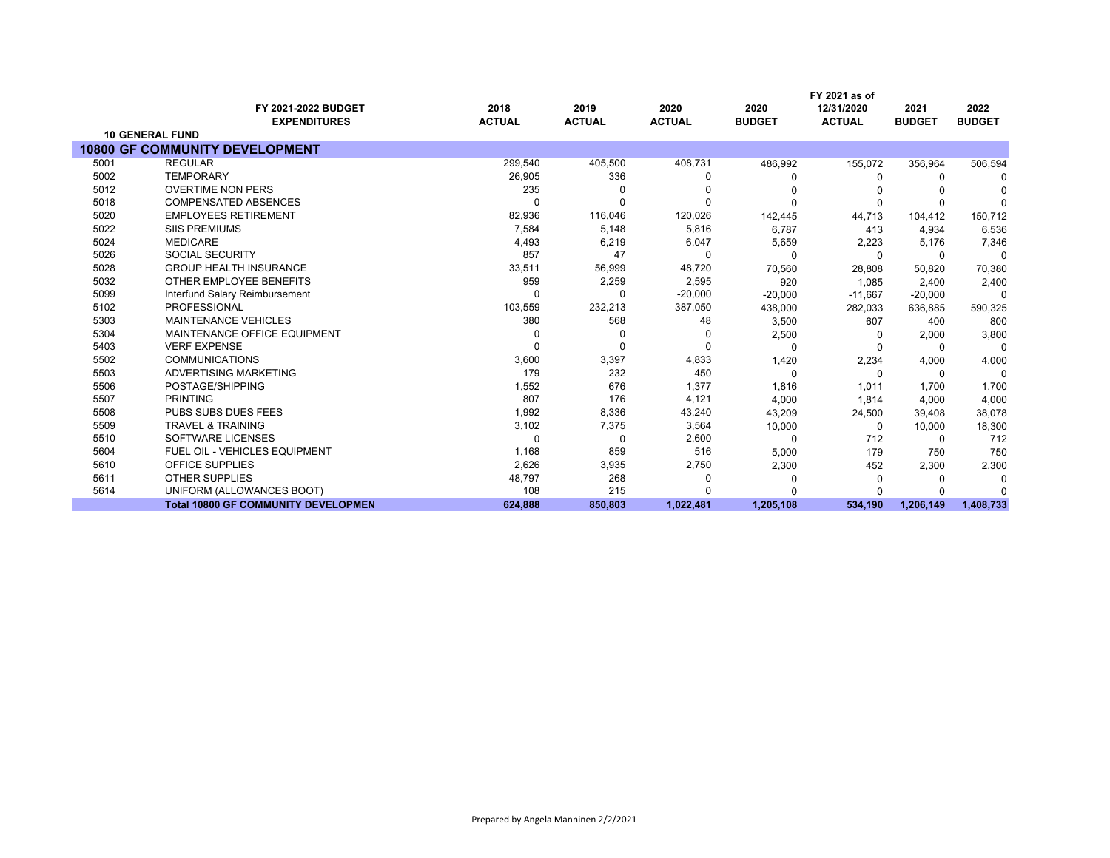|      | FY 2021 as of                              |                       |                       |                       |                       |                             |                       |                       |
|------|--------------------------------------------|-----------------------|-----------------------|-----------------------|-----------------------|-----------------------------|-----------------------|-----------------------|
|      | FY 2021-2022 BUDGET<br><b>EXPENDITURES</b> | 2018<br><b>ACTUAL</b> | 2019<br><b>ACTUAL</b> | 2020<br><b>ACTUAL</b> | 2020<br><b>BUDGET</b> | 12/31/2020<br><b>ACTUAL</b> | 2021<br><b>BUDGET</b> | 2022<br><b>BUDGET</b> |
|      | <b>10 GENERAL FUND</b>                     |                       |                       |                       |                       |                             |                       |                       |
|      | <b>10800 GF COMMUNITY DEVELOPMENT</b>      |                       |                       |                       |                       |                             |                       |                       |
| 5001 | <b>REGULAR</b>                             | 299,540               | 405,500               | 408,731               | 486,992               | 155,072                     | 356,964               | 506,594               |
| 5002 | <b>TEMPORARY</b>                           | 26,905                | 336                   | <sup>0</sup>          |                       | $\Omega$                    | $\Omega$              |                       |
| 5012 | <b>OVERTIME NON PERS</b>                   | 235                   |                       |                       |                       |                             |                       |                       |
| 5018 | <b>COMPENSATED ABSENCES</b>                |                       |                       | $\Omega$              |                       | $\Omega$                    | <sup>0</sup>          |                       |
| 5020 | <b>EMPLOYEES RETIREMENT</b>                | 82,936                | 116,046               | 120,026               | 142,445               | 44,713                      | 104,412               | 150,712               |
| 5022 | <b>SIIS PREMIUMS</b>                       | 7,584                 | 5,148                 | 5,816                 | 6.787                 | 413                         | 4,934                 | 6,536                 |
| 5024 | <b>MEDICARE</b>                            | 4,493                 | 6,219                 | 6,047                 | 5,659                 | 2,223                       | 5,176                 | 7,346                 |
| 5026 | <b>SOCIAL SECURITY</b>                     | 857                   | 47                    | 0                     | C                     | $\Omega$                    | 0                     | $\Omega$              |
| 5028 | <b>GROUP HEALTH INSURANCE</b>              | 33,511                | 56,999                | 48,720                | 70,560                | 28,808                      | 50,820                | 70,380                |
| 5032 | OTHER EMPLOYEE BENEFITS                    | 959                   | 2,259                 | 2,595                 | 920                   | 1,085                       | 2,400                 | 2,400                 |
| 5099 | Interfund Salary Reimbursement             |                       | $\Omega$              | $-20,000$             | $-20,000$             | $-11,667$                   | $-20,000$             | $\Omega$              |
| 5102 | <b>PROFESSIONAL</b>                        | 103,559               | 232,213               | 387,050               | 438,000               | 282,033                     | 636,885               | 590,325               |
| 5303 | <b>MAINTENANCE VEHICLES</b>                | 380                   | 568                   | 48                    | 3,500                 | 607                         | 400                   | 800                   |
| 5304 | MAINTENANCE OFFICE EQUIPMENT               |                       |                       | 0                     | 2,500                 | 0                           | 2,000                 | 3,800                 |
| 5403 | <b>VERF EXPENSE</b>                        |                       | <sup>n</sup>          | $\Omega$              |                       |                             | 0                     | $\Omega$              |
| 5502 | <b>COMMUNICATIONS</b>                      | 3,600                 | 3,397                 | 4,833                 | 1,420                 | 2,234                       | 4,000                 | 4,000                 |
| 5503 | ADVERTISING MARKETING                      | 179                   | 232                   | 450                   | $\Omega$              | $\Omega$                    | $\Omega$              | $\Omega$              |
| 5506 | POSTAGE/SHIPPING                           | 1,552                 | 676                   | 1,377                 | 1,816                 | 1,011                       | 1,700                 | 1,700                 |
| 5507 | <b>PRINTING</b>                            | 807                   | 176                   | 4,121                 | 4,000                 | 1,814                       | 4,000                 | 4,000                 |
| 5508 | <b>PUBS SUBS DUES FEES</b>                 | 1,992                 | 8,336                 | 43,240                | 43,209                | 24,500                      | 39,408                | 38,078                |
| 5509 | <b>TRAVEL &amp; TRAINING</b>               | 3,102                 | 7,375                 | 3,564                 | 10,000                | $\Omega$                    | 10,000                | 18,300                |
| 5510 | SOFTWARE LICENSES                          | $\Omega$              | 0                     | 2,600                 | 0                     | 712                         | 0                     | 712                   |
| 5604 | FUEL OIL - VEHICLES EQUIPMENT              | 1,168                 | 859                   | 516                   | 5,000                 | 179                         | 750                   | 750                   |
| 5610 | OFFICE SUPPLIES                            | 2,626                 | 3,935                 | 2,750                 | 2,300                 | 452                         | 2,300                 | 2,300                 |
| 5611 | <b>OTHER SUPPLIES</b>                      | 48,797                | 268                   | 0                     |                       | 0                           | <sup>0</sup>          | $\Omega$              |
| 5614 | UNIFORM (ALLOWANCES BOOT)                  | 108                   | 215                   |                       |                       |                             |                       |                       |
|      | <b>Total 10800 GF COMMUNITY DEVELOPMEN</b> | 624,888               | 850,803               | 1,022,481             | 1,205,108             | 534,190                     | 1,206,149             | 1,408,733             |